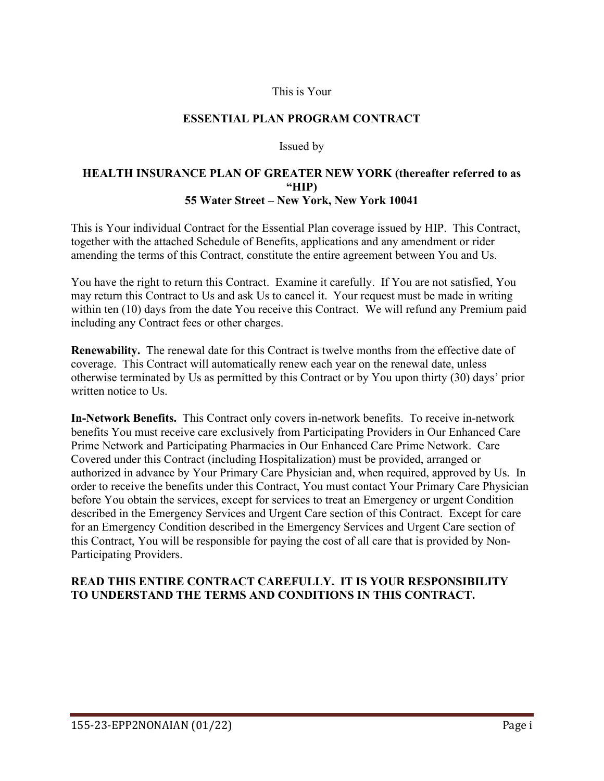#### This is Your

#### **ESSENTIAL PLAN PROGRAM CONTRACT**

#### Issued by

#### **HEALTH INSURANCE PLAN OF GREATER NEW YORK (thereafter referred to as "HIP) 55 Water Street – New York, New York 10041**

This is Your individual Contract for the Essential Plan coverage issued by HIP. This Contract, together with the attached Schedule of Benefits, applications and any amendment or rider amending the terms of this Contract, constitute the entire agreement between You and Us.

You have the right to return this Contract. Examine it carefully. If You are not satisfied, You may return this Contract to Us and ask Us to cancel it. Your request must be made in writing within ten (10) days from the date You receive this Contract. We will refund any Premium paid including any Contract fees or other charges.

**Renewability.** The renewal date for this Contract is twelve months from the effective date of coverage. This Contract will automatically renew each year on the renewal date, unless otherwise terminated by Us as permitted by this Contract or by You upon thirty (30) days' prior written notice to Us.

**In-Network Benefits.** This Contract only covers in-network benefits. To receive in-network benefits You must receive care exclusively from Participating Providers in Our Enhanced Care Prime Network and Participating Pharmacies in Our Enhanced Care Prime Network. Care Covered under this Contract (including Hospitalization) must be provided, arranged or authorized in advance by Your Primary Care Physician and, when required, approved by Us. In order to receive the benefits under this Contract, You must contact Your Primary Care Physician before You obtain the services, except for services to treat an Emergency or urgent Condition described in the Emergency Services and Urgent Care section of this Contract. Except for care for an Emergency Condition described in the Emergency Services and Urgent Care section of this Contract, You will be responsible for paying the cost of all care that is provided by Non-Participating Providers.

#### **READ THIS ENTIRE CONTRACT CAREFULLY. IT IS YOUR RESPONSIBILITY TO UNDERSTAND THE TERMS AND CONDITIONS IN THIS CONTRACT.**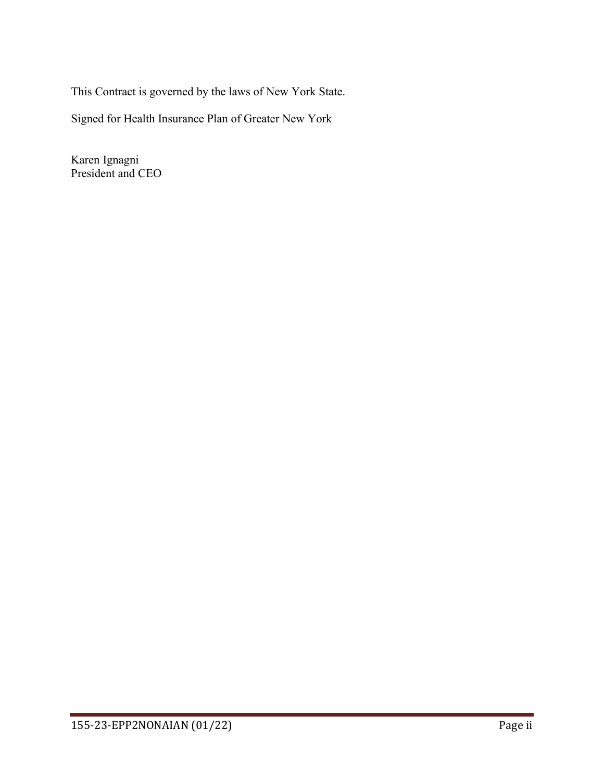This Contract is governed by the laws of New York State.

Signed for Health Insurance Plan of Greater New York

Karen Ignagni President and CEO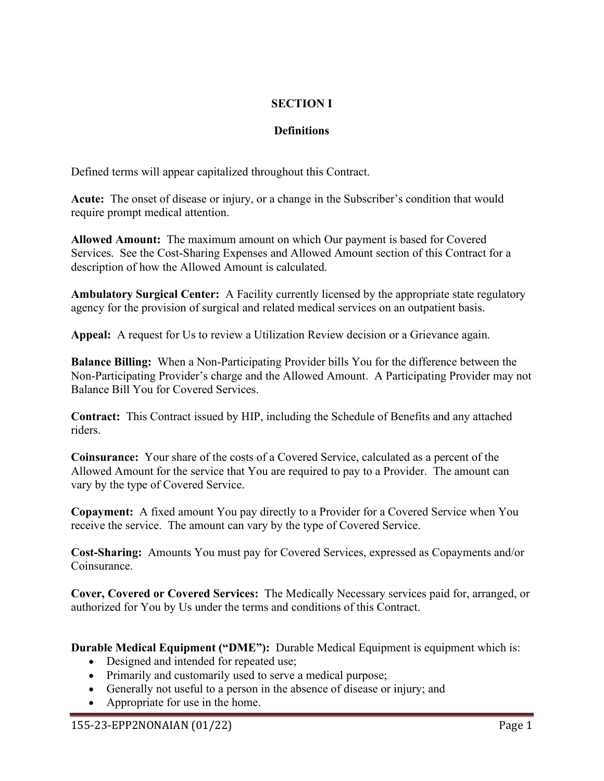# **SECTION I**

# **Definitions**

Defined terms will appear capitalized throughout this Contract.

**Acute:** The onset of disease or injury, or a change in the Subscriber's condition that would require prompt medical attention.

**Allowed Amount:** The maximum amount on which Our payment is based for Covered Services. See the Cost-Sharing Expenses and Allowed Amount section of this Contract for a description of how the Allowed Amount is calculated.

**Ambulatory Surgical Center:** A Facility currently licensed by the appropriate state regulatory agency for the provision of surgical and related medical services on an outpatient basis.

**Appeal:** A request for Us to review a Utilization Review decision or a Grievance again.

**Balance Billing:** When a Non-Participating Provider bills You for the difference between the Non-Participating Provider's charge and the Allowed Amount. A Participating Provider may not Balance Bill You for Covered Services.

**Contract:** This Contract issued by HIP, including the Schedule of Benefits and any attached riders.

**Coinsurance:** Your share of the costs of a Covered Service, calculated as a percent of the Allowed Amount for the service that You are required to pay to a Provider. The amount can vary by the type of Covered Service.

**Copayment:** A fixed amount You pay directly to a Provider for a Covered Service when You receive the service. The amount can vary by the type of Covered Service.

**Cost-Sharing:** Amounts You must pay for Covered Services, expressed as Copayments and/or Coinsurance.

**Cover, Covered or Covered Services:** The Medically Necessary services paid for, arranged, or authorized for You by Us under the terms and conditions of this Contract.

**Durable Medical Equipment ("DME"):** Durable Medical Equipment is equipment which is:

- Designed and intended for repeated use;
- Primarily and customarily used to serve a medical purpose;
- Generally not useful to a person in the absence of disease or injury; and
- Appropriate for use in the home.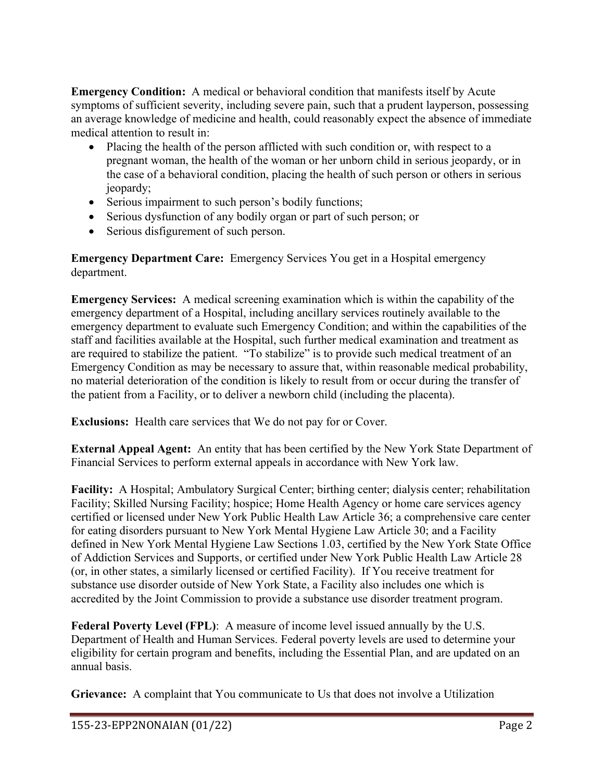**Emergency Condition:** A medical or behavioral condition that manifests itself by Acute symptoms of sufficient severity, including severe pain, such that a prudent layperson, possessing an average knowledge of medicine and health, could reasonably expect the absence of immediate medical attention to result in:

- Placing the health of the person afflicted with such condition or, with respect to a pregnant woman, the health of the woman or her unborn child in serious jeopardy, or in the case of a behavioral condition, placing the health of such person or others in serious jeopardy;
- Serious impairment to such person's bodily functions;
- Serious dysfunction of any bodily organ or part of such person; or
- Serious disfigurement of such person.

**Emergency Department Care:** Emergency Services You get in a Hospital emergency department.

**Emergency Services:** A medical screening examination which is within the capability of the emergency department of a Hospital, including ancillary services routinely available to the emergency department to evaluate such Emergency Condition; and within the capabilities of the staff and facilities available at the Hospital, such further medical examination and treatment as are required to stabilize the patient. "To stabilize" is to provide such medical treatment of an Emergency Condition as may be necessary to assure that, within reasonable medical probability, no material deterioration of the condition is likely to result from or occur during the transfer of the patient from a Facility, or to deliver a newborn child (including the placenta).

**Exclusions:** Health care services that We do not pay for or Cover.

**External Appeal Agent:** An entity that has been certified by the New York State Department of Financial Services to perform external appeals in accordance with New York law.

**Facility:** A Hospital; Ambulatory Surgical Center; birthing center; dialysis center; rehabilitation Facility; Skilled Nursing Facility; hospice; Home Health Agency or home care services agency certified or licensed under New York Public Health Law Article 36; a comprehensive care center for eating disorders pursuant to New York Mental Hygiene Law Article 30; and a Facility defined in New York Mental Hygiene Law Sections 1.03, certified by the New York State Office of Addiction Services and Supports, or certified under New York Public Health Law Article 28 (or, in other states, a similarly licensed or certified Facility). If You receive treatment for substance use disorder outside of New York State, a Facility also includes one which is accredited by the Joint Commission to provide a substance use disorder treatment program.

**Federal Poverty Level (FPL)**: A measure of income level issued annually by the U.S. Department of Health and Human Services. Federal poverty levels are used to determine your eligibility for certain program and benefits, including the Essential Plan, and are updated on an annual basis.

**Grievance:** A complaint that You communicate to Us that does not involve a Utilization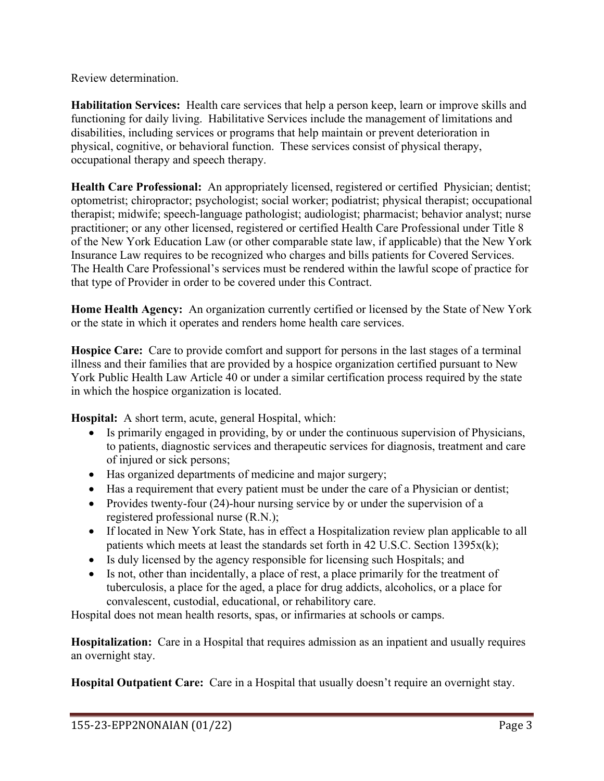Review determination.

**Habilitation Services:** Health care services that help a person keep, learn or improve skills and functioning for daily living. Habilitative Services include the management of limitations and disabilities, including services or programs that help maintain or prevent deterioration in physical, cognitive, or behavioral function. These services consist of physical therapy, occupational therapy and speech therapy.

**Health Care Professional:** An appropriately licensed, registered or certified Physician; dentist; optometrist; chiropractor; psychologist; social worker; podiatrist; physical therapist; occupational therapist; midwife; speech-language pathologist; audiologist; pharmacist; behavior analyst; nurse practitioner; or any other licensed, registered or certified Health Care Professional under Title 8 of the New York Education Law (or other comparable state law, if applicable) that the New York Insurance Law requires to be recognized who charges and bills patients for Covered Services. The Health Care Professional's services must be rendered within the lawful scope of practice for that type of Provider in order to be covered under this Contract.

**Home Health Agency:** An organization currently certified or licensed by the State of New York or the state in which it operates and renders home health care services.

**Hospice Care:** Care to provide comfort and support for persons in the last stages of a terminal illness and their families that are provided by a hospice organization certified pursuant to New York Public Health Law Article 40 or under a similar certification process required by the state in which the hospice organization is located.

**Hospital:** A short term, acute, general Hospital, which:

- Is primarily engaged in providing, by or under the continuous supervision of Physicians, to patients, diagnostic services and therapeutic services for diagnosis, treatment and care of injured or sick persons;
- Has organized departments of medicine and major surgery;
- Has a requirement that every patient must be under the care of a Physician or dentist;
- Provides twenty-four (24)-hour nursing service by or under the supervision of a registered professional nurse (R.N.);
- If located in New York State, has in effect a Hospitalization review plan applicable to all patients which meets at least the standards set forth in 42 U.S.C. Section 1395x(k);
- Is duly licensed by the agency responsible for licensing such Hospitals; and
- Is not, other than incidentally, a place of rest, a place primarily for the treatment of tuberculosis, a place for the aged, a place for drug addicts, alcoholics, or a place for convalescent, custodial, educational, or rehabilitory care.

Hospital does not mean health resorts, spas, or infirmaries at schools or camps.

**Hospitalization:** Care in a Hospital that requires admission as an inpatient and usually requires an overnight stay.

**Hospital Outpatient Care:** Care in a Hospital that usually doesn't require an overnight stay.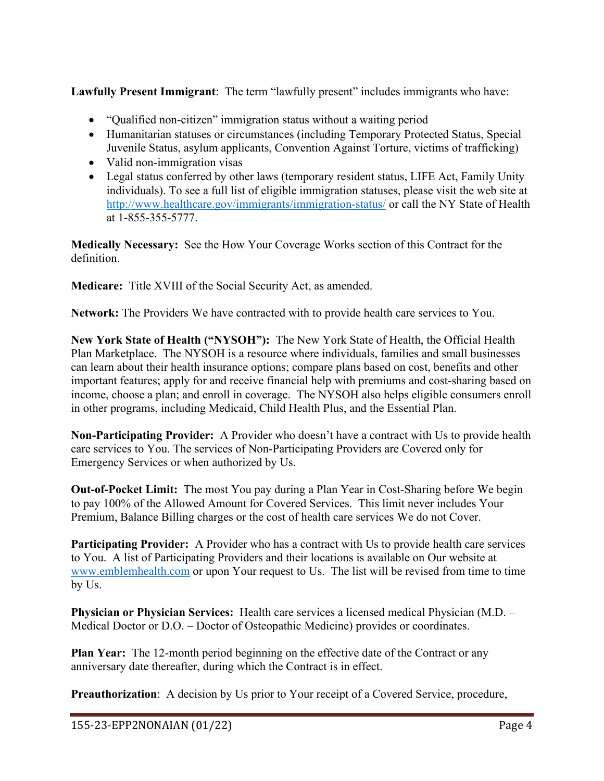**Lawfully Present Immigrant**: The term "lawfully present" includes immigrants who have:

- "Qualified non-citizen" immigration status without a waiting period
- Humanitarian statuses or circumstances (including Temporary Protected Status, Special Juvenile Status, asylum applicants, Convention Against Torture, victims of trafficking)
- Valid non-immigration visas
- Legal status conferred by other laws (temporary resident status, LIFE Act, Family Unity individuals). To see a full list of eligible immigration statuses, please visit the web site at http:/[/www.healthcare.gov/immigrants/immigration-status/](http://www.healthcare.gov/immigrants/immigration-status/) or call the NY State of Health at 1-855-355-5777.

**Medically Necessary:** See the How Your Coverage Works section of this Contract for the definition.

**Medicare:** Title XVIII of the Social Security Act, as amended.

**Network:** The Providers We have contracted with to provide health care services to You.

**New York State of Health ("NYSOH"):** The New York State of Health, the Official Health Plan Marketplace. The NYSOH is a resource where individuals, families and small businesses can learn about their health insurance options; compare plans based on cost, benefits and other important features; apply for and receive financial help with premiums and cost-sharing based on income, choose a plan; and enroll in coverage. The NYSOH also helps eligible consumers enroll in other programs, including Medicaid, Child Health Plus, and the Essential Plan.

**Non-Participating Provider:** A Provider who doesn't have a contract with Us to provide health care services to You. The services of Non-Participating Providers are Covered only for Emergency Services or when authorized by Us.

**Out-of-Pocket Limit:** The most You pay during a Plan Year in Cost-Sharing before We begin to pay 100% of the Allowed Amount for Covered Services. This limit never includes Your Premium, Balance Billing charges or the cost of health care services We do not Cover.

**Participating Provider:** A Provider who has a contract with Us to provide health care services to You. A list of Participating Providers and their locations is available on Our website at [www.emblemhealth.com](http://www.emblemhealth.com/) or upon Your request to Us. The list will be revised from time to time by Us.

**Physician or Physician Services:** Health care services a licensed medical Physician (M.D. – Medical Doctor or D.O. – Doctor of Osteopathic Medicine) provides or coordinates.

**Plan Year:** The 12-month period beginning on the effective date of the Contract or any anniversary date thereafter, during which the Contract is in effect.

**Preauthorization**: A decision by Us prior to Your receipt of a Covered Service, procedure,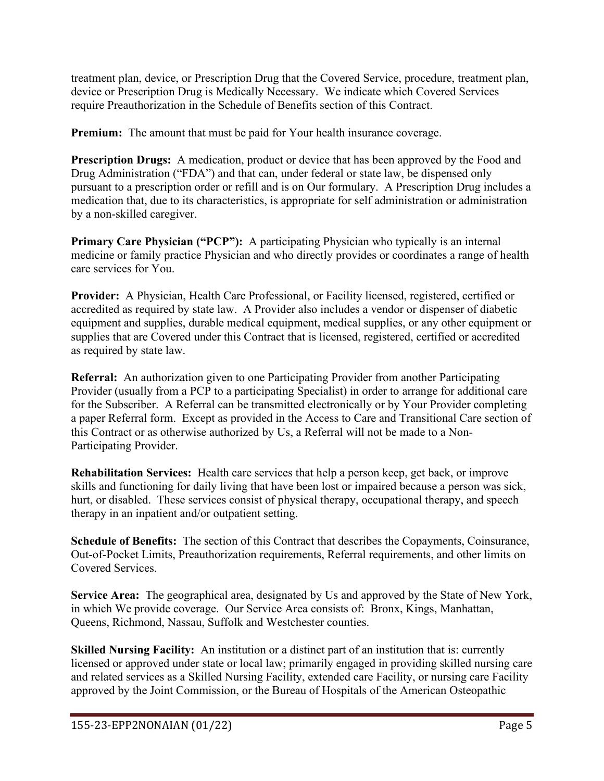treatment plan, device, or Prescription Drug that the Covered Service, procedure, treatment plan, device or Prescription Drug is Medically Necessary.We indicate which Covered Services require Preauthorization in the Schedule of Benefits section of this Contract.

**Premium:** The amount that must be paid for Your health insurance coverage.

**Prescription Drugs:** A medication, product or device that has been approved by the Food and Drug Administration ("FDA") and that can, under federal or state law, be dispensed only pursuant to a prescription order or refill and is on Our formulary. A Prescription Drug includes a medication that, due to its characteristics, is appropriate for self administration or administration by a non-skilled caregiver.

**Primary Care Physician ("PCP"):** A participating Physician who typically is an internal medicine or family practice Physician and who directly provides or coordinates a range of health care services for You.

**Provider:** A Physician, Health Care Professional, or Facility licensed, registered, certified or accredited as required by state law. A Provider also includes a vendor or dispenser of diabetic equipment and supplies, durable medical equipment, medical supplies, or any other equipment or supplies that are Covered under this Contract that is licensed, registered, certified or accredited as required by state law.

**Referral:** An authorization given to one Participating Provider from another Participating Provider (usually from a PCP to a participating Specialist) in order to arrange for additional care for the Subscriber. A Referral can be transmitted electronically or by Your Provider completing a paper Referral form. Except as provided in the Access to Care and Transitional Care section of this Contract or as otherwise authorized by Us, a Referral will not be made to a Non-Participating Provider.

**Rehabilitation Services:** Health care services that help a person keep, get back, or improve skills and functioning for daily living that have been lost or impaired because a person was sick, hurt, or disabled. These services consist of physical therapy, occupational therapy, and speech therapy in an inpatient and/or outpatient setting.

**Schedule of Benefits:** The section of this Contract that describes the Copayments, Coinsurance, Out-of-Pocket Limits, Preauthorization requirements, Referral requirements, and other limits on Covered Services.

**Service Area:** The geographical area, designated by Us and approved by the State of New York, in which We provide coverage. Our Service Area consists of: Bronx, Kings, Manhattan, Queens, Richmond, Nassau, Suffolk and Westchester counties.

**Skilled Nursing Facility:** An institution or a distinct part of an institution that is: currently licensed or approved under state or local law; primarily engaged in providing skilled nursing care and related services as a Skilled Nursing Facility, extended care Facility, or nursing care Facility approved by the Joint Commission, or the Bureau of Hospitals of the American Osteopathic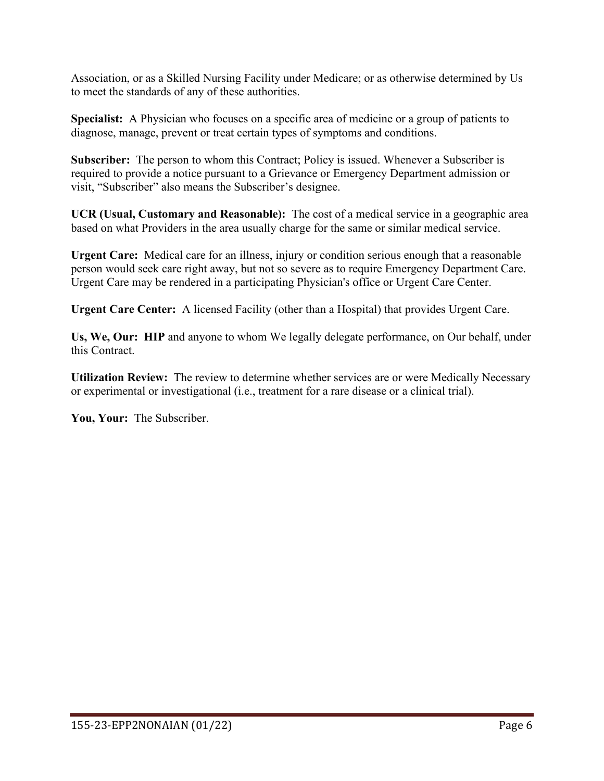Association, or as a Skilled Nursing Facility under Medicare; or as otherwise determined by Us to meet the standards of any of these authorities.

**Specialist:** A Physician who focuses on a specific area of medicine or a group of patients to diagnose, manage, prevent or treat certain types of symptoms and conditions.

**Subscriber:** The person to whom this Contract; Policy is issued. Whenever a Subscriber is required to provide a notice pursuant to a Grievance or Emergency Department admission or visit, "Subscriber" also means the Subscriber's designee.

**UCR (Usual, Customary and Reasonable):** The cost of a medical service in a geographic area based on what Providers in the area usually charge for the same or similar medical service.

**Urgent Care:** Medical care for an illness, injury or condition serious enough that a reasonable person would seek care right away, but not so severe as to require Emergency Department Care. Urgent Care may be rendered in a participating Physician's office or Urgent Care Center.

**Urgent Care Center:** A licensed Facility (other than a Hospital) that provides Urgent Care.

**Us, We, Our: HIP** and anyone to whom We legally delegate performance, on Our behalf, under this Contract.

**Utilization Review:** The review to determine whether services are or were Medically Necessary or experimental or investigational (i.e., treatment for a rare disease or a clinical trial).

**You, Your:** The Subscriber.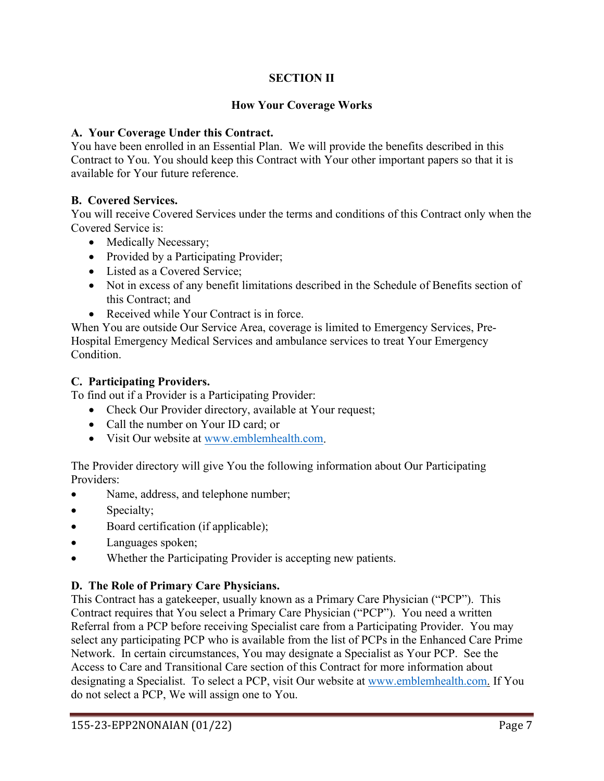## **SECTION II**

### **How Your Coverage Works**

#### **A. Your Coverage Under this Contract.**

You have been enrolled in an Essential Plan. We will provide the benefits described in this Contract to You. You should keep this Contract with Your other important papers so that it is available for Your future reference.

### **B. Covered Services.**

You will receive Covered Services under the terms and conditions of this Contract only when the Covered Service is:

- Medically Necessary;
- Provided by a Participating Provider;
- Listed as a Covered Service;
- Not in excess of any benefit limitations described in the Schedule of Benefits section of this Contract; and
- Received while Your Contract is in force.

When You are outside Our Service Area, coverage is limited to Emergency Services, Pre-Hospital Emergency Medical Services and ambulance services to treat Your Emergency Condition.

#### **C. Participating Providers.**

To find out if a Provider is a Participating Provider:

- Check Our Provider directory, available at Your request;
- Call the number on Your ID card; or
- Visit Our website at [www.emblemhealth.com.](http://www.emblemhealth.com/)

The Provider directory will give You the following information about Our Participating Providers:

- Name, address, and telephone number;
- Specialty;
- Board certification (if applicable);
- Languages spoken;
- Whether the Participating Provider is accepting new patients.

#### **D. The Role of Primary Care Physicians.**

This Contract has a gatekeeper, usually known as a Primary Care Physician ("PCP"). This Contract requires that You select a Primary Care Physician ("PCP"). You need a written Referral from a PCP before receiving Specialist care from a Participating Provider. You may select any participating PCP who is available from the list of PCPs in the Enhanced Care Prime Network. In certain circumstances, You may designate a Specialist as Your PCP. See the Access to Care and Transitional Care section of this Contract for more information about designating a Specialist. To select a PCP, visit Our website at [www.emblemhealth.com.](http://www.emblemhealth.com/) If You do not select a PCP, We will assign one to You.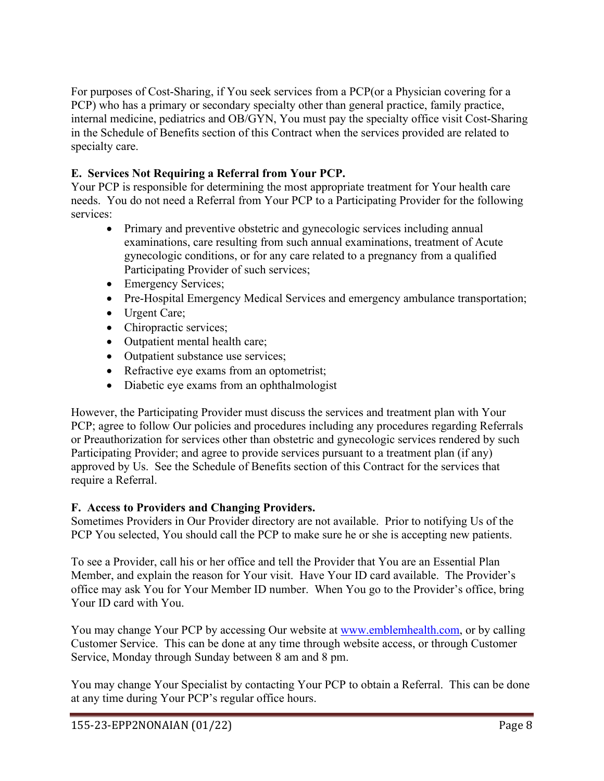For purposes of Cost-Sharing, if You seek services from a PCP(or a Physician covering for a PCP) who has a primary or secondary specialty other than general practice, family practice, internal medicine, pediatrics and OB/GYN, You must pay the specialty office visit Cost-Sharing in the Schedule of Benefits section of this Contract when the services provided are related to specialty care.

## **E. Services Not Requiring a Referral from Your PCP.**

Your PCP is responsible for determining the most appropriate treatment for Your health care needs. You do not need a Referral from Your PCP to a Participating Provider for the following services:

- Primary and preventive obstetric and gynecologic services including annual examinations, care resulting from such annual examinations, treatment of Acute gynecologic conditions, or for any care related to a pregnancy from a qualified Participating Provider of such services;
- Emergency Services;
- Pre-Hospital Emergency Medical Services and emergency ambulance transportation;
- Urgent Care;
- Chiropractic services;
- Outpatient mental health care;
- Outpatient substance use services;
- Refractive eye exams from an optometrist;
- Diabetic eye exams from an ophthalmologist

However, the Participating Provider must discuss the services and treatment plan with Your PCP; agree to follow Our policies and procedures including any procedures regarding Referrals or Preauthorization for services other than obstetric and gynecologic services rendered by such Participating Provider; and agree to provide services pursuant to a treatment plan (if any) approved by Us. See the Schedule of Benefits section of this Contract for the services that require a Referral.

## **F. Access to Providers and Changing Providers.**

Sometimes Providers in Our Provider directory are not available. Prior to notifying Us of the PCP You selected, You should call the PCP to make sure he or she is accepting new patients.

To see a Provider, call his or her office and tell the Provider that You are an Essential Plan Member, and explain the reason for Your visit. Have Your ID card available. The Provider's office may ask You for Your Member ID number. When You go to the Provider's office, bring Your ID card with You.

You may change Your PCP by accessing Our website at [www.emblemhealth.com,](http://www.emblemhealth.com/) or by calling Customer Service. This can be done at any time through website access, or through Customer Service, Monday through Sunday between 8 am and 8 pm.

You may change Your Specialist by contacting Your PCP to obtain a Referral. This can be done at any time during Your PCP's regular office hours.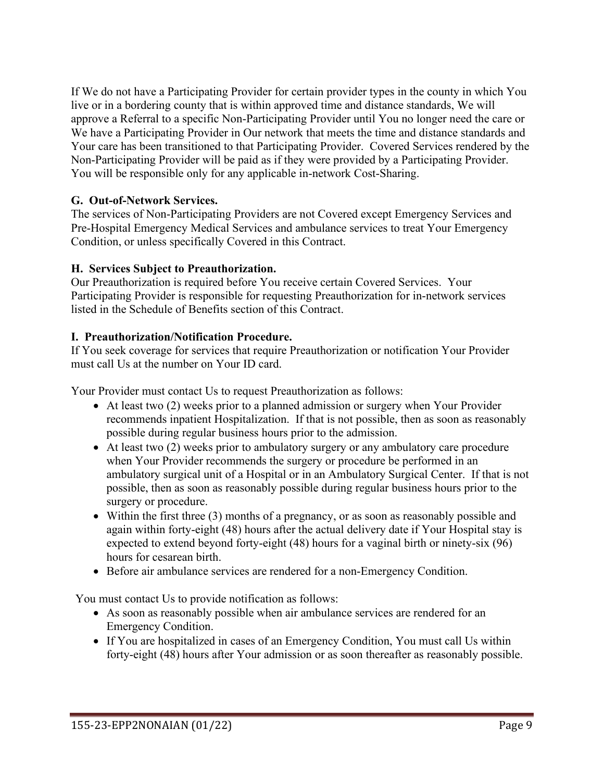If We do not have a Participating Provider for certain provider types in the county in which You live or in a bordering county that is within approved time and distance standards, We will approve a Referral to a specific Non-Participating Provider until You no longer need the care or We have a Participating Provider in Our network that meets the time and distance standards and Your care has been transitioned to that Participating Provider. Covered Services rendered by the Non-Participating Provider will be paid as if they were provided by a Participating Provider. You will be responsible only for any applicable in-network Cost-Sharing.

### **G. Out-of-Network Services.**

The services of Non-Participating Providers are not Covered except Emergency Services and Pre-Hospital Emergency Medical Services and ambulance services to treat Your Emergency Condition, or unless specifically Covered in this Contract.

### **H. Services Subject to Preauthorization.**

Our Preauthorization is required before You receive certain Covered Services. Your Participating Provider is responsible for requesting Preauthorization for in-network services listed in the Schedule of Benefits section of this Contract.

### **I. Preauthorization/Notification Procedure.**

If You seek coverage for services that require Preauthorization or notification Your Provider must call Us at the number on Your ID card.

Your Provider must contact Us to request Preauthorization as follows:

- At least two (2) weeks prior to a planned admission or surgery when Your Provider recommends inpatient Hospitalization. If that is not possible, then as soon as reasonably possible during regular business hours prior to the admission.
- At least two (2) weeks prior to ambulatory surgery or any ambulatory care procedure when Your Provider recommends the surgery or procedure be performed in an ambulatory surgical unit of a Hospital or in an Ambulatory Surgical Center. If that is not possible, then as soon as reasonably possible during regular business hours prior to the surgery or procedure.
- Within the first three (3) months of a pregnancy, or as soon as reasonably possible and again within forty-eight (48) hours after the actual delivery date if Your Hospital stay is expected to extend beyond forty-eight (48) hours for a vaginal birth or ninety-six (96) hours for cesarean birth.
- Before air ambulance services are rendered for a non-Emergency Condition.

You must contact Us to provide notification as follows:

- As soon as reasonably possible when air ambulance services are rendered for an Emergency Condition.
- If You are hospitalized in cases of an Emergency Condition, You must call Us within forty-eight (48) hours after Your admission or as soon thereafter as reasonably possible.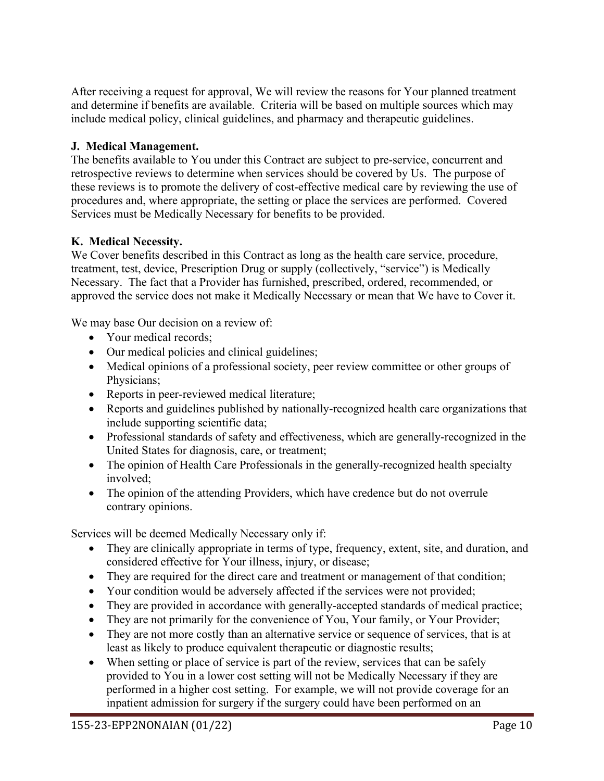After receiving a request for approval, We will review the reasons for Your planned treatment and determine if benefits are available. Criteria will be based on multiple sources which may include medical policy, clinical guidelines, and pharmacy and therapeutic guidelines.

## **J. Medical Management.**

The benefits available to You under this Contract are subject to pre-service, concurrent and retrospective reviews to determine when services should be covered by Us. The purpose of these reviews is to promote the delivery of cost-effective medical care by reviewing the use of procedures and, where appropriate, the setting or place the services are performed. Covered Services must be Medically Necessary for benefits to be provided.

## **K. Medical Necessity.**

We Cover benefits described in this Contract as long as the health care service, procedure, treatment, test, device, Prescription Drug or supply (collectively, "service") is Medically Necessary. The fact that a Provider has furnished, prescribed, ordered, recommended, or approved the service does not make it Medically Necessary or mean that We have to Cover it.

We may base Our decision on a review of:

- Your medical records;
- Our medical policies and clinical guidelines;
- Medical opinions of a professional society, peer review committee or other groups of Physicians;
- Reports in peer-reviewed medical literature;
- Reports and guidelines published by nationally-recognized health care organizations that include supporting scientific data;
- Professional standards of safety and effectiveness, which are generally-recognized in the United States for diagnosis, care, or treatment;
- The opinion of Health Care Professionals in the generally-recognized health specialty involved;
- The opinion of the attending Providers, which have credence but do not overrule contrary opinions.

Services will be deemed Medically Necessary only if:

- They are clinically appropriate in terms of type, frequency, extent, site, and duration, and considered effective for Your illness, injury, or disease;
- They are required for the direct care and treatment or management of that condition;
- Your condition would be adversely affected if the services were not provided;
- They are provided in accordance with generally-accepted standards of medical practice;
- They are not primarily for the convenience of You, Your family, or Your Provider;
- They are not more costly than an alternative service or sequence of services, that is at least as likely to produce equivalent therapeutic or diagnostic results;
- When setting or place of service is part of the review, services that can be safely provided to You in a lower cost setting will not be Medically Necessary if they are performed in a higher cost setting. For example, we will not provide coverage for an inpatient admission for surgery if the surgery could have been performed on an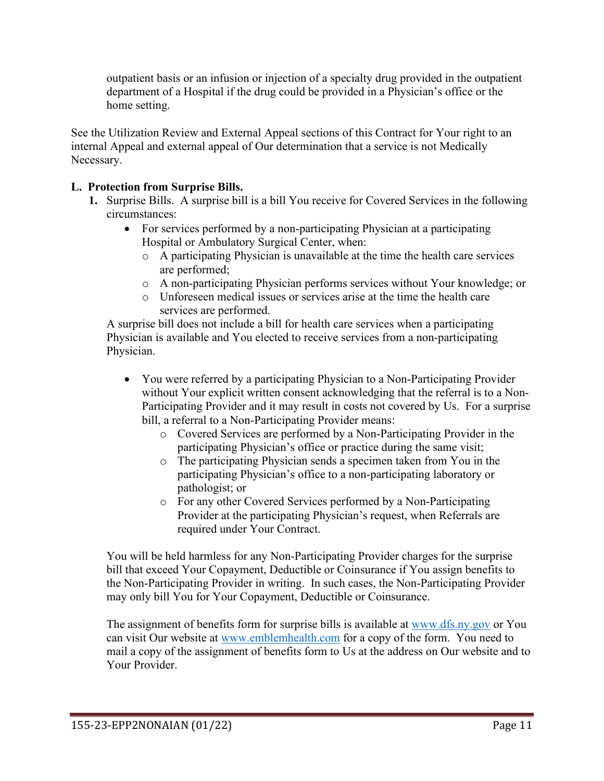outpatient basis or an infusion or injection of a specialty drug provided in the outpatient department of a Hospital if the drug could be provided in a Physician's office or the home setting.

See the Utilization Review and External Appeal sections of this Contract for Your right to an internal Appeal and external appeal of Our determination that a service is not Medically Necessary.

## **L. Protection from Surprise Bills.**

- **1.** Surprise Bills. A surprise bill is a bill You receive for Covered Services in the following circumstances:
	- For services performed by a non-participating Physician at a participating Hospital or Ambulatory Surgical Center, when:
		- o A participating Physician is unavailable at the time the health care services are performed;
		- o A non-participating Physician performs services without Your knowledge; or
		- o Unforeseen medical issues or services arise at the time the health care services are performed.

A surprise bill does not include a bill for health care services when a participating Physician is available and You elected to receive services from a non-participating Physician.

- You were referred by a participating Physician to a Non-Participating Provider without Your explicit written consent acknowledging that the referral is to a Non-Participating Provider and it may result in costs not covered by Us. For a surprise bill, a referral to a Non-Participating Provider means:
	- o Covered Services are performed by a Non-Participating Provider in the participating Physician's office or practice during the same visit;
	- o The participating Physician sends a specimen taken from You in the participating Physician's office to a non-participating laboratory or pathologist; or
	- o For any other Covered Services performed by a Non-Participating Provider at the participating Physician's request, when Referrals are required under Your Contract.

You will be held harmless for any Non-Participating Provider charges for the surprise bill that exceed Your Copayment, Deductible or Coinsurance if You assign benefits to the Non-Participating Provider in writing. In such cases, the Non-Participating Provider may only bill You for Your Copayment, Deductible or Coinsurance.

The assignment of benefits form for surprise bills is available at [www.dfs.ny.gov](http://www.dfs.ny.gov/) or You can visit Our website at [www.emblemhealth.com](http://www.emblemhealth.com/) for a copy of the form. You need to mail a copy of the assignment of benefits form to Us at the address on Our website and to Your Provider.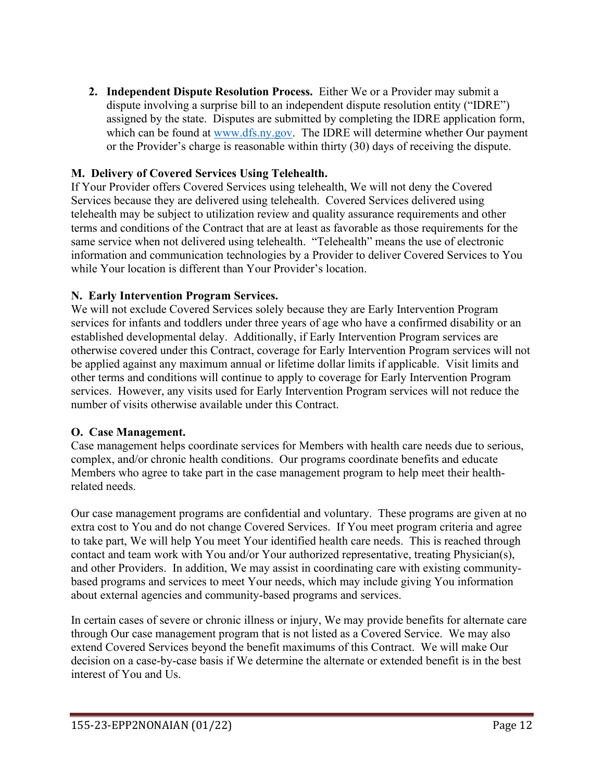**2. Independent Dispute Resolution Process.** Either We or a Provider may submit a dispute involving a surprise bill to an independent dispute resolution entity ("IDRE") assigned by the state. Disputes are submitted by completing the IDRE application form, which can be found at [www.dfs.ny.gov.](http://www.dfs.ny.gov/) The IDRE will determine whether Our payment or the Provider's charge is reasonable within thirty (30) days of receiving the dispute.

## **M. Delivery of Covered Services Using Telehealth.**

If Your Provider offers Covered Services using telehealth, We will not deny the Covered Services because they are delivered using telehealth. Covered Services delivered using telehealth may be subject to utilization review and quality assurance requirements and other terms and conditions of the Contract that are at least as favorable as those requirements for the same service when not delivered using telehealth. "Telehealth" means the use of electronic information and communication technologies by a Provider to deliver Covered Services to You while Your location is different than Your Provider's location.

## **N. Early Intervention Program Services.**

We will not exclude Covered Services solely because they are Early Intervention Program services for infants and toddlers under three years of age who have a confirmed disability or an established developmental delay. Additionally, if Early Intervention Program services are otherwise covered under this Contract, coverage for Early Intervention Program services will not be applied against any maximum annual or lifetime dollar limits if applicable. Visit limits and other terms and conditions will continue to apply to coverage for Early Intervention Program services. However, any visits used for Early Intervention Program services will not reduce the number of visits otherwise available under this Contract.

## **O. Case Management.**

Case management helps coordinate services for Members with health care needs due to serious, complex, and/or chronic health conditions. Our programs coordinate benefits and educate Members who agree to take part in the case management program to help meet their healthrelated needs.

Our case management programs are confidential and voluntary. These programs are given at no extra cost to You and do not change Covered Services. If You meet program criteria and agree to take part, We will help You meet Your identified health care needs. This is reached through contact and team work with You and/or Your authorized representative, treating Physician(s), and other Providers. In addition, We may assist in coordinating care with existing communitybased programs and services to meet Your needs, which may include giving You information about external agencies and community-based programs and services.

In certain cases of severe or chronic illness or injury, We may provide benefits for alternate care through Our case management program that is not listed as a Covered Service. We may also extend Covered Services beyond the benefit maximums of this Contract. We will make Our decision on a case-by-case basis if We determine the alternate or extended benefit is in the best interest of You and Us.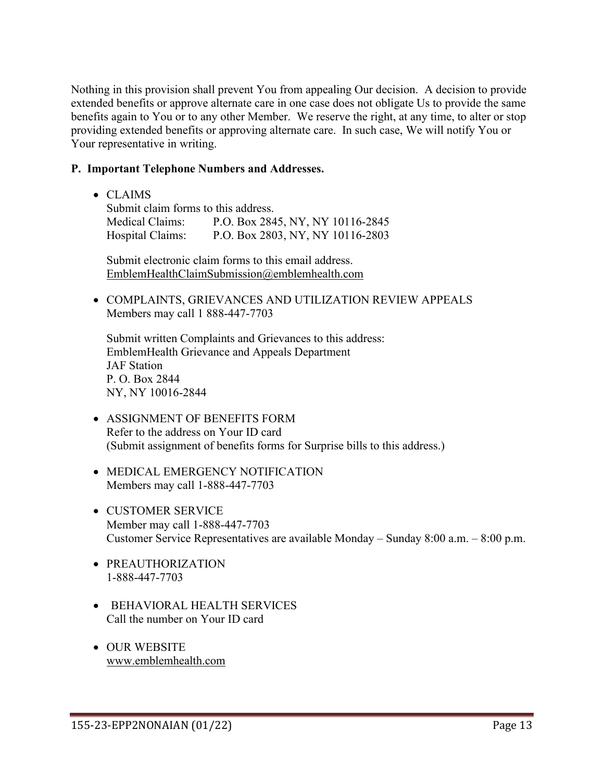Nothing in this provision shall prevent You from appealing Our decision. A decision to provide extended benefits or approve alternate care in one case does not obligate Us to provide the same benefits again to You or to any other Member. We reserve the right, at any time, to alter or stop providing extended benefits or approving alternate care. In such case, We will notify You or Your representative in writing.

#### **P. Important Telephone Numbers and Addresses.**

• CLAIMS

Submit claim forms to this address. Medical Claims: P.O. Box 2845, NY, NY 10116-2845 Hospital Claims: P.O. Box 2803, NY, NY 10116-2803

Submit electronic claim forms to this email address. [EmblemHealthClaimSubmission@emblemhealth.com](mailto:EmblemHealthClaimSubmission@emblemhealth.com)

• COMPLAINTS, GRIEVANCES AND UTILIZATION REVIEW APPEALS Members may call 1 888-447-7703

Submit written Complaints and Grievances to this address: EmblemHealth Grievance and Appeals Department JAF Station P. O. Box 2844 NY, NY 10016-2844

- ASSIGNMENT OF BENEFITS FORM Refer to the address on Your ID card (Submit assignment of benefits forms for Surprise bills to this address.)
- MEDICAL EMERGENCY NOTIFICATION Members may call 1-888-447-7703
- CUSTOMER SERVICE Member may call 1-888-447-7703 Customer Service Representatives are available Monday – Sunday 8:00 a.m. – 8:00 p.m.
- PREAUTHORIZATION 1-888-447-7703
- BEHAVIORAL HEALTH SERVICES Call the number on Your ID card
- OUR WEBSITE [www.emblemhealth.com](http://www.emblemhealth.com/)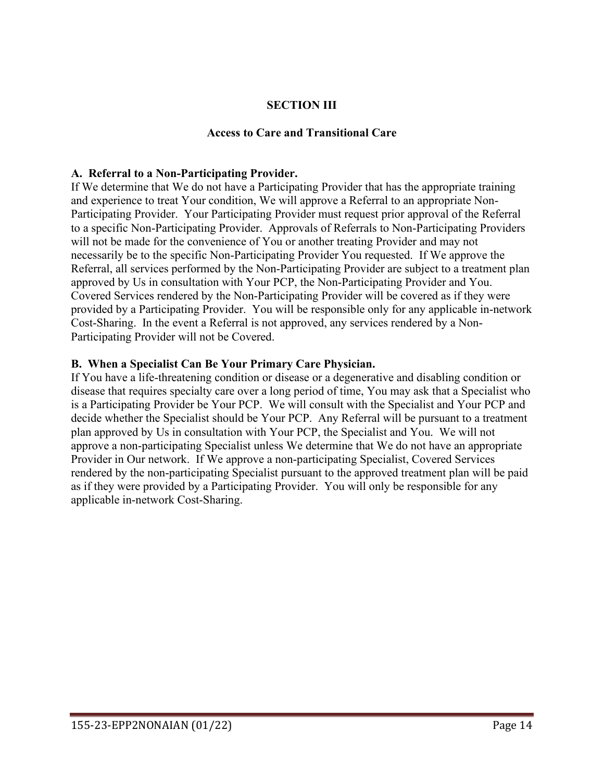#### **SECTION III**

#### **Access to Care and Transitional Care**

#### **A. Referral to a Non-Participating Provider.**

If We determine that We do not have a Participating Provider that has the appropriate training and experience to treat Your condition, We will approve a Referral to an appropriate Non-Participating Provider. Your Participating Provider must request prior approval of the Referral to a specific Non-Participating Provider. Approvals of Referrals to Non-Participating Providers will not be made for the convenience of You or another treating Provider and may not necessarily be to the specific Non-Participating Provider You requested. If We approve the Referral, all services performed by the Non-Participating Provider are subject to a treatment plan approved by Us in consultation with Your PCP, the Non-Participating Provider and You. Covered Services rendered by the Non-Participating Provider will be covered as if they were provided by a Participating Provider. You will be responsible only for any applicable in-network Cost-Sharing. In the event a Referral is not approved, any services rendered by a Non-Participating Provider will not be Covered.

#### **B. When a Specialist Can Be Your Primary Care Physician.**

If You have a life-threatening condition or disease or a degenerative and disabling condition or disease that requires specialty care over a long period of time, You may ask that a Specialist who is a Participating Provider be Your PCP. We will consult with the Specialist and Your PCP and decide whether the Specialist should be Your PCP. Any Referral will be pursuant to a treatment plan approved by Us in consultation with Your PCP, the Specialist and You. We will not approve a non-participating Specialist unless We determine that We do not have an appropriate Provider in Our network. If We approve a non-participating Specialist, Covered Services rendered by the non-participating Specialist pursuant to the approved treatment plan will be paid as if they were provided by a Participating Provider. You will only be responsible for any applicable in-network Cost-Sharing.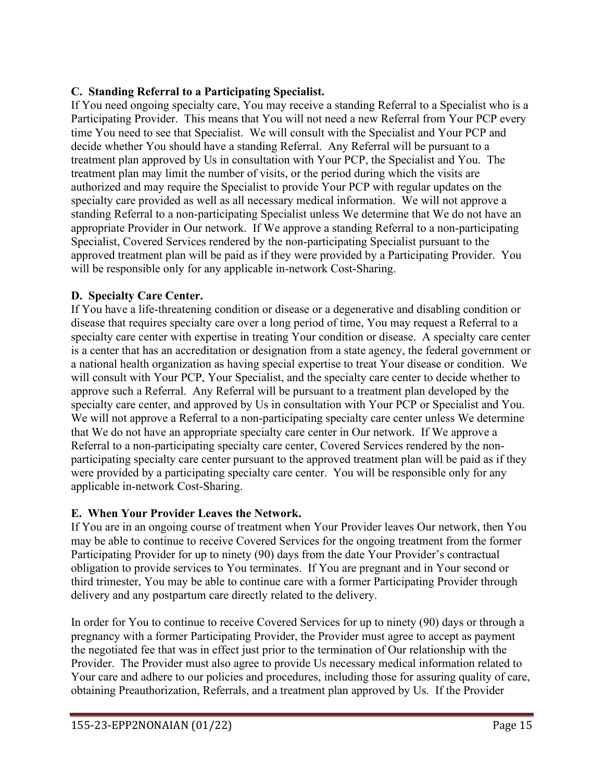## **C. Standing Referral to a Participating Specialist.**

If You need ongoing specialty care, You may receive a standing Referral to a Specialist who is a Participating Provider. This means that You will not need a new Referral from Your PCP every time You need to see that Specialist. We will consult with the Specialist and Your PCP and decide whether You should have a standing Referral. Any Referral will be pursuant to a treatment plan approved by Us in consultation with Your PCP, the Specialist and You. The treatment plan may limit the number of visits, or the period during which the visits are authorized and may require the Specialist to provide Your PCP with regular updates on the specialty care provided as well as all necessary medical information. We will not approve a standing Referral to a non-participating Specialist unless We determine that We do not have an appropriate Provider in Our network. If We approve a standing Referral to a non-participating Specialist, Covered Services rendered by the non-participating Specialist pursuant to the approved treatment plan will be paid as if they were provided by a Participating Provider. You will be responsible only for any applicable in-network Cost-Sharing.

### **D. Specialty Care Center.**

If You have a life-threatening condition or disease or a degenerative and disabling condition or disease that requires specialty care over a long period of time, You may request a Referral to a specialty care center with expertise in treating Your condition or disease. A specialty care center is a center that has an accreditation or designation from a state agency, the federal government or a national health organization as having special expertise to treat Your disease or condition. We will consult with Your PCP, Your Specialist, and the specialty care center to decide whether to approve such a Referral. Any Referral will be pursuant to a treatment plan developed by the specialty care center, and approved by Us in consultation with Your PCP or Specialist and You. We will not approve a Referral to a non-participating specialty care center unless We determine that We do not have an appropriate specialty care center in Our network. If We approve a Referral to a non-participating specialty care center, Covered Services rendered by the nonparticipating specialty care center pursuant to the approved treatment plan will be paid as if they were provided by a participating specialty care center. You will be responsible only for any applicable in-network Cost-Sharing.

#### **E. When Your Provider Leaves the Network.**

If You are in an ongoing course of treatment when Your Provider leaves Our network, then You may be able to continue to receive Covered Services for the ongoing treatment from the former Participating Provider for up to ninety (90) days from the date Your Provider's contractual obligation to provide services to You terminates. If You are pregnant and in Your second or third trimester, You may be able to continue care with a former Participating Provider through delivery and any postpartum care directly related to the delivery.

In order for You to continue to receive Covered Services for up to ninety (90) days or through a pregnancy with a former Participating Provider, the Provider must agree to accept as payment the negotiated fee that was in effect just prior to the termination of Our relationship with the Provider. The Provider must also agree to provide Us necessary medical information related to Your care and adhere to our policies and procedures, including those for assuring quality of care, obtaining Preauthorization, Referrals, and a treatment plan approved by Us. If the Provider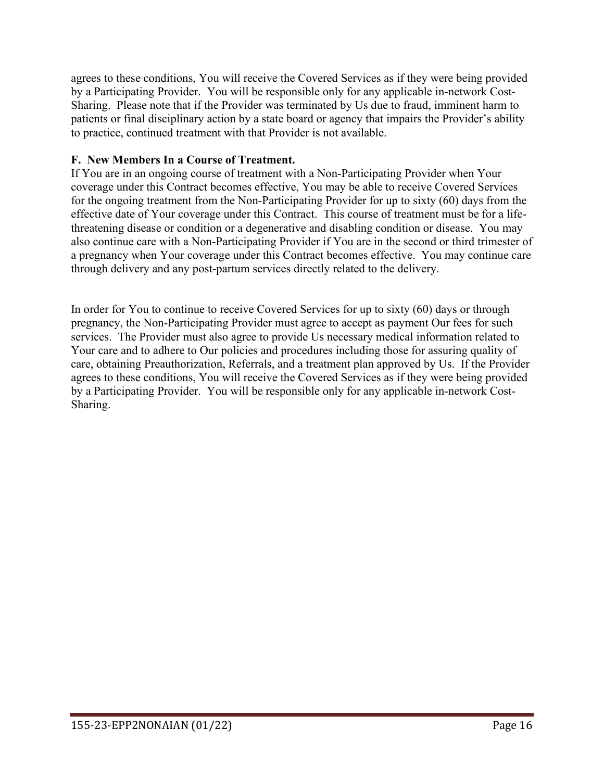agrees to these conditions, You will receive the Covered Services as if they were being provided by a Participating Provider. You will be responsible only for any applicable in-network Cost-Sharing. Please note that if the Provider was terminated by Us due to fraud, imminent harm to patients or final disciplinary action by a state board or agency that impairs the Provider's ability to practice, continued treatment with that Provider is not available.

### **F. New Members In a Course of Treatment.**

If You are in an ongoing course of treatment with a Non-Participating Provider when Your coverage under this Contract becomes effective, You may be able to receive Covered Services for the ongoing treatment from the Non-Participating Provider for up to sixty (60) days from the effective date of Your coverage under this Contract. This course of treatment must be for a lifethreatening disease or condition or a degenerative and disabling condition or disease. You may also continue care with a Non-Participating Provider if You are in the second or third trimester of a pregnancy when Your coverage under this Contract becomes effective. You may continue care through delivery and any post-partum services directly related to the delivery.

In order for You to continue to receive Covered Services for up to sixty (60) days or through pregnancy, the Non-Participating Provider must agree to accept as payment Our fees for such services. The Provider must also agree to provide Us necessary medical information related to Your care and to adhere to Our policies and procedures including those for assuring quality of care, obtaining Preauthorization, Referrals, and a treatment plan approved by Us. If the Provider agrees to these conditions, You will receive the Covered Services as if they were being provided by a Participating Provider. You will be responsible only for any applicable in-network Cost-Sharing.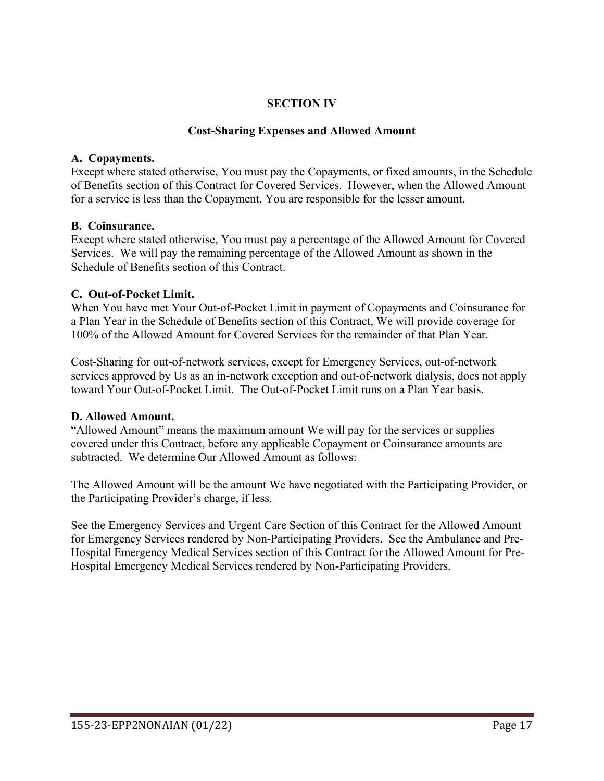### **SECTION IV**

#### **Cost-Sharing Expenses and Allowed Amount**

#### **A. Copayments.**

Except where stated otherwise, You must pay the Copayments, or fixed amounts, in the Schedule of Benefits section of this Contract for Covered Services. However, when the Allowed Amount for a service is less than the Copayment, You are responsible for the lesser amount.

### **B. Coinsurance.**

Except where stated otherwise, You must pay a percentage of the Allowed Amount for Covered Services. We will pay the remaining percentage of the Allowed Amount as shown in the Schedule of Benefits section of this Contract.

### **C. Out-of-Pocket Limit.**

When You have met Your Out-of-Pocket Limit in payment of Copayments and Coinsurance for a Plan Year in the Schedule of Benefits section of this Contract, We will provide coverage for 100% of the Allowed Amount for Covered Services for the remainder of that Plan Year.

Cost-Sharing for out-of-network services, except for Emergency Services, out-of-network services approved by Us as an in-network exception and out-of-network dialysis, does not apply toward Your Out-of-Pocket Limit. The Out-of-Pocket Limit runs on a Plan Year basis.

## **D. Allowed Amount.**

"Allowed Amount" means the maximum amount We will pay for the services or supplies covered under this Contract, before any applicable Copayment or Coinsurance amounts are subtracted. We determine Our Allowed Amount as follows:

The Allowed Amount will be the amount We have negotiated with the Participating Provider, or the Participating Provider's charge, if less.

See the Emergency Services and Urgent Care Section of this Contract for the Allowed Amount for Emergency Services rendered by Non-Participating Providers. See the Ambulance and Pre-Hospital Emergency Medical Services section of this Contract for the Allowed Amount for Pre-Hospital Emergency Medical Services rendered by Non-Participating Providers.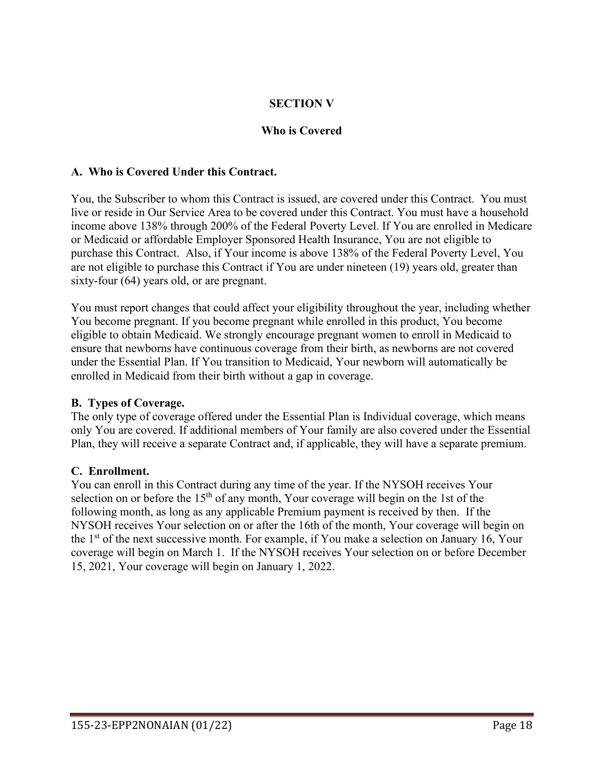## **SECTION V**

### **Who is Covered**

#### **A. Who is Covered Under this Contract.**

You, the Subscriber to whom this Contract is issued, are covered under this Contract. You must live or reside in Our Service Area to be covered under this Contract. You must have a household income above 138% through 200% of the Federal Poverty Level. If You are enrolled in Medicare or Medicaid or affordable Employer Sponsored Health Insurance, You are not eligible to purchase this Contract. Also, if Your income is above 138% of the Federal Poverty Level, You are not eligible to purchase this Contract if You are under nineteen (19) years old, greater than sixty-four (64) years old, or are pregnant.

You must report changes that could affect your eligibility throughout the year, including whether You become pregnant. If you become pregnant while enrolled in this product, You become eligible to obtain Medicaid. We strongly encourage pregnant women to enroll in Medicaid to ensure that newborns have continuous coverage from their birth, as newborns are not covered under the Essential Plan. If You transition to Medicaid, Your newborn will automatically be enrolled in Medicaid from their birth without a gap in coverage.

#### **B. Types of Coverage.**

The only type of coverage offered under the Essential Plan is Individual coverage, which means only You are covered. If additional members of Your family are also covered under the Essential Plan, they will receive a separate Contract and, if applicable, they will have a separate premium.

#### **C. Enrollment.**

You can enroll in this Contract during any time of the year. If the NYSOH receives Your selection on or before the  $15<sup>th</sup>$  of any month, Your coverage will begin on the 1st of the following month, as long as any applicable Premium payment is received by then. If the NYSOH receives Your selection on or after the 16th of the month, Your coverage will begin on the  $1<sup>st</sup>$  of the next successive month. For example, if You make a selection on January 16, Your coverage will begin on March 1. If the NYSOH receives Your selection on or before December 15, 2021, Your coverage will begin on January 1, 2022.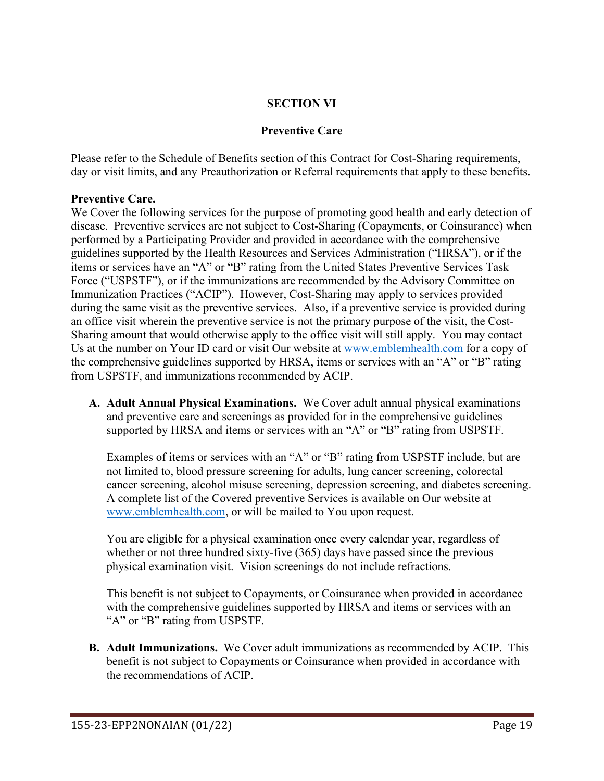### **SECTION VI**

#### **Preventive Care**

Please refer to the Schedule of Benefits section of this Contract for Cost-Sharing requirements, day or visit limits, and any Preauthorization or Referral requirements that apply to these benefits.

#### **Preventive Care.**

We Cover the following services for the purpose of promoting good health and early detection of disease. Preventive services are not subject to Cost-Sharing (Copayments, or Coinsurance) when performed by a Participating Provider and provided in accordance with the comprehensive guidelines supported by the Health Resources and Services Administration ("HRSA"), or if the items or services have an "A" or "B" rating from the United States Preventive Services Task Force ("USPSTF"), or if the immunizations are recommended by the Advisory Committee on Immunization Practices ("ACIP"). However, Cost-Sharing may apply to services provided during the same visit as the preventive services. Also, if a preventive service is provided during an office visit wherein the preventive service is not the primary purpose of the visit, the Cost-Sharing amount that would otherwise apply to the office visit will still apply. You may contact Us at the number on Your ID card or visit Our website at [www.emblemhealth.com](http://www.emblemhealth.com/) for a copy of the comprehensive guidelines supported by HRSA, items or services with an "A" or "B" rating from USPSTF, and immunizations recommended by ACIP.

**A. Adult Annual Physical Examinations.** We Cover adult annual physical examinations and preventive care and screenings as provided for in the comprehensive guidelines supported by HRSA and items or services with an "A" or "B" rating from USPSTF.

Examples of items or services with an "A" or "B" rating from USPSTF include, but are not limited to, blood pressure screening for adults, lung cancer screening, colorectal cancer screening, alcohol misuse screening, depression screening, and diabetes screening. A complete list of the Covered preventive Services is available on Our website at [www.emblemhealth.com,](http://www.emblemhealth.com/) or will be mailed to You upon request.

You are eligible for a physical examination once every calendar year, regardless of whether or not three hundred sixty-five (365) days have passed since the previous physical examination visit. Vision screenings do not include refractions.

This benefit is not subject to Copayments, or Coinsurance when provided in accordance with the comprehensive guidelines supported by HRSA and items or services with an "A" or "B" rating from USPSTF.

**B. Adult Immunizations.** We Cover adult immunizations as recommended by ACIP. This benefit is not subject to Copayments or Coinsurance when provided in accordance with the recommendations of ACIP.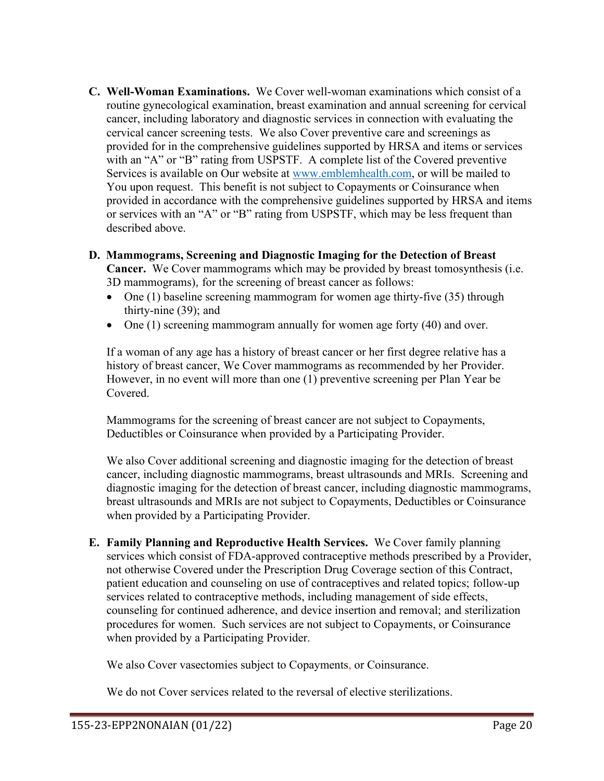**C. Well-Woman Examinations.** We Cover well-woman examinations which consist of a routine gynecological examination, breast examination and annual screening for cervical cancer, including laboratory and diagnostic services in connection with evaluating the cervical cancer screening tests. We also Cover preventive care and screenings as provided for in the comprehensive guidelines supported by HRSA and items or services with an "A" or "B" rating from USPSTF. A complete list of the Covered preventive Services is available on Our website at [www.emblemhealth.com,](http://www.emblemhealth.com/) or will be mailed to You upon request. This benefit is not subject to Copayments or Coinsurance when provided in accordance with the comprehensive guidelines supported by HRSA and items or services with an "A" or "B" rating from USPSTF, which may be less frequent than described above.

## **D. Mammograms, Screening and Diagnostic Imaging for the Detection of Breast**

**Cancer.** We Cover mammograms which may be provided by breast tomosynthesis (i.e. 3D mammograms), for the screening of breast cancer as follows:

- One (1) baseline screening mammogram for women age thirty-five (35) through thirty-nine (39); and
- One (1) screening mammogram annually for women age forty (40) and over.

If a woman of any age has a history of breast cancer or her first degree relative has a history of breast cancer, We Cover mammograms as recommended by her Provider. However, in no event will more than one (1) preventive screening per Plan Year be Covered.

Mammograms for the screening of breast cancer are not subject to Copayments, Deductibles or Coinsurance when provided by a Participating Provider.

We also Cover additional screening and diagnostic imaging for the detection of breast cancer, including diagnostic mammograms, breast ultrasounds and MRIs. Screening and diagnostic imaging for the detection of breast cancer, including diagnostic mammograms, breast ultrasounds and MRIs are not subject to Copayments, Deductibles or Coinsurance when provided by a Participating Provider.

**E. Family Planning and Reproductive Health Services.** We Cover family planning services which consist of FDA-approved contraceptive methods prescribed by a Provider, not otherwise Covered under the Prescription Drug Coverage section of this Contract, patient education and counseling on use of contraceptives and related topics; follow-up services related to contraceptive methods, including management of side effects, counseling for continued adherence, and device insertion and removal; and sterilization procedures for women. Such services are not subject to Copayments, or Coinsurance when provided by a Participating Provider.

We also Cover vasectomies subject to Copayments, or Coinsurance.

We do not Cover services related to the reversal of elective sterilizations.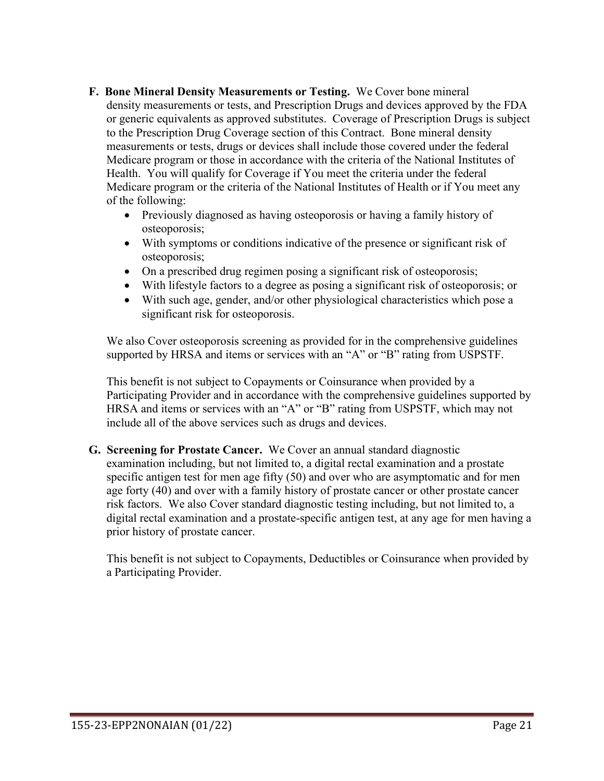- **F. Bone Mineral Density Measurements or Testing.** We Cover bone mineral density measurements or tests, and Prescription Drugs and devices approved by the FDA or generic equivalents as approved substitutes. Coverage of Prescription Drugs is subject to the Prescription Drug Coverage section of this Contract. Bone mineral density measurements or tests, drugs or devices shall include those covered under the federal Medicare program or those in accordance with the criteria of the National Institutes of Health. You will qualify for Coverage if You meet the criteria under the federal Medicare program or the criteria of the National Institutes of Health or if You meet any of the following:
	- Previously diagnosed as having osteoporosis or having a family history of osteoporosis;
	- With symptoms or conditions indicative of the presence or significant risk of osteoporosis;
	- On a prescribed drug regimen posing a significant risk of osteoporosis;
	- With lifestyle factors to a degree as posing a significant risk of osteoporosis; or
	- With such age, gender, and/or other physiological characteristics which pose a significant risk for osteoporosis.

We also Cover osteoporosis screening as provided for in the comprehensive guidelines supported by HRSA and items or services with an "A" or "B" rating from USPSTF.

This benefit is not subject to Copayments or Coinsurance when provided by a Participating Provider and in accordance with the comprehensive guidelines supported by HRSA and items or services with an "A" or "B" rating from USPSTF, which may not include all of the above services such as drugs and devices.

**G. Screening for Prostate Cancer.** We Cover an annual standard diagnostic examination including, but not limited to, a digital rectal examination and a prostate specific antigen test for men age fifty (50) and over who are asymptomatic and for men age forty (40) and over with a family history of prostate cancer or other prostate cancer risk factors. We also Cover standard diagnostic testing including, but not limited to, a digital rectal examination and a prostate-specific antigen test, at any age for men having a prior history of prostate cancer.

This benefit is not subject to Copayments, Deductibles or Coinsurance when provided by a Participating Provider.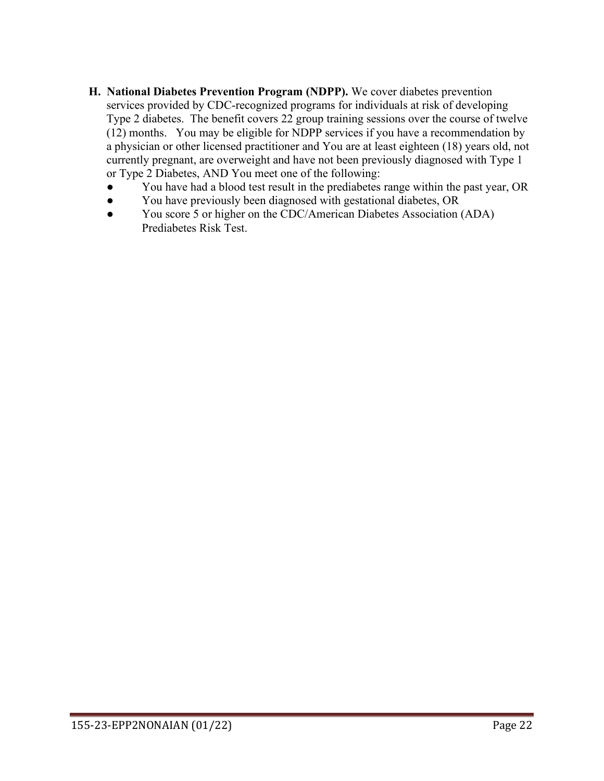- **H. National Diabetes Prevention Program (NDPP).** We cover diabetes prevention services provided by CDC-recognized programs for individuals at risk of developing Type 2 diabetes. The benefit covers 22 group training sessions over the course of twelve (12) months. You may be eligible for NDPP services if you have a recommendation by a physician or other licensed practitioner and You are at least eighteen (18) years old, not currently pregnant, are overweight and have not been previously diagnosed with Type 1 or Type 2 Diabetes, AND You meet one of the following:
	- You have had a blood test result in the prediabetes range within the past year, OR
	- You have previously been diagnosed with gestational diabetes, OR
	- You score 5 or higher on the CDC/American Diabetes Association (ADA) Prediabetes Risk Test.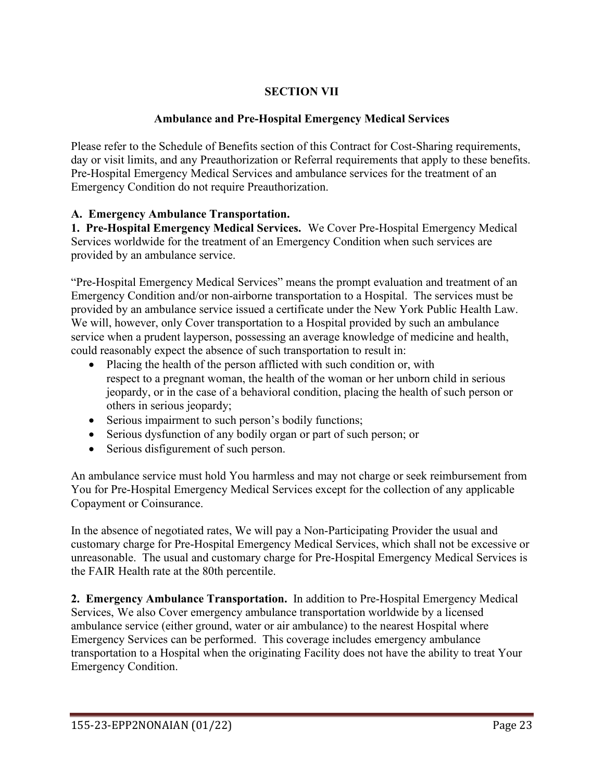## **SECTION VII**

### **Ambulance and Pre-Hospital Emergency Medical Services**

Please refer to the Schedule of Benefits section of this Contract for Cost-Sharing requirements, day or visit limits, and any Preauthorization or Referral requirements that apply to these benefits. Pre-Hospital Emergency Medical Services and ambulance services for the treatment of an Emergency Condition do not require Preauthorization.

### **A. Emergency Ambulance Transportation.**

**1. Pre-Hospital Emergency Medical Services.** We Cover Pre-Hospital Emergency Medical Services worldwide for the treatment of an Emergency Condition when such services are provided by an ambulance service.

"Pre-Hospital Emergency Medical Services" means the prompt evaluation and treatment of an Emergency Condition and/or non-airborne transportation to a Hospital. The services must be provided by an ambulance service issued a certificate under the New York Public Health Law. We will, however, only Cover transportation to a Hospital provided by such an ambulance service when a prudent layperson, possessing an average knowledge of medicine and health, could reasonably expect the absence of such transportation to result in:

- Placing the health of the person afflicted with such condition or, with respect to a pregnant woman, the health of the woman or her unborn child in serious jeopardy, or in the case of a behavioral condition, placing the health of such person or others in serious jeopardy;
- Serious impairment to such person's bodily functions;
- Serious dysfunction of any bodily organ or part of such person; or
- Serious disfigurement of such person.

An ambulance service must hold You harmless and may not charge or seek reimbursement from You for Pre-Hospital Emergency Medical Services except for the collection of any applicable Copayment or Coinsurance.

In the absence of negotiated rates, We will pay a Non-Participating Provider the usual and customary charge for Pre-Hospital Emergency Medical Services, which shall not be excessive or unreasonable. The usual and customary charge for Pre-Hospital Emergency Medical Services is the FAIR Health rate at the 80th percentile.

**2. Emergency Ambulance Transportation.** In addition to Pre-Hospital Emergency Medical Services, We also Cover emergency ambulance transportation worldwide by a licensed ambulance service (either ground, water or air ambulance) to the nearest Hospital where Emergency Services can be performed. This coverage includes emergency ambulance transportation to a Hospital when the originating Facility does not have the ability to treat Your Emergency Condition.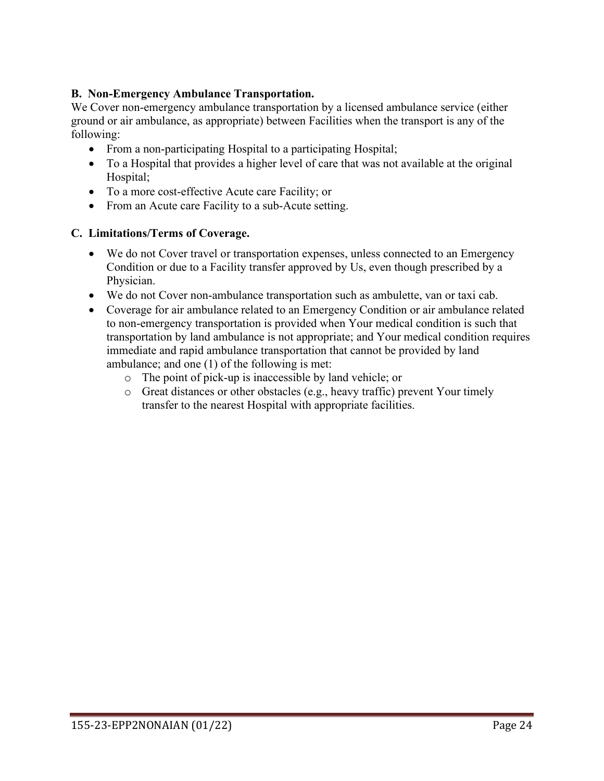### **B. Non-Emergency Ambulance Transportation.**

We Cover non-emergency ambulance transportation by a licensed ambulance service (either ground or air ambulance, as appropriate) between Facilities when the transport is any of the following:

- From a non-participating Hospital to a participating Hospital;
- To a Hospital that provides a higher level of care that was not available at the original Hospital;
- To a more cost-effective Acute care Facility; or
- From an Acute care Facility to a sub-Acute setting.

#### **C. Limitations/Terms of Coverage.**

- We do not Cover travel or transportation expenses, unless connected to an Emergency Condition or due to a Facility transfer approved by Us, even though prescribed by a Physician.
- We do not Cover non-ambulance transportation such as ambulette, van or taxi cab.
- Coverage for air ambulance related to an Emergency Condition or air ambulance related to non-emergency transportation is provided when Your medical condition is such that transportation by land ambulance is not appropriate; and Your medical condition requires immediate and rapid ambulance transportation that cannot be provided by land ambulance; and one (1) of the following is met:
	- o The point of pick-up is inaccessible by land vehicle; or
	- o Great distances or other obstacles (e.g., heavy traffic) prevent Your timely transfer to the nearest Hospital with appropriate facilities.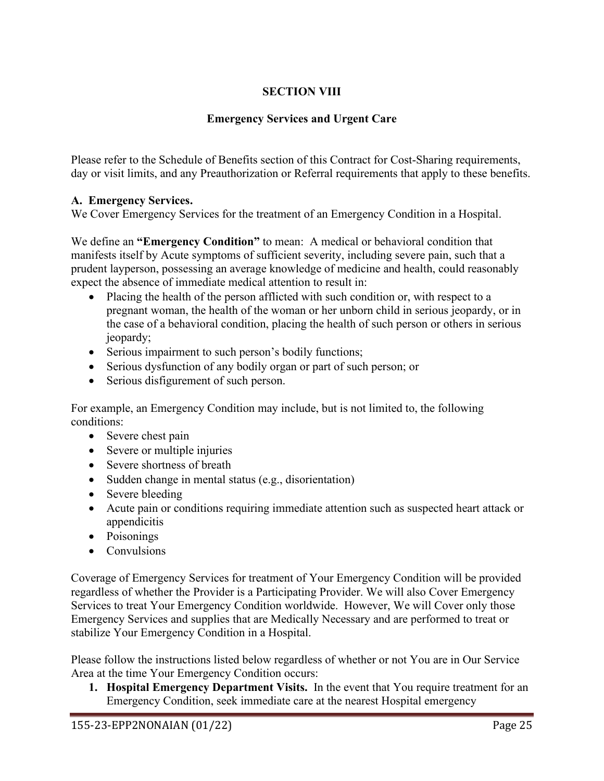## **SECTION VIII**

## **Emergency Services and Urgent Care**

Please refer to the Schedule of Benefits section of this Contract for Cost-Sharing requirements, day or visit limits, and any Preauthorization or Referral requirements that apply to these benefits.

### **A. Emergency Services.**

We Cover Emergency Services for the treatment of an Emergency Condition in a Hospital.

We define an **"Emergency Condition"** to mean: A medical or behavioral condition that manifests itself by Acute symptoms of sufficient severity, including severe pain, such that a prudent layperson, possessing an average knowledge of medicine and health, could reasonably expect the absence of immediate medical attention to result in:

- Placing the health of the person afflicted with such condition or, with respect to a pregnant woman, the health of the woman or her unborn child in serious jeopardy, or in the case of a behavioral condition, placing the health of such person or others in serious jeopardy;
- Serious impairment to such person's bodily functions;
- Serious dysfunction of any bodily organ or part of such person; or
- Serious disfigurement of such person.

For example, an Emergency Condition may include, but is not limited to, the following conditions:

- Severe chest pain
- Severe or multiple injuries
- Severe shortness of breath
- Sudden change in mental status (e.g., disorientation)
- Severe bleeding
- Acute pain or conditions requiring immediate attention such as suspected heart attack or appendicitis
- Poisonings
- Convulsions

Coverage of Emergency Services for treatment of Your Emergency Condition will be provided regardless of whether the Provider is a Participating Provider. We will also Cover Emergency Services to treat Your Emergency Condition worldwide. However, We will Cover only those Emergency Services and supplies that are Medically Necessary and are performed to treat or stabilize Your Emergency Condition in a Hospital.

Please follow the instructions listed below regardless of whether or not You are in Our Service Area at the time Your Emergency Condition occurs:

**1. Hospital Emergency Department Visits.** In the event that You require treatment for an Emergency Condition, seek immediate care at the nearest Hospital emergency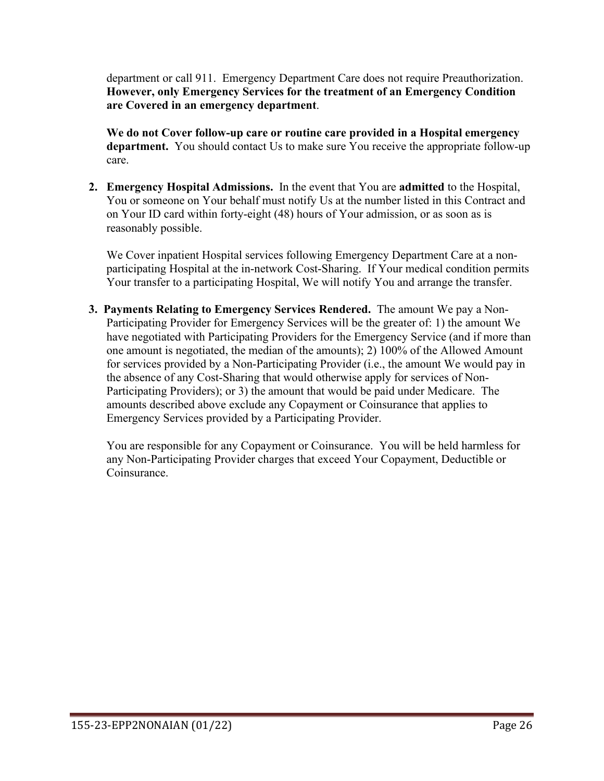department or call 911. Emergency Department Care does not require Preauthorization. **However, only Emergency Services for the treatment of an Emergency Condition are Covered in an emergency department**.

**We do not Cover follow-up care or routine care provided in a Hospital emergency department.** You should contact Us to make sure You receive the appropriate follow-up care.

**2. Emergency Hospital Admissions.** In the event that You are **admitted** to the Hospital, You or someone on Your behalf must notify Us at the number listed in this Contract and on Your ID card within forty-eight (48) hours of Your admission, or as soon as is reasonably possible.

We Cover inpatient Hospital services following Emergency Department Care at a nonparticipating Hospital at the in-network Cost-Sharing. If Your medical condition permits Your transfer to a participating Hospital, We will notify You and arrange the transfer.

**3. Payments Relating to Emergency Services Rendered.** The amount We pay a Non-Participating Provider for Emergency Services will be the greater of: 1) the amount We have negotiated with Participating Providers for the Emergency Service (and if more than one amount is negotiated, the median of the amounts); 2) 100% of the Allowed Amount for services provided by a Non-Participating Provider (i.e., the amount We would pay in the absence of any Cost-Sharing that would otherwise apply for services of Non-Participating Providers); or 3) the amount that would be paid under Medicare. The amounts described above exclude any Copayment or Coinsurance that applies to Emergency Services provided by a Participating Provider.

You are responsible for any Copayment or Coinsurance. You will be held harmless for any Non-Participating Provider charges that exceed Your Copayment, Deductible or Coinsurance.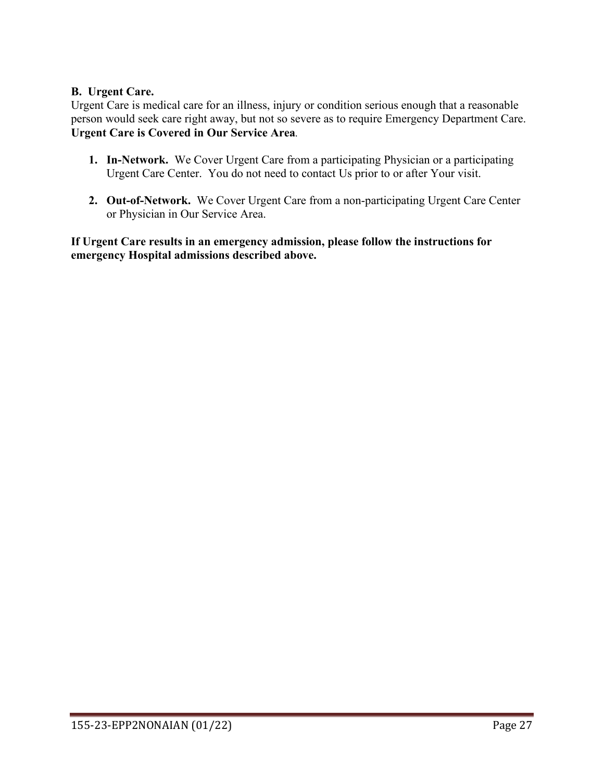### **B. Urgent Care.**

Urgent Care is medical care for an illness, injury or condition serious enough that a reasonable person would seek care right away, but not so severe as to require Emergency Department Care. **Urgent Care is Covered in Our Service Area***.* 

- **1. In-Network.** We Cover Urgent Care from a participating Physician or a participating Urgent Care Center. You do not need to contact Us prior to or after Your visit.
- **2. Out-of-Network.** We Cover Urgent Care from a non-participating Urgent Care Center or Physician in Our Service Area.

**If Urgent Care results in an emergency admission, please follow the instructions for emergency Hospital admissions described above.**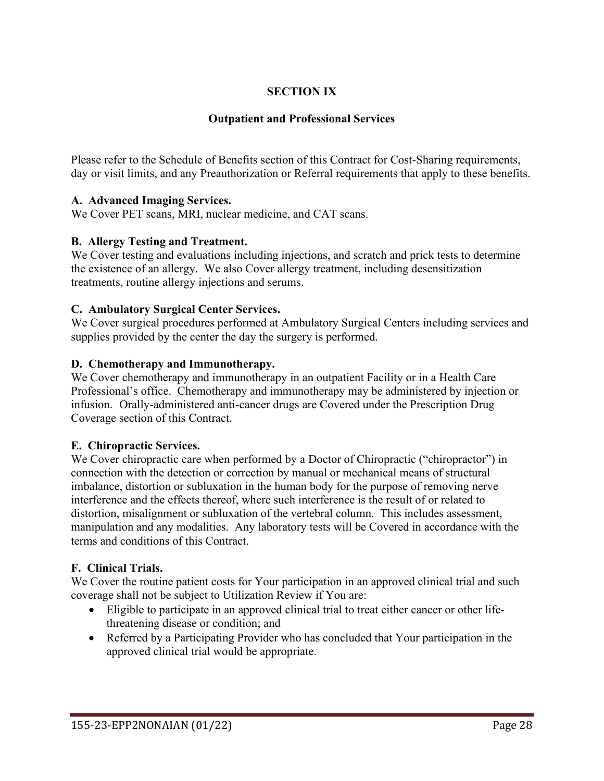## **SECTION IX**

### **Outpatient and Professional Services**

Please refer to the Schedule of Benefits section of this Contract for Cost-Sharing requirements, day or visit limits, and any Preauthorization or Referral requirements that apply to these benefits.

### **A. Advanced Imaging Services.**

We Cover PET scans, MRI, nuclear medicine, and CAT scans.

### **B. Allergy Testing and Treatment.**

We Cover testing and evaluations including injections, and scratch and prick tests to determine the existence of an allergy. We also Cover allergy treatment, including desensitization treatments, routine allergy injections and serums.

#### **C. Ambulatory Surgical Center Services.**

We Cover surgical procedures performed at Ambulatory Surgical Centers including services and supplies provided by the center the day the surgery is performed.

### **D. Chemotherapy and Immunotherapy.**

We Cover chemotherapy and immunotherapy in an outpatient Facility or in a Health Care Professional's office. Chemotherapy and immunotherapy may be administered by injection or infusion. Orally-administered anti-cancer drugs are Covered under the Prescription Drug Coverage section of this Contract.

#### **E. Chiropractic Services.**

We Cover chiropractic care when performed by a Doctor of Chiropractic ("chiropractor") in connection with the detection or correction by manual or mechanical means of structural imbalance, distortion or subluxation in the human body for the purpose of removing nerve interference and the effects thereof, where such interference is the result of or related to distortion, misalignment or subluxation of the vertebral column. This includes assessment, manipulation and any modalities. Any laboratory tests will be Covered in accordance with the terms and conditions of this Contract.

## **F. Clinical Trials.**

We Cover the routine patient costs for Your participation in an approved clinical trial and such coverage shall not be subject to Utilization Review if You are:

- Eligible to participate in an approved clinical trial to treat either cancer or other lifethreatening disease or condition; and
- Referred by a Participating Provider who has concluded that Your participation in the approved clinical trial would be appropriate.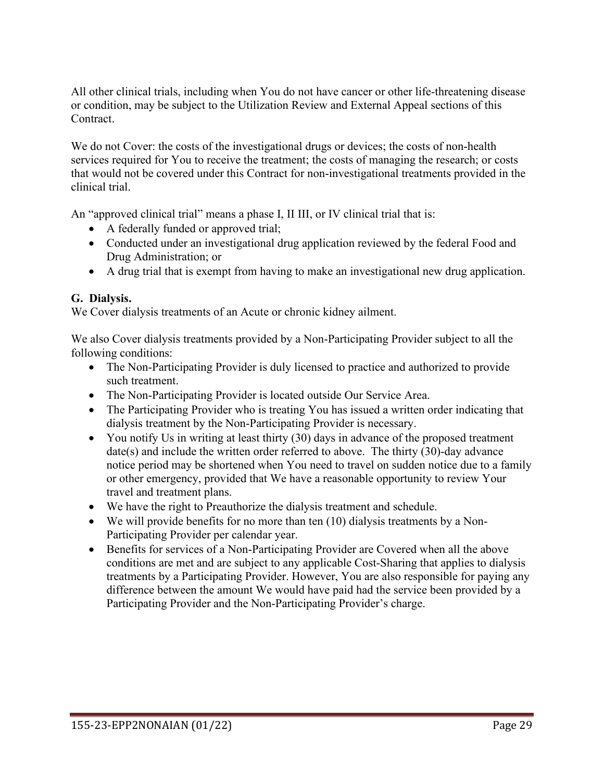All other clinical trials, including when You do not have cancer or other life-threatening disease or condition, may be subject to the Utilization Review and External Appeal sections of this Contract.

We do not Cover: the costs of the investigational drugs or devices; the costs of non-health services required for You to receive the treatment; the costs of managing the research; or costs that would not be covered under this Contract for non-investigational treatments provided in the clinical trial.

An "approved clinical trial" means a phase I, II III, or IV clinical trial that is:

- A federally funded or approved trial;
- Conducted under an investigational drug application reviewed by the federal Food and Drug Administration; or
- A drug trial that is exempt from having to make an investigational new drug application.

## **G. Dialysis.**

We Cover dialysis treatments of an Acute or chronic kidney ailment.

We also Cover dialysis treatments provided by a Non-Participating Provider subject to all the following conditions:

- The Non-Participating Provider is duly licensed to practice and authorized to provide such treatment.
- The Non-Participating Provider is located outside Our Service Area.
- The Participating Provider who is treating You has issued a written order indicating that dialysis treatment by the Non-Participating Provider is necessary.
- You notify Us in writing at least thirty (30) days in advance of the proposed treatment date(s) and include the written order referred to above. The thirty (30)-day advance notice period may be shortened when You need to travel on sudden notice due to a family or other emergency, provided that We have a reasonable opportunity to review Your travel and treatment plans.
- We have the right to Preauthorize the dialysis treatment and schedule.
- We will provide benefits for no more than ten (10) dialysis treatments by a Non-Participating Provider per calendar year.
- Benefits for services of a Non-Participating Provider are Covered when all the above conditions are met and are subject to any applicable Cost-Sharing that applies to dialysis treatments by a Participating Provider. However, You are also responsible for paying any difference between the amount We would have paid had the service been provided by a Participating Provider and the Non-Participating Provider's charge.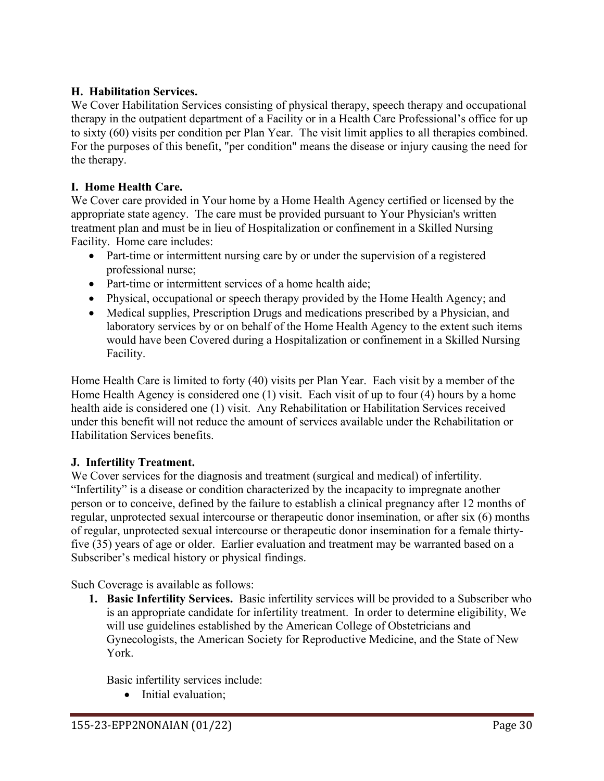## **H. Habilitation Services.**

We Cover Habilitation Services consisting of physical therapy, speech therapy and occupational therapy in the outpatient department of a Facility or in a Health Care Professional's office for up to sixty (60) visits per condition per Plan Year. The visit limit applies to all therapies combined. For the purposes of this benefit, "per condition" means the disease or injury causing the need for the therapy.

## **I. Home Health Care.**

We Cover care provided in Your home by a Home Health Agency certified or licensed by the appropriate state agency. The care must be provided pursuant to Your Physician's written treatment plan and must be in lieu of Hospitalization or confinement in a Skilled Nursing Facility. Home care includes:

- Part-time or intermittent nursing care by or under the supervision of a registered professional nurse;
- Part-time or intermittent services of a home health aide;
- Physical, occupational or speech therapy provided by the Home Health Agency; and
- Medical supplies, Prescription Drugs and medications prescribed by a Physician, and laboratory services by or on behalf of the Home Health Agency to the extent such items would have been Covered during a Hospitalization or confinement in a Skilled Nursing Facility.

Home Health Care is limited to forty (40) visits per Plan Year. Each visit by a member of the Home Health Agency is considered one (1) visit. Each visit of up to four (4) hours by a home health aide is considered one (1) visit. Any Rehabilitation or Habilitation Services received under this benefit will not reduce the amount of services available under the Rehabilitation or Habilitation Services benefits.

## **J. Infertility Treatment.**

We Cover services for the diagnosis and treatment (surgical and medical) of infertility. "Infertility" is a disease or condition characterized by the incapacity to impregnate another person or to conceive, defined by the failure to establish a clinical pregnancy after 12 months of regular, unprotected sexual intercourse or therapeutic donor insemination, or after six (6) months of regular, unprotected sexual intercourse or therapeutic donor insemination for a female thirtyfive (35) years of age or older. Earlier evaluation and treatment may be warranted based on a Subscriber's medical history or physical findings.

Such Coverage is available as follows:

**1. Basic Infertility Services.** Basic infertility services will be provided to a Subscriber who is an appropriate candidate for infertility treatment. In order to determine eligibility, We will use guidelines established by the American College of Obstetricians and Gynecologists, the American Society for Reproductive Medicine, and the State of New York.

Basic infertility services include:

• Initial evaluation;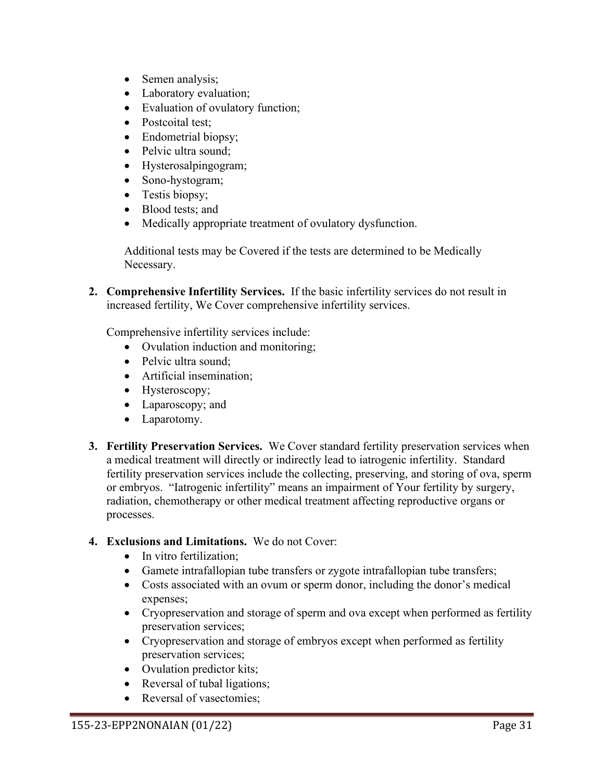- Semen analysis;
- Laboratory evaluation;
- Evaluation of ovulatory function;
- Postcoital test;
- Endometrial biopsy;
- Pelvic ultra sound;
- Hysterosalpingogram;
- Sono-hystogram;
- Testis biopsy;
- Blood tests: and
- Medically appropriate treatment of ovulatory dysfunction.

Additional tests may be Covered if the tests are determined to be Medically Necessary.

**2. Comprehensive Infertility Services.** If the basic infertility services do not result in increased fertility, We Cover comprehensive infertility services.

Comprehensive infertility services include:

- Ovulation induction and monitoring;
- Pelvic ultra sound:
- Artificial insemination;
- Hysteroscopy;
- Laparoscopy; and
- Laparotomy.
- **3. Fertility Preservation Services.** We Cover standard fertility preservation services when a medical treatment will directly or indirectly lead to iatrogenic infertility. Standard fertility preservation services include the collecting, preserving, and storing of ova, sperm or embryos. "Iatrogenic infertility" means an impairment of Your fertility by surgery, radiation, chemotherapy or other medical treatment affecting reproductive organs or processes.

#### **4. Exclusions and Limitations.** We do not Cover:

- In vitro fertilization:
- Gamete intrafallopian tube transfers or zygote intrafallopian tube transfers;
- Costs associated with an ovum or sperm donor, including the donor's medical expenses;
- Cryopreservation and storage of sperm and ova except when performed as fertility preservation services;
- Cryopreservation and storage of embryos except when performed as fertility preservation services;
- Ovulation predictor kits;
- Reversal of tubal ligations;
- Reversal of vasectomies: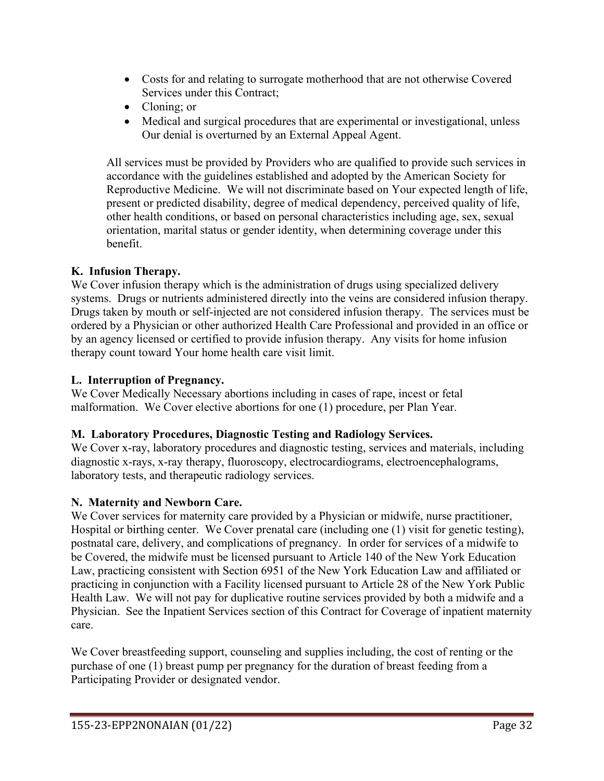- Costs for and relating to surrogate motherhood that are not otherwise Covered Services under this Contract;
- Cloning; or
- Medical and surgical procedures that are experimental or investigational, unless Our denial is overturned by an External Appeal Agent.

All services must be provided by Providers who are qualified to provide such services in accordance with the guidelines established and adopted by the American Society for Reproductive Medicine. We will not discriminate based on Your expected length of life, present or predicted disability, degree of medical dependency, perceived quality of life, other health conditions, or based on personal characteristics including age, sex, sexual orientation, marital status or gender identity, when determining coverage under this benefit.

## **K. Infusion Therapy.**

We Cover infusion therapy which is the administration of drugs using specialized delivery systems. Drugs or nutrients administered directly into the veins are considered infusion therapy. Drugs taken by mouth or self-injected are not considered infusion therapy. The services must be ordered by a Physician or other authorized Health Care Professional and provided in an office or by an agency licensed or certified to provide infusion therapy. Any visits for home infusion therapy count toward Your home health care visit limit.

## **L. Interruption of Pregnancy.**

We Cover Medically Necessary abortions including in cases of rape, incest or fetal malformation. We Cover elective abortions for one (1) procedure, per Plan Year.

## **M. Laboratory Procedures, Diagnostic Testing and Radiology Services.**

We Cover x-ray, laboratory procedures and diagnostic testing, services and materials, including diagnostic x-rays, x-ray therapy, fluoroscopy, electrocardiograms, electroencephalograms, laboratory tests, and therapeutic radiology services.

# **N. Maternity and Newborn Care.**

We Cover services for maternity care provided by a Physician or midwife, nurse practitioner, Hospital or birthing center. We Cover prenatal care (including one (1) visit for genetic testing), postnatal care, delivery, and complications of pregnancy. In order for services of a midwife to be Covered, the midwife must be licensed pursuant to Article 140 of the New York Education Law, practicing consistent with Section 6951 of the New York Education Law and affiliated or practicing in conjunction with a Facility licensed pursuant to Article 28 of the New York Public Health Law. We will not pay for duplicative routine services provided by both a midwife and a Physician. See the Inpatient Services section of this Contract for Coverage of inpatient maternity care.

We Cover breastfeeding support, counseling and supplies including, the cost of renting or the purchase of one (1) breast pump per pregnancy for the duration of breast feeding from a Participating Provider or designated vendor.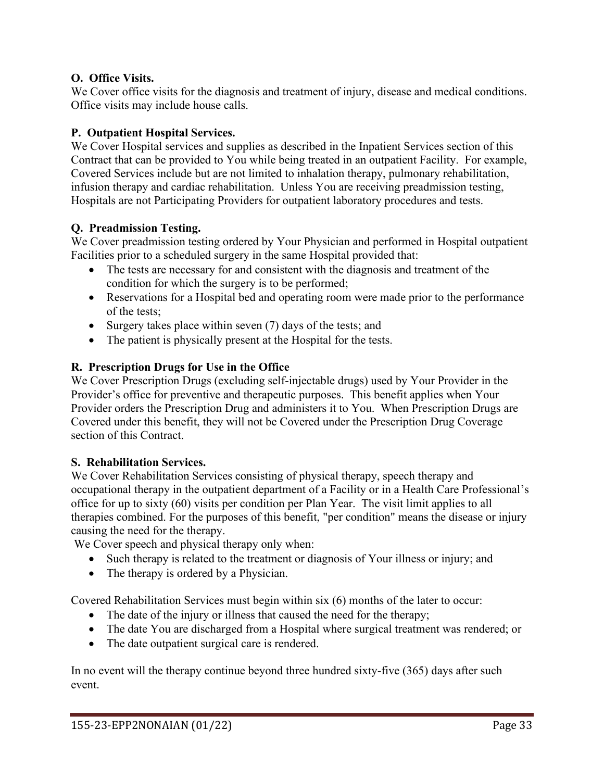### **O. Office Visits.**

We Cover office visits for the diagnosis and treatment of injury, disease and medical conditions. Office visits may include house calls.

# **P. Outpatient Hospital Services.**

We Cover Hospital services and supplies as described in the Inpatient Services section of this Contract that can be provided to You while being treated in an outpatient Facility. For example, Covered Services include but are not limited to inhalation therapy, pulmonary rehabilitation, infusion therapy and cardiac rehabilitation. Unless You are receiving preadmission testing, Hospitals are not Participating Providers for outpatient laboratory procedures and tests.

# **Q. Preadmission Testing.**

We Cover preadmission testing ordered by Your Physician and performed in Hospital outpatient Facilities prior to a scheduled surgery in the same Hospital provided that:

- The tests are necessary for and consistent with the diagnosis and treatment of the condition for which the surgery is to be performed;
- Reservations for a Hospital bed and operating room were made prior to the performance of the tests;
- Surgery takes place within seven (7) days of the tests; and
- The patient is physically present at the Hospital for the tests.

# **R. Prescription Drugs for Use in the Office**

We Cover Prescription Drugs (excluding self-injectable drugs) used by Your Provider in the Provider's office for preventive and therapeutic purposes. This benefit applies when Your Provider orders the Prescription Drug and administers it to You. When Prescription Drugs are Covered under this benefit, they will not be Covered under the Prescription Drug Coverage section of this Contract.

# **S. Rehabilitation Services.**

We Cover Rehabilitation Services consisting of physical therapy, speech therapy and occupational therapy in the outpatient department of a Facility or in a Health Care Professional's office for up to sixty (60) visits per condition per Plan Year. The visit limit applies to all therapies combined. For the purposes of this benefit, "per condition" means the disease or injury causing the need for the therapy.

We Cover speech and physical therapy only when:

- Such therapy is related to the treatment or diagnosis of Your illness or injury; and
- The therapy is ordered by a Physician.

Covered Rehabilitation Services must begin within six (6) months of the later to occur:

- The date of the injury or illness that caused the need for the therapy;
- The date You are discharged from a Hospital where surgical treatment was rendered; or
- The date outpatient surgical care is rendered.

In no event will the therapy continue beyond three hundred sixty-five (365) days after such event.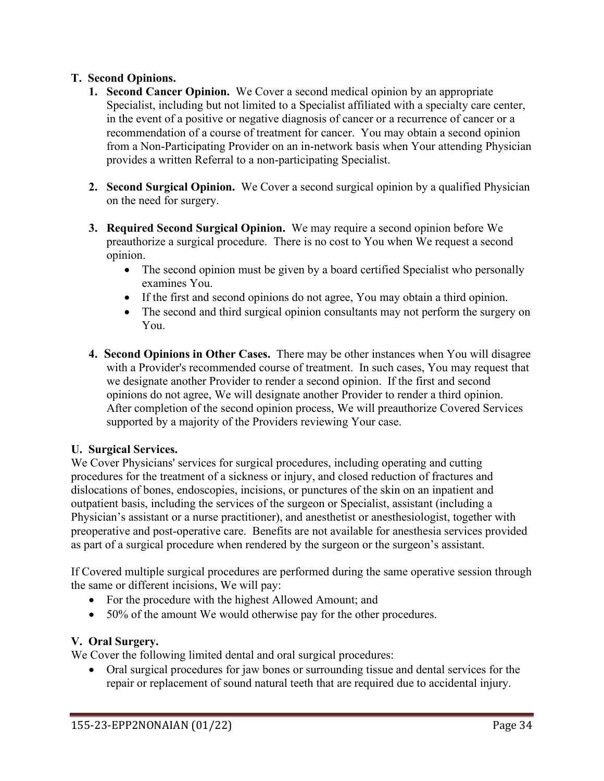### **T. Second Opinions.**

- **1. Second Cancer Opinion.** We Cover a second medical opinion by an appropriate Specialist, including but not limited to a Specialist affiliated with a specialty care center, in the event of a positive or negative diagnosis of cancer or a recurrence of cancer or a recommendation of a course of treatment for cancer. You may obtain a second opinion from a Non-Participating Provider on an in-network basis when Your attending Physician provides a written Referral to a non-participating Specialist.
- **2. Second Surgical Opinion.** We Cover a second surgical opinion by a qualified Physician on the need for surgery.
- **3. Required Second Surgical Opinion.** We may require a second opinion before We preauthorize a surgical procedure. There is no cost to You when We request a second opinion.
	- The second opinion must be given by a board certified Specialist who personally examines You.
	- If the first and second opinions do not agree, You may obtain a third opinion.
	- The second and third surgical opinion consultants may not perform the surgery on You.
- **4. Second Opinions in Other Cases.** There may be other instances when You will disagree with a Provider's recommended course of treatment. In such cases, You may request that we designate another Provider to render a second opinion. If the first and second opinions do not agree, We will designate another Provider to render a third opinion. After completion of the second opinion process, We will preauthorize Covered Services supported by a majority of the Providers reviewing Your case.

#### **U. Surgical Services.**

We Cover Physicians' services for surgical procedures, including operating and cutting procedures for the treatment of a sickness or injury, and closed reduction of fractures and dislocations of bones, endoscopies, incisions, or punctures of the skin on an inpatient and outpatient basis, including the services of the surgeon or Specialist, assistant (including a Physician's assistant or a nurse practitioner), and anesthetist or anesthesiologist, together with preoperative and post-operative care. Benefits are not available for anesthesia services provided as part of a surgical procedure when rendered by the surgeon or the surgeon's assistant.

If Covered multiple surgical procedures are performed during the same operative session through the same or different incisions, We will pay:

- For the procedure with the highest Allowed Amount; and
- 50% of the amount We would otherwise pay for the other procedures.

#### **V. Oral Surgery.**

We Cover the following limited dental and oral surgical procedures:

• Oral surgical procedures for jaw bones or surrounding tissue and dental services for the repair or replacement of sound natural teeth that are required due to accidental injury.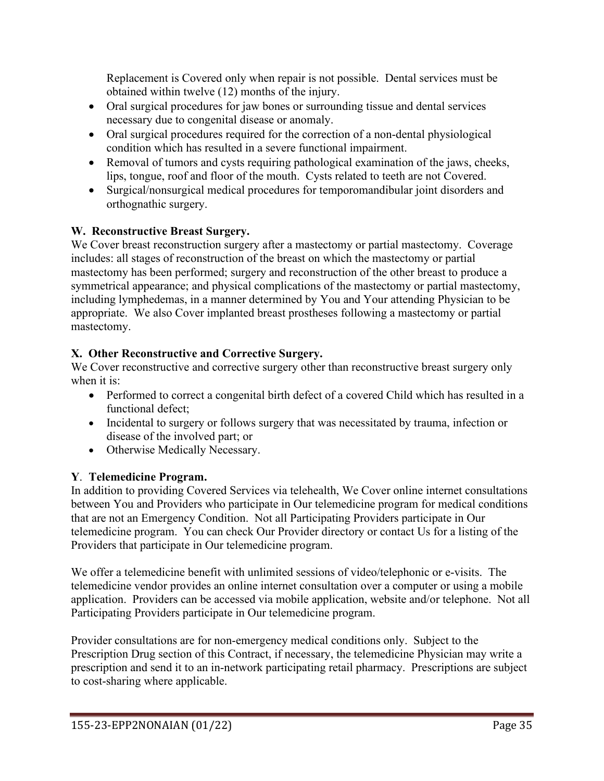Replacement is Covered only when repair is not possible. Dental services must be obtained within twelve (12) months of the injury.

- Oral surgical procedures for jaw bones or surrounding tissue and dental services necessary due to congenital disease or anomaly.
- Oral surgical procedures required for the correction of a non-dental physiological condition which has resulted in a severe functional impairment.
- Removal of tumors and cysts requiring pathological examination of the jaws, cheeks, lips, tongue, roof and floor of the mouth. Cysts related to teeth are not Covered.
- Surgical/nonsurgical medical procedures for temporomandibular joint disorders and orthognathic surgery.

# **W. Reconstructive Breast Surgery.**

We Cover breast reconstruction surgery after a mastectomy or partial mastectomy. Coverage includes: all stages of reconstruction of the breast on which the mastectomy or partial mastectomy has been performed; surgery and reconstruction of the other breast to produce a symmetrical appearance; and physical complications of the mastectomy or partial mastectomy, including lymphedemas, in a manner determined by You and Your attending Physician to be appropriate. We also Cover implanted breast prostheses following a mastectomy or partial mastectomy.

# **X. Other Reconstructive and Corrective Surgery.**

We Cover reconstructive and corrective surgery other than reconstructive breast surgery only when it is:

- Performed to correct a congenital birth defect of a covered Child which has resulted in a functional defect;
- Incidental to surgery or follows surgery that was necessitated by trauma, infection or disease of the involved part; or
- Otherwise Medically Necessary.

# **Y**. **Telemedicine Program.**

In addition to providing Covered Services via telehealth, We Cover online internet consultations between You and Providers who participate in Our telemedicine program for medical conditions that are not an Emergency Condition. Not all Participating Providers participate in Our telemedicine program. You can check Our Provider directory or contact Us for a listing of the Providers that participate in Our telemedicine program.

We offer a telemedicine benefit with unlimited sessions of video/telephonic or e-visits. The telemedicine vendor provides an online internet consultation over a computer or using a mobile application. Providers can be accessed via mobile application, website and/or telephone. Not all Participating Providers participate in Our telemedicine program.

Provider consultations are for non-emergency medical conditions only. Subject to the Prescription Drug section of this Contract, if necessary, the telemedicine Physician may write a prescription and send it to an in-network participating retail pharmacy. Prescriptions are subject to cost-sharing where applicable.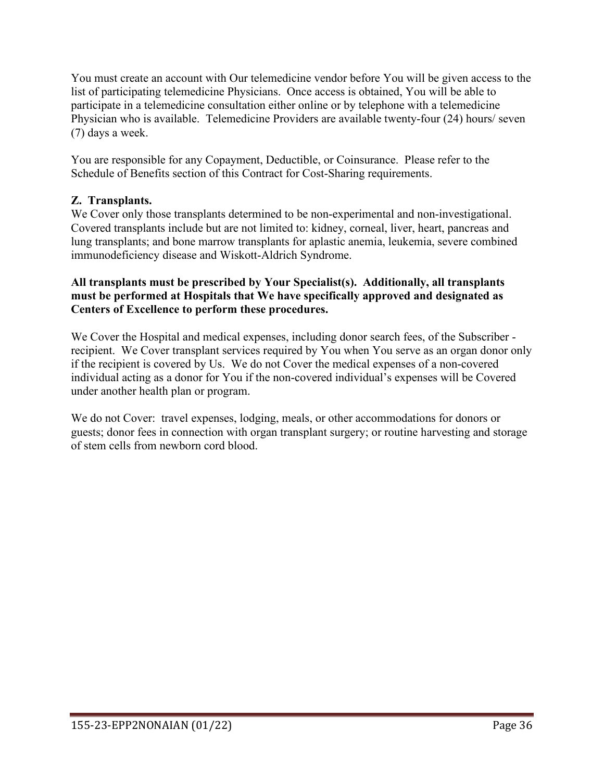You must create an account with Our telemedicine vendor before You will be given access to the list of participating telemedicine Physicians. Once access is obtained, You will be able to participate in a telemedicine consultation either online or by telephone with a telemedicine Physician who is available. Telemedicine Providers are available twenty-four (24) hours/ seven (7) days a week.

You are responsible for any Copayment, Deductible, or Coinsurance. Please refer to the Schedule of Benefits section of this Contract for Cost-Sharing requirements.

# **Z. Transplants.**

We Cover only those transplants determined to be non-experimental and non-investigational. Covered transplants include but are not limited to: kidney, corneal, liver, heart, pancreas and lung transplants; and bone marrow transplants for aplastic anemia, leukemia, severe combined immunodeficiency disease and Wiskott-Aldrich Syndrome.

#### **All transplants must be prescribed by Your Specialist(s). Additionally, all transplants must be performed at Hospitals that We have specifically approved and designated as Centers of Excellence to perform these procedures.**

We Cover the Hospital and medical expenses, including donor search fees, of the Subscriber recipient. We Cover transplant services required by You when You serve as an organ donor only if the recipient is covered by Us. We do not Cover the medical expenses of a non-covered individual acting as a donor for You if the non-covered individual's expenses will be Covered under another health plan or program.

We do not Cover: travel expenses, lodging, meals, or other accommodations for donors or guests; donor fees in connection with organ transplant surgery; or routine harvesting and storage of stem cells from newborn cord blood.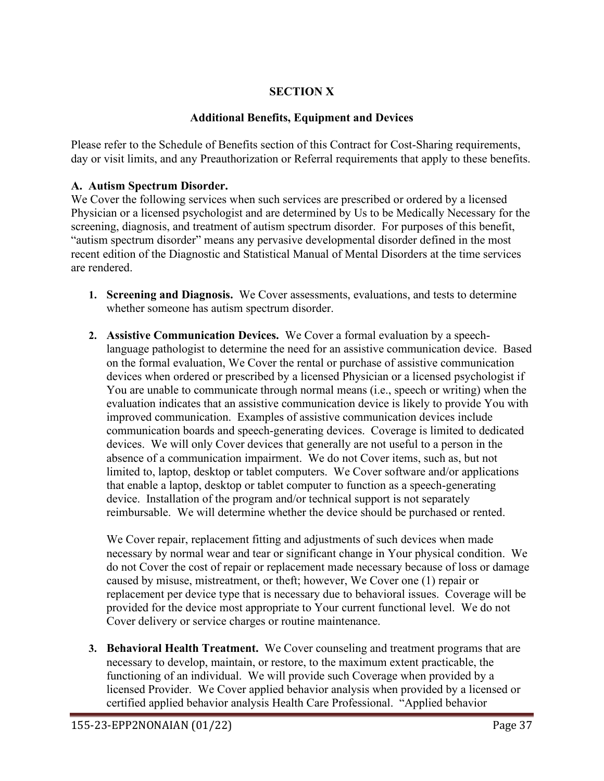# **SECTION X**

### **Additional Benefits, Equipment and Devices**

Please refer to the Schedule of Benefits section of this Contract for Cost-Sharing requirements, day or visit limits, and any Preauthorization or Referral requirements that apply to these benefits.

#### **A. Autism Spectrum Disorder.**

We Cover the following services when such services are prescribed or ordered by a licensed Physician or a licensed psychologist and are determined by Us to be Medically Necessary for the screening, diagnosis, and treatment of autism spectrum disorder. For purposes of this benefit, "autism spectrum disorder" means any pervasive developmental disorder defined in the most recent edition of the Diagnostic and Statistical Manual of Mental Disorders at the time services are rendered.

- **1. Screening and Diagnosis.** We Cover assessments, evaluations, and tests to determine whether someone has autism spectrum disorder.
- **2. Assistive Communication Devices.** We Cover a formal evaluation by a speechlanguage pathologist to determine the need for an assistive communication device. Based on the formal evaluation, We Cover the rental or purchase of assistive communication devices when ordered or prescribed by a licensed Physician or a licensed psychologist if You are unable to communicate through normal means (i.e., speech or writing) when the evaluation indicates that an assistive communication device is likely to provide You with improved communication. Examples of assistive communication devices include communication boards and speech-generating devices. Coverage is limited to dedicated devices. We will only Cover devices that generally are not useful to a person in the absence of a communication impairment. We do not Cover items, such as, but not limited to, laptop, desktop or tablet computers. We Cover software and/or applications that enable a laptop, desktop or tablet computer to function as a speech-generating device. Installation of the program and/or technical support is not separately reimbursable. We will determine whether the device should be purchased or rented.

We Cover repair, replacement fitting and adjustments of such devices when made necessary by normal wear and tear or significant change in Your physical condition. We do not Cover the cost of repair or replacement made necessary because of loss or damage caused by misuse, mistreatment, or theft; however, We Cover one (1) repair or replacement per device type that is necessary due to behavioral issues. Coverage will be provided for the device most appropriate to Your current functional level. We do not Cover delivery or service charges or routine maintenance.

**3. Behavioral Health Treatment.** We Cover counseling and treatment programs that are necessary to develop, maintain, or restore, to the maximum extent practicable, the functioning of an individual. We will provide such Coverage when provided by a licensed Provider. We Cover applied behavior analysis when provided by a licensed or certified applied behavior analysis Health Care Professional. "Applied behavior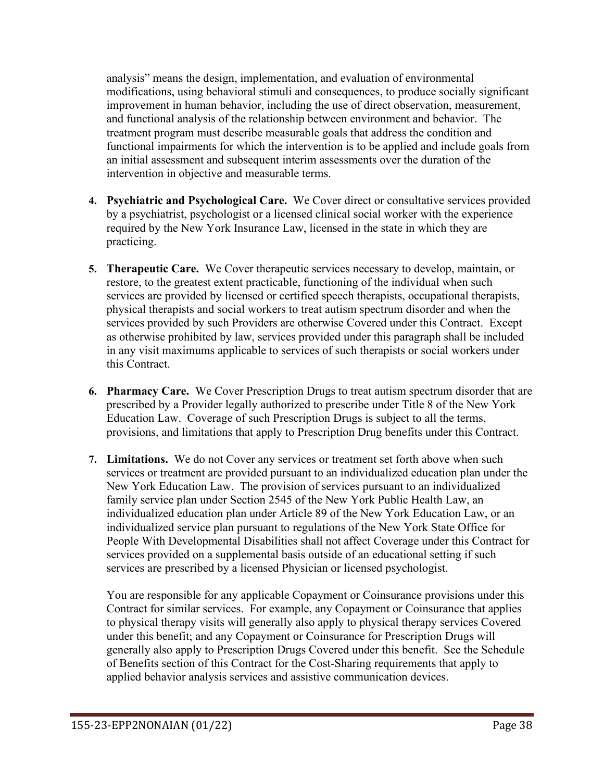analysis" means the design, implementation, and evaluation of environmental modifications, using behavioral stimuli and consequences, to produce socially significant improvement in human behavior, including the use of direct observation, measurement, and functional analysis of the relationship between environment and behavior. The treatment program must describe measurable goals that address the condition and functional impairments for which the intervention is to be applied and include goals from an initial assessment and subsequent interim assessments over the duration of the intervention in objective and measurable terms.

- **4. Psychiatric and Psychological Care.** We Cover direct or consultative services provided by a psychiatrist, psychologist or a licensed clinical social worker with the experience required by the New York Insurance Law, licensed in the state in which they are practicing.
- **5. Therapeutic Care.** We Cover therapeutic services necessary to develop, maintain, or restore, to the greatest extent practicable, functioning of the individual when such services are provided by licensed or certified speech therapists, occupational therapists, physical therapists and social workers to treat autism spectrum disorder and when the services provided by such Providers are otherwise Covered under this Contract. Except as otherwise prohibited by law, services provided under this paragraph shall be included in any visit maximums applicable to services of such therapists or social workers under this Contract.
- **6. Pharmacy Care.** We Cover Prescription Drugs to treat autism spectrum disorder that are prescribed by a Provider legally authorized to prescribe under Title 8 of the New York Education Law. Coverage of such Prescription Drugs is subject to all the terms, provisions, and limitations that apply to Prescription Drug benefits under this Contract.
- **7. Limitations.** We do not Cover any services or treatment set forth above when such services or treatment are provided pursuant to an individualized education plan under the New York Education Law. The provision of services pursuant to an individualized family service plan under Section 2545 of the New York Public Health Law, an individualized education plan under Article 89 of the New York Education Law, or an individualized service plan pursuant to regulations of the New York State Office for People With Developmental Disabilities shall not affect Coverage under this Contract for services provided on a supplemental basis outside of an educational setting if such services are prescribed by a licensed Physician or licensed psychologist.

You are responsible for any applicable Copayment or Coinsurance provisions under this Contract for similar services. For example, any Copayment or Coinsurance that applies to physical therapy visits will generally also apply to physical therapy services Covered under this benefit; and any Copayment or Coinsurance for Prescription Drugs will generally also apply to Prescription Drugs Covered under this benefit. See the Schedule of Benefits section of this Contract for the Cost-Sharing requirements that apply to applied behavior analysis services and assistive communication devices.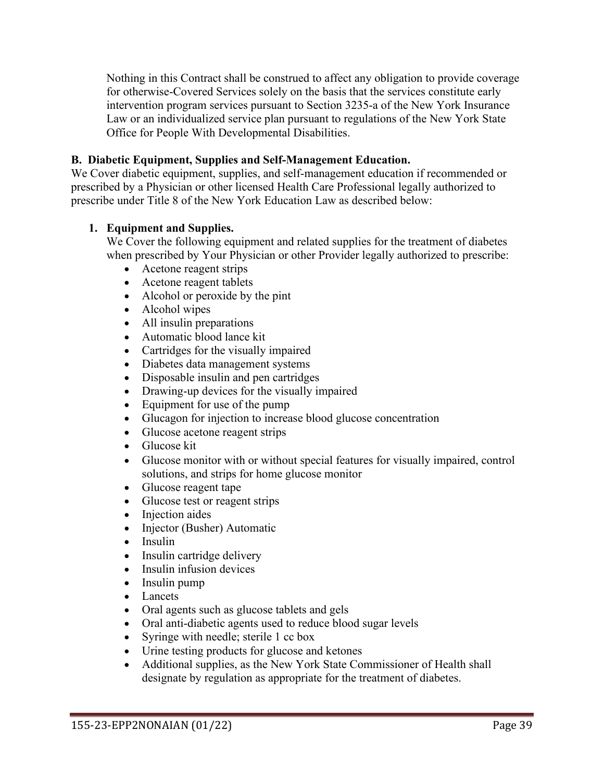Nothing in this Contract shall be construed to affect any obligation to provide coverage for otherwise-Covered Services solely on the basis that the services constitute early intervention program services pursuant to Section 3235-a of the New York Insurance Law or an individualized service plan pursuant to regulations of the New York State Office for People With Developmental Disabilities.

#### **B. Diabetic Equipment, Supplies and Self-Management Education.**

We Cover diabetic equipment, supplies, and self-management education if recommended or prescribed by a Physician or other licensed Health Care Professional legally authorized to prescribe under Title 8 of the New York Education Law as described below:

#### **1. Equipment and Supplies.**

We Cover the following equipment and related supplies for the treatment of diabetes when prescribed by Your Physician or other Provider legally authorized to prescribe:

- Acetone reagent strips
- Acetone reagent tablets
- Alcohol or peroxide by the pint
- Alcohol wipes
- All insulin preparations
- Automatic blood lance kit
- Cartridges for the visually impaired
- Diabetes data management systems
- Disposable insulin and pen cartridges
- Drawing-up devices for the visually impaired
- Equipment for use of the pump
- Glucagon for injection to increase blood glucose concentration
- Glucose acetone reagent strips
- Glucose kit
- Glucose monitor with or without special features for visually impaired, control solutions, and strips for home glucose monitor
- Glucose reagent tape
- Glucose test or reagent strips
- Injection aides
- Injector (Busher) Automatic
- Insulin
- Insulin cartridge delivery
- Insulin infusion devices
- Insulin pump
- Lancets
- Oral agents such as glucose tablets and gels
- Oral anti-diabetic agents used to reduce blood sugar levels
- Syringe with needle; sterile 1 cc box
- Urine testing products for glucose and ketones
- Additional supplies, as the New York State Commissioner of Health shall designate by regulation as appropriate for the treatment of diabetes.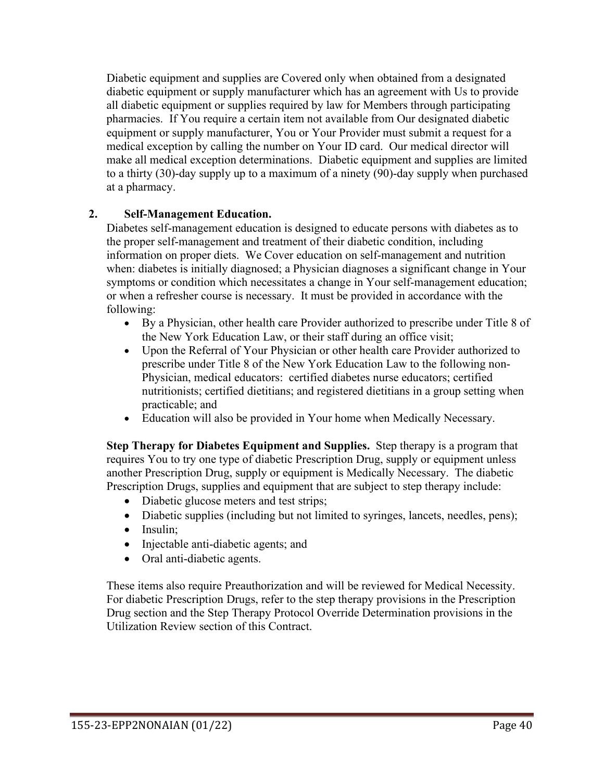Diabetic equipment and supplies are Covered only when obtained from a designated diabetic equipment or supply manufacturer which has an agreement with Us to provide all diabetic equipment or supplies required by law for Members through participating pharmacies. If You require a certain item not available from Our designated diabetic equipment or supply manufacturer, You or Your Provider must submit a request for a medical exception by calling the number on Your ID card. Our medical director will make all medical exception determinations. Diabetic equipment and supplies are limited to a thirty (30)-day supply up to a maximum of a ninety (90)-day supply when purchased at a pharmacy.

### **2. Self-Management Education.**

Diabetes self-management education is designed to educate persons with diabetes as to the proper self-management and treatment of their diabetic condition, including information on proper diets. We Cover education on self-management and nutrition when: diabetes is initially diagnosed; a Physician diagnoses a significant change in Your symptoms or condition which necessitates a change in Your self-management education; or when a refresher course is necessary. It must be provided in accordance with the following:

- By a Physician, other health care Provider authorized to prescribe under Title 8 of the New York Education Law, or their staff during an office visit;
- Upon the Referral of Your Physician or other health care Provider authorized to prescribe under Title 8 of the New York Education Law to the following non-Physician, medical educators: certified diabetes nurse educators; certified nutritionists; certified dietitians; and registered dietitians in a group setting when practicable; and
- Education will also be provided in Your home when Medically Necessary.

**Step Therapy for Diabetes Equipment and Supplies.** Step therapy is a program that requires You to try one type of diabetic Prescription Drug, supply or equipment unless another Prescription Drug, supply or equipment is Medically Necessary. The diabetic Prescription Drugs, supplies and equipment that are subject to step therapy include:

- Diabetic glucose meters and test strips;
- Diabetic supplies (including but not limited to syringes, lancets, needles, pens);
- Insulin;
- Injectable anti-diabetic agents; and
- Oral anti-diabetic agents.

These items also require Preauthorization and will be reviewed for Medical Necessity. For diabetic Prescription Drugs, refer to the step therapy provisions in the Prescription Drug section and the Step Therapy Protocol Override Determination provisions in the Utilization Review section of this Contract.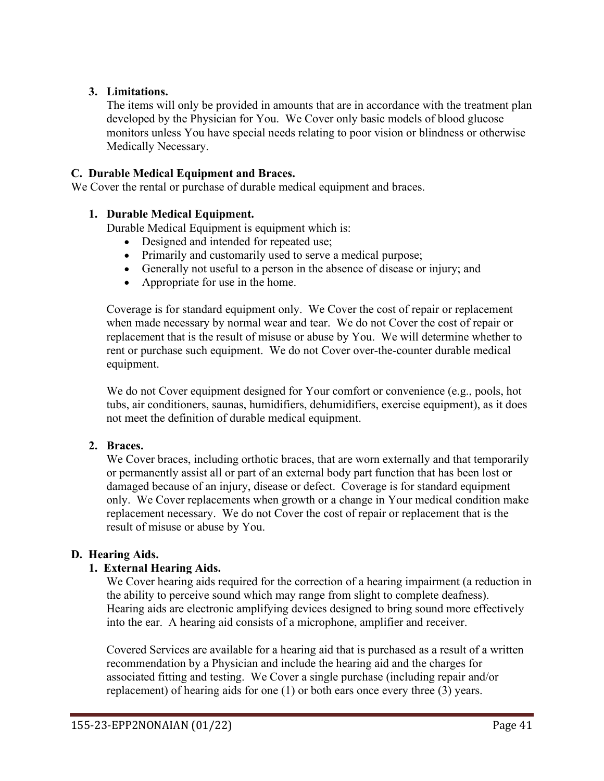### **3. Limitations.**

The items will only be provided in amounts that are in accordance with the treatment plan developed by the Physician for You. We Cover only basic models of blood glucose monitors unless You have special needs relating to poor vision or blindness or otherwise Medically Necessary.

#### **C. Durable Medical Equipment and Braces.**

We Cover the rental or purchase of durable medical equipment and braces.

#### **1. Durable Medical Equipment.**

Durable Medical Equipment is equipment which is:

- Designed and intended for repeated use;
- Primarily and customarily used to serve a medical purpose;
- Generally not useful to a person in the absence of disease or injury; and
- Appropriate for use in the home.

Coverage is for standard equipment only. We Cover the cost of repair or replacement when made necessary by normal wear and tear. We do not Cover the cost of repair or replacement that is the result of misuse or abuse by You. We will determine whether to rent or purchase such equipment. We do not Cover over-the-counter durable medical equipment.

We do not Cover equipment designed for Your comfort or convenience (e.g., pools, hot tubs, air conditioners, saunas, humidifiers, dehumidifiers, exercise equipment), as it does not meet the definition of durable medical equipment.

#### **2. Braces.**

We Cover braces, including orthotic braces, that are worn externally and that temporarily or permanently assist all or part of an external body part function that has been lost or damaged because of an injury, disease or defect. Coverage is for standard equipment only. We Cover replacements when growth or a change in Your medical condition make replacement necessary. We do not Cover the cost of repair or replacement that is the result of misuse or abuse by You.

#### **D. Hearing Aids.**

#### **1. External Hearing Aids.**

We Cover hearing aids required for the correction of a hearing impairment (a reduction in the ability to perceive sound which may range from slight to complete deafness). Hearing aids are electronic amplifying devices designed to bring sound more effectively into the ear. A hearing aid consists of a microphone, amplifier and receiver.

Covered Services are available for a hearing aid that is purchased as a result of a written recommendation by a Physician and include the hearing aid and the charges for associated fitting and testing. We Cover a single purchase (including repair and/or replacement) of hearing aids for one (1) or both ears once every three (3) years.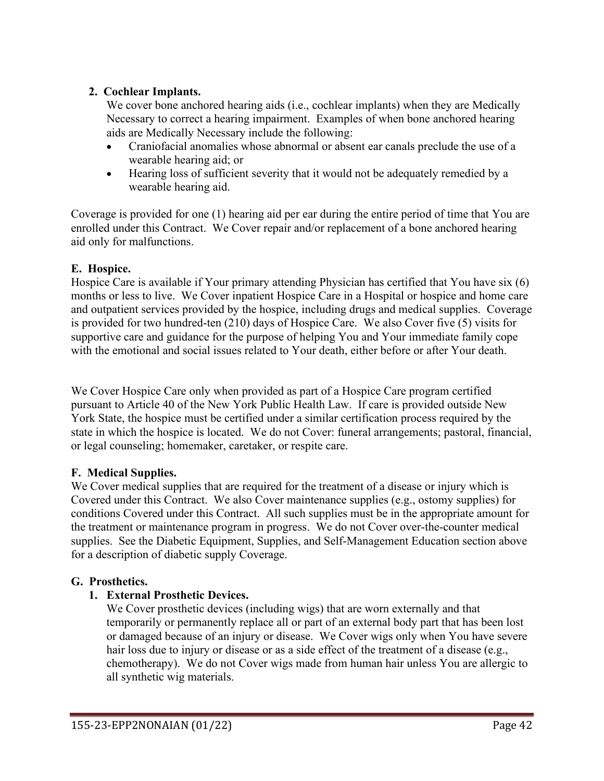### **2. Cochlear Implants.**

We cover bone anchored hearing aids (i.e., cochlear implants) when they are Medically Necessary to correct a hearing impairment. Examples of when bone anchored hearing aids are Medically Necessary include the following:

- Craniofacial anomalies whose abnormal or absent ear canals preclude the use of a wearable hearing aid; or
- Hearing loss of sufficient severity that it would not be adequately remedied by a wearable hearing aid.

Coverage is provided for one (1) hearing aid per ear during the entire period of time that You are enrolled under this Contract. We Cover repair and/or replacement of a bone anchored hearing aid only for malfunctions.

# **E. Hospice.**

Hospice Care is available if Your primary attending Physician has certified that You have six (6) months or less to live. We Cover inpatient Hospice Care in a Hospital or hospice and home care and outpatient services provided by the hospice, including drugs and medical supplies. Coverage is provided for two hundred-ten (210) days of Hospice Care. We also Cover five (5) visits for supportive care and guidance for the purpose of helping You and Your immediate family cope with the emotional and social issues related to Your death, either before or after Your death.

We Cover Hospice Care only when provided as part of a Hospice Care program certified pursuant to Article 40 of the New York Public Health Law. If care is provided outside New York State, the hospice must be certified under a similar certification process required by the state in which the hospice is located. We do not Cover: funeral arrangements; pastoral, financial, or legal counseling; homemaker, caretaker, or respite care.

# **F. Medical Supplies.**

We Cover medical supplies that are required for the treatment of a disease or injury which is Covered under this Contract. We also Cover maintenance supplies (e.g., ostomy supplies) for conditions Covered under this Contract. All such supplies must be in the appropriate amount for the treatment or maintenance program in progress. We do not Cover over-the-counter medical supplies. See the Diabetic Equipment, Supplies, and Self-Management Education section above for a description of diabetic supply Coverage.

# **G. Prosthetics.**

# **1. External Prosthetic Devices.**

We Cover prosthetic devices (including wigs) that are worn externally and that temporarily or permanently replace all or part of an external body part that has been lost or damaged because of an injury or disease. We Cover wigs only when You have severe hair loss due to injury or disease or as a side effect of the treatment of a disease (e.g., chemotherapy). We do not Cover wigs made from human hair unless You are allergic to all synthetic wig materials.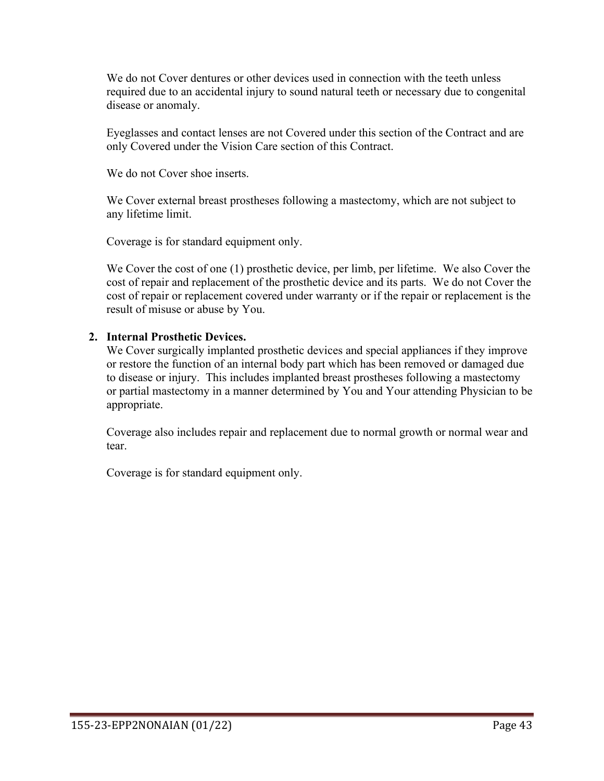We do not Cover dentures or other devices used in connection with the teeth unless required due to an accidental injury to sound natural teeth or necessary due to congenital disease or anomaly.

Eyeglasses and contact lenses are not Covered under this section of the Contract and are only Covered under the Vision Care section of this Contract.

We do not Cover shoe inserts.

We Cover external breast prostheses following a mastectomy, which are not subject to any lifetime limit.

Coverage is for standard equipment only.

We Cover the cost of one (1) prosthetic device, per limb, per lifetime. We also Cover the cost of repair and replacement of the prosthetic device and its parts. We do not Cover the cost of repair or replacement covered under warranty or if the repair or replacement is the result of misuse or abuse by You.

#### **2. Internal Prosthetic Devices.**

We Cover surgically implanted prosthetic devices and special appliances if they improve or restore the function of an internal body part which has been removed or damaged due to disease or injury. This includes implanted breast prostheses following a mastectomy or partial mastectomy in a manner determined by You and Your attending Physician to be appropriate.

Coverage also includes repair and replacement due to normal growth or normal wear and tear.

Coverage is for standard equipment only.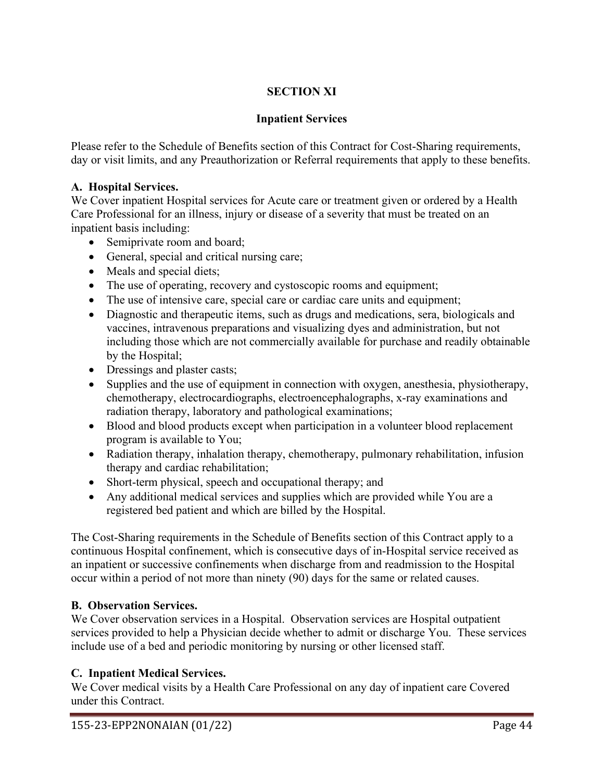# **SECTION XI**

# **Inpatient Services**

Please refer to the Schedule of Benefits section of this Contract for Cost-Sharing requirements, day or visit limits, and any Preauthorization or Referral requirements that apply to these benefits.

### **A. Hospital Services.**

We Cover inpatient Hospital services for Acute care or treatment given or ordered by a Health Care Professional for an illness, injury or disease of a severity that must be treated on an inpatient basis including:

- Semiprivate room and board;
- General, special and critical nursing care;
- Meals and special diets;
- The use of operating, recovery and cystoscopic rooms and equipment;
- The use of intensive care, special care or cardiac care units and equipment;
- Diagnostic and therapeutic items, such as drugs and medications, sera, biologicals and vaccines, intravenous preparations and visualizing dyes and administration, but not including those which are not commercially available for purchase and readily obtainable by the Hospital;
- Dressings and plaster casts;
- Supplies and the use of equipment in connection with oxygen, anesthesia, physiotherapy, chemotherapy, electrocardiographs, electroencephalographs, x-ray examinations and radiation therapy, laboratory and pathological examinations;
- Blood and blood products except when participation in a volunteer blood replacement program is available to You;
- Radiation therapy, inhalation therapy, chemotherapy, pulmonary rehabilitation, infusion therapy and cardiac rehabilitation;
- Short-term physical, speech and occupational therapy; and
- Any additional medical services and supplies which are provided while You are a registered bed patient and which are billed by the Hospital.

The Cost-Sharing requirements in the Schedule of Benefits section of this Contract apply to a continuous Hospital confinement, which is consecutive days of in-Hospital service received as an inpatient or successive confinements when discharge from and readmission to the Hospital occur within a period of not more than ninety (90) days for the same or related causes.

# **B. Observation Services.**

We Cover observation services in a Hospital. Observation services are Hospital outpatient services provided to help a Physician decide whether to admit or discharge You. These services include use of a bed and periodic monitoring by nursing or other licensed staff.

# **C. Inpatient Medical Services.**

We Cover medical visits by a Health Care Professional on any day of inpatient care Covered under this Contract.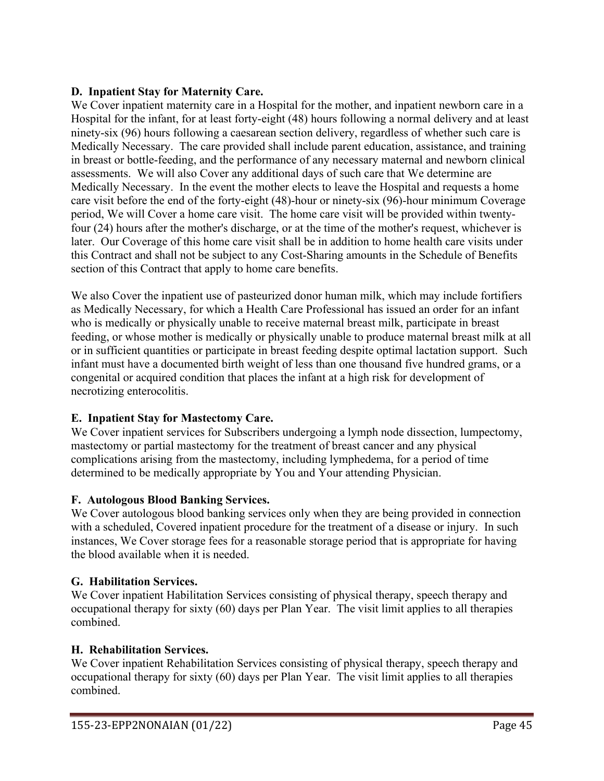### **D. Inpatient Stay for Maternity Care.**

We Cover inpatient maternity care in a Hospital for the mother, and inpatient newborn care in a Hospital for the infant, for at least forty-eight (48) hours following a normal delivery and at least ninety-six (96) hours following a caesarean section delivery, regardless of whether such care is Medically Necessary. The care provided shall include parent education, assistance, and training in breast or bottle-feeding, and the performance of any necessary maternal and newborn clinical assessments. We will also Cover any additional days of such care that We determine are Medically Necessary. In the event the mother elects to leave the Hospital and requests a home care visit before the end of the forty-eight (48)-hour or ninety-six (96)-hour minimum Coverage period, We will Cover a home care visit. The home care visit will be provided within twentyfour (24) hours after the mother's discharge, or at the time of the mother's request, whichever is later. Our Coverage of this home care visit shall be in addition to home health care visits under this Contract and shall not be subject to any Cost-Sharing amounts in the Schedule of Benefits section of this Contract that apply to home care benefits.

We also Cover the inpatient use of pasteurized donor human milk, which may include fortifiers as Medically Necessary, for which a Health Care Professional has issued an order for an infant who is medically or physically unable to receive maternal breast milk, participate in breast feeding, or whose mother is medically or physically unable to produce maternal breast milk at all or in sufficient quantities or participate in breast feeding despite optimal lactation support. Such infant must have a documented birth weight of less than one thousand five hundred grams, or a congenital or acquired condition that places the infant at a high risk for development of necrotizing enterocolitis.

# **E. Inpatient Stay for Mastectomy Care.**

We Cover inpatient services for Subscribers undergoing a lymph node dissection, lumpectomy, mastectomy or partial mastectomy for the treatment of breast cancer and any physical complications arising from the mastectomy, including lymphedema, for a period of time determined to be medically appropriate by You and Your attending Physician.

#### **F. Autologous Blood Banking Services.**

We Cover autologous blood banking services only when they are being provided in connection with a scheduled, Covered inpatient procedure for the treatment of a disease or injury. In such instances, We Cover storage fees for a reasonable storage period that is appropriate for having the blood available when it is needed.

# **G. Habilitation Services.**

We Cover inpatient Habilitation Services consisting of physical therapy, speech therapy and occupational therapy for sixty (60) days per Plan Year. The visit limit applies to all therapies combined.

#### **H. Rehabilitation Services.**

We Cover inpatient Rehabilitation Services consisting of physical therapy, speech therapy and occupational therapy for sixty (60) days per Plan Year. The visit limit applies to all therapies combined.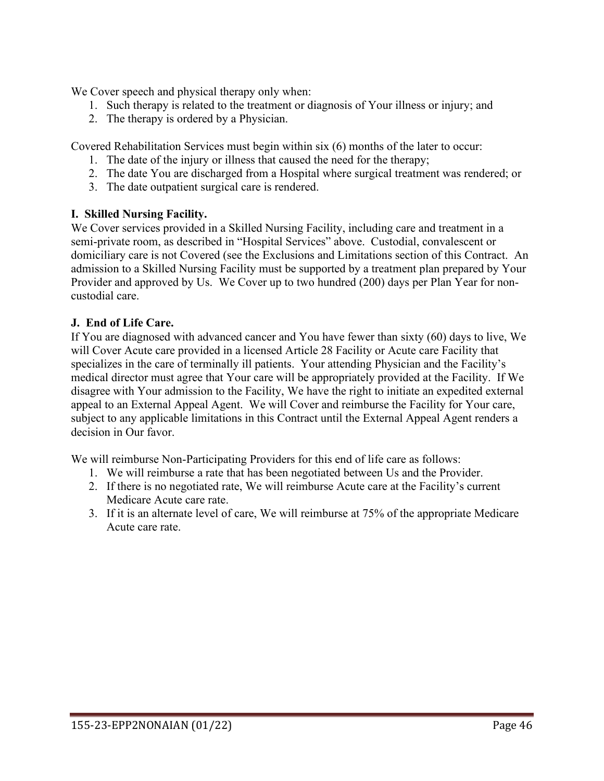We Cover speech and physical therapy only when:

- 1. Such therapy is related to the treatment or diagnosis of Your illness or injury; and
- 2. The therapy is ordered by a Physician.

Covered Rehabilitation Services must begin within six (6) months of the later to occur:

- 1. The date of the injury or illness that caused the need for the therapy;
- 2. The date You are discharged from a Hospital where surgical treatment was rendered; or
- 3. The date outpatient surgical care is rendered.

### **I. Skilled Nursing Facility.**

We Cover services provided in a Skilled Nursing Facility, including care and treatment in a semi-private room, as described in "Hospital Services" above. Custodial, convalescent or domiciliary care is not Covered (see the Exclusions and Limitations section of this Contract. An admission to a Skilled Nursing Facility must be supported by a treatment plan prepared by Your Provider and approved by Us. We Cover up to two hundred (200) days per Plan Year for noncustodial care.

### **J. End of Life Care.**

If You are diagnosed with advanced cancer and You have fewer than sixty (60) days to live, We will Cover Acute care provided in a licensed Article 28 Facility or Acute care Facility that specializes in the care of terminally ill patients. Your attending Physician and the Facility's medical director must agree that Your care will be appropriately provided at the Facility. If We disagree with Your admission to the Facility, We have the right to initiate an expedited external appeal to an External Appeal Agent. We will Cover and reimburse the Facility for Your care, subject to any applicable limitations in this Contract until the External Appeal Agent renders a decision in Our favor.

We will reimburse Non-Participating Providers for this end of life care as follows:

- 1. We will reimburse a rate that has been negotiated between Us and the Provider.
- 2. If there is no negotiated rate, We will reimburse Acute care at the Facility's current Medicare Acute care rate.
- 3. If it is an alternate level of care, We will reimburse at 75% of the appropriate Medicare Acute care rate.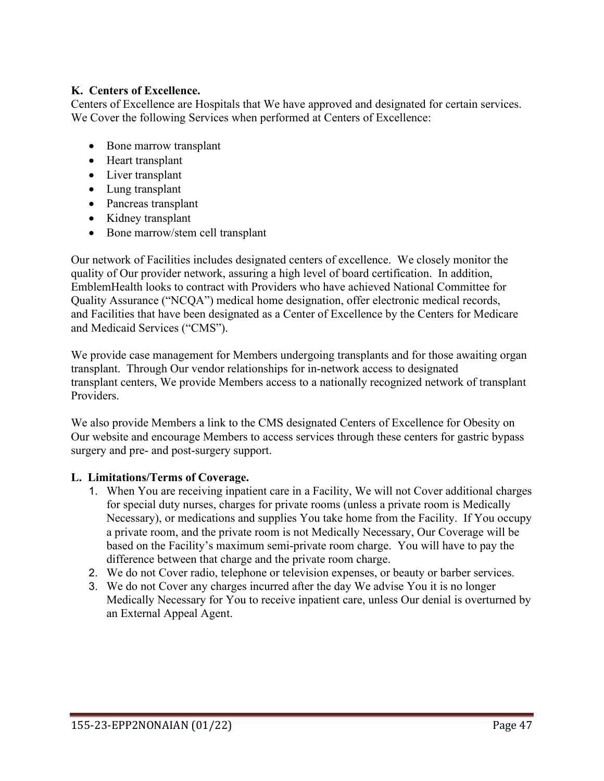#### **K. Centers of Excellence.**

Centers of Excellence are Hospitals that We have approved and designated for certain services. We Cover the following Services when performed at Centers of Excellence:

- Bone marrow transplant
- Heart transplant
- Liver transplant
- Lung transplant
- Pancreas transplant
- Kidney transplant
- Bone marrow/stem cell transplant

Our network of Facilities includes designated centers of excellence. We closely monitor the quality of Our provider network, assuring a high level of board certification. In addition, EmblemHealth looks to contract with Providers who have achieved National Committee for Quality Assurance ("NCQA") medical home designation, offer electronic medical records, and Facilities that have been designated as a Center of Excellence by the Centers for Medicare and Medicaid Services ("CMS").

We provide case management for Members undergoing transplants and for those awaiting organ transplant. Through Our vendor relationships for in-network access to designated transplant centers, We provide Members access to a nationally recognized network of transplant Providers.

We also provide Members a link to the CMS designated Centers of Excellence for Obesity on Our website and encourage Members to access services through these centers for gastric bypass surgery and pre- and post-surgery support.

#### **L. Limitations/Terms of Coverage.**

- 1. When You are receiving inpatient care in a Facility, We will not Cover additional charges for special duty nurses, charges for private rooms (unless a private room is Medically Necessary), or medications and supplies You take home from the Facility. If You occupy a private room, and the private room is not Medically Necessary, Our Coverage will be based on the Facility's maximum semi-private room charge. You will have to pay the difference between that charge and the private room charge.
- 2. We do not Cover radio, telephone or television expenses, or beauty or barber services.
- 3. We do not Cover any charges incurred after the day We advise You it is no longer Medically Necessary for You to receive inpatient care, unless Our denial is overturned by an External Appeal Agent.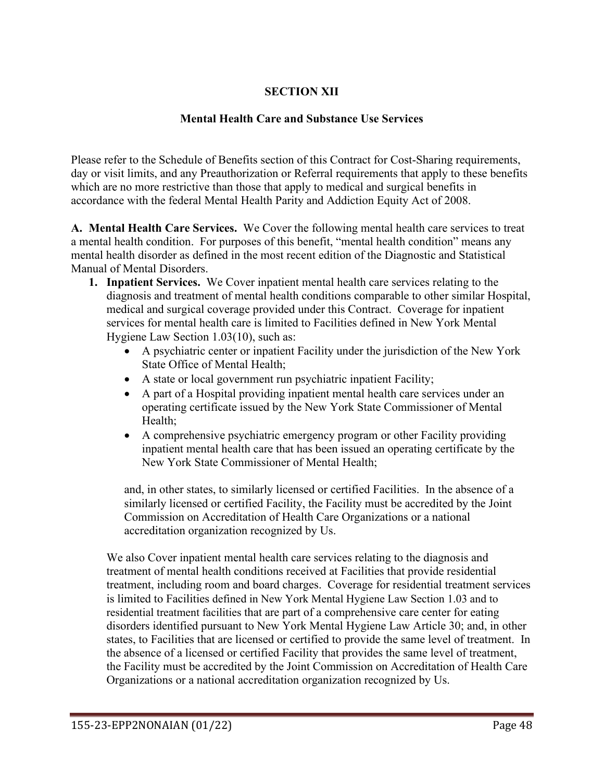# **SECTION XII**

#### **Mental Health Care and Substance Use Services**

Please refer to the Schedule of Benefits section of this Contract for Cost-Sharing requirements, day or visit limits, and any Preauthorization or Referral requirements that apply to these benefits which are no more restrictive than those that apply to medical and surgical benefits in accordance with the federal Mental Health Parity and Addiction Equity Act of 2008.

**A. Mental Health Care Services.** We Cover the following mental health care services to treat a mental health condition. For purposes of this benefit, "mental health condition" means any mental health disorder as defined in the most recent edition of the Diagnostic and Statistical Manual of Mental Disorders.

- **1. Inpatient Services.** We Cover inpatient mental health care services relating to the diagnosis and treatment of mental health conditions comparable to other similar Hospital, medical and surgical coverage provided under this Contract. Coverage for inpatient services for mental health care is limited to Facilities defined in New York Mental Hygiene Law Section 1.03(10), such as:
	- A psychiatric center or inpatient Facility under the jurisdiction of the New York State Office of Mental Health;
	- A state or local government run psychiatric inpatient Facility;
	- A part of a Hospital providing inpatient mental health care services under an operating certificate issued by the New York State Commissioner of Mental Health;
	- A comprehensive psychiatric emergency program or other Facility providing inpatient mental health care that has been issued an operating certificate by the New York State Commissioner of Mental Health;

and, in other states, to similarly licensed or certified Facilities. In the absence of a similarly licensed or certified Facility, the Facility must be accredited by the Joint Commission on Accreditation of Health Care Organizations or a national accreditation organization recognized by Us.

We also Cover inpatient mental health care services relating to the diagnosis and treatment of mental health conditions received at Facilities that provide residential treatment, including room and board charges. Coverage for residential treatment services is limited to Facilities defined in New York Mental Hygiene Law Section 1.03 and to residential treatment facilities that are part of a comprehensive care center for eating disorders identified pursuant to New York Mental Hygiene Law Article 30; and, in other states, to Facilities that are licensed or certified to provide the same level of treatment. In the absence of a licensed or certified Facility that provides the same level of treatment, the Facility must be accredited by the Joint Commission on Accreditation of Health Care Organizations or a national accreditation organization recognized by Us.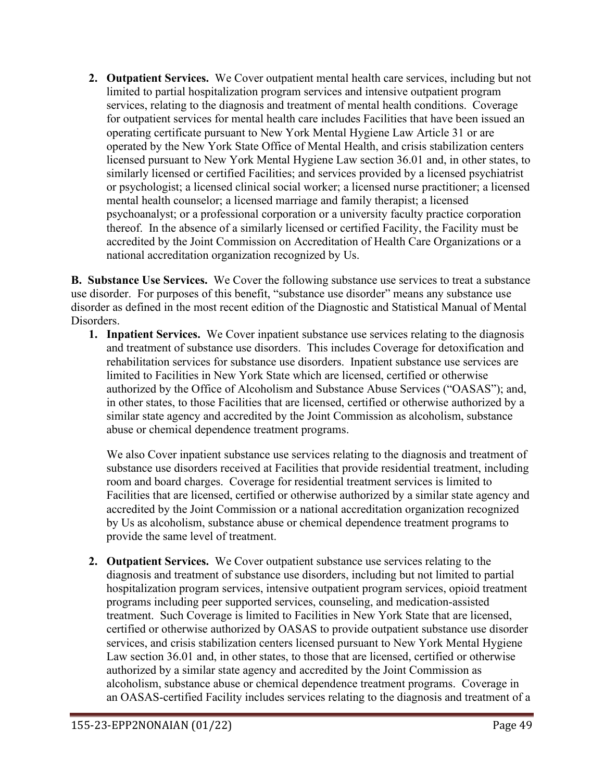**2. Outpatient Services.** We Cover outpatient mental health care services, including but not limited to partial hospitalization program services and intensive outpatient program services, relating to the diagnosis and treatment of mental health conditions. Coverage for outpatient services for mental health care includes Facilities that have been issued an operating certificate pursuant to New York Mental Hygiene Law Article 31 or are operated by the New York State Office of Mental Health, and crisis stabilization centers licensed pursuant to New York Mental Hygiene Law section 36.01 and, in other states, to similarly licensed or certified Facilities; and services provided by a licensed psychiatrist or psychologist; a licensed clinical social worker; a licensed nurse practitioner; a licensed mental health counselor; a licensed marriage and family therapist; a licensed psychoanalyst; or a professional corporation or a university faculty practice corporation thereof. In the absence of a similarly licensed or certified Facility, the Facility must be accredited by the Joint Commission on Accreditation of Health Care Organizations or a national accreditation organization recognized by Us.

**B. Substance Use Services.** We Cover the following substance use services to treat a substance use disorder. For purposes of this benefit, "substance use disorder" means any substance use disorder as defined in the most recent edition of the Diagnostic and Statistical Manual of Mental Disorders.

**1. Inpatient Services.** We Cover inpatient substance use services relating to the diagnosis and treatment of substance use disorders. This includes Coverage for detoxification and rehabilitation services for substance use disorders. Inpatient substance use services are limited to Facilities in New York State which are licensed, certified or otherwise authorized by the Office of Alcoholism and Substance Abuse Services ("OASAS"); and, in other states, to those Facilities that are licensed, certified or otherwise authorized by a similar state agency and accredited by the Joint Commission as alcoholism, substance abuse or chemical dependence treatment programs.

We also Cover inpatient substance use services relating to the diagnosis and treatment of substance use disorders received at Facilities that provide residential treatment, including room and board charges. Coverage for residential treatment services is limited to Facilities that are licensed, certified or otherwise authorized by a similar state agency and accredited by the Joint Commission or a national accreditation organization recognized by Us as alcoholism, substance abuse or chemical dependence treatment programs to provide the same level of treatment.

**2. Outpatient Services.** We Cover outpatient substance use services relating to the diagnosis and treatment of substance use disorders, including but not limited to partial hospitalization program services, intensive outpatient program services, opioid treatment programs including peer supported services, counseling, and medication-assisted treatment. Such Coverage is limited to Facilities in New York State that are licensed, certified or otherwise authorized by OASAS to provide outpatient substance use disorder services, and crisis stabilization centers licensed pursuant to New York Mental Hygiene Law section 36.01 and, in other states, to those that are licensed, certified or otherwise authorized by a similar state agency and accredited by the Joint Commission as alcoholism, substance abuse or chemical dependence treatment programs. Coverage in an OASAS-certified Facility includes services relating to the diagnosis and treatment of a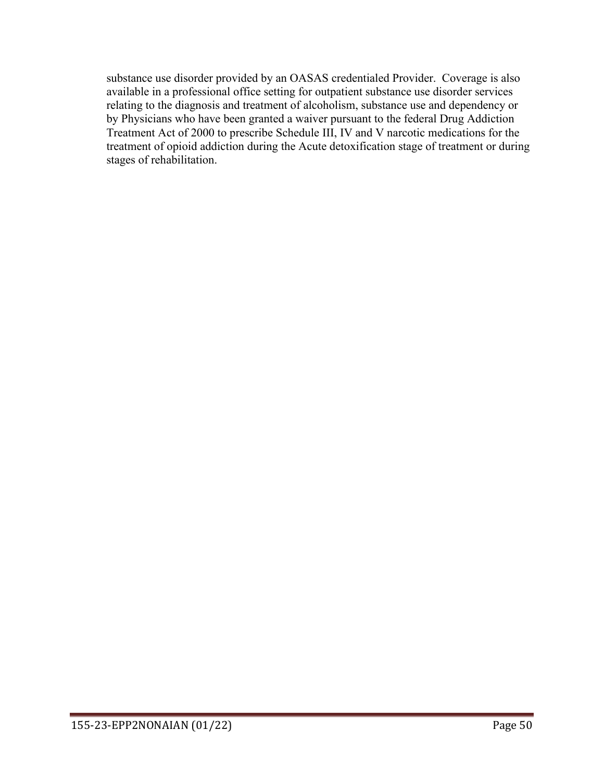substance use disorder provided by an OASAS credentialed Provider. Coverage is also available in a professional office setting for outpatient substance use disorder services relating to the diagnosis and treatment of alcoholism, substance use and dependency or by Physicians who have been granted a waiver pursuant to the federal Drug Addiction Treatment Act of 2000 to prescribe Schedule III, IV and V narcotic medications for the treatment of opioid addiction during the Acute detoxification stage of treatment or during stages of rehabilitation.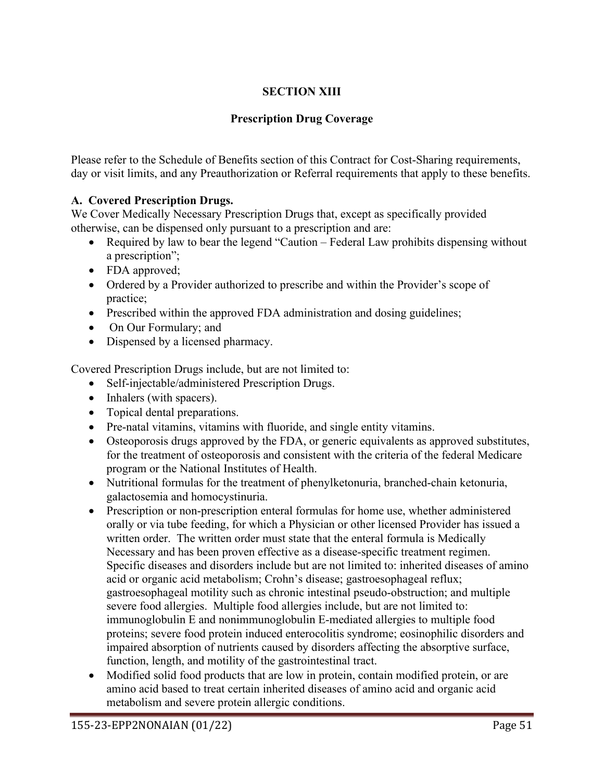# **SECTION XIII**

# **Prescription Drug Coverage**

Please refer to the Schedule of Benefits section of this Contract for Cost-Sharing requirements, day or visit limits, and any Preauthorization or Referral requirements that apply to these benefits.

# **A. Covered Prescription Drugs.**

We Cover Medically Necessary Prescription Drugs that, except as specifically provided otherwise, can be dispensed only pursuant to a prescription and are:

- Required by law to bear the legend "Caution Federal Law prohibits dispensing without a prescription";
- FDA approved;
- Ordered by a Provider authorized to prescribe and within the Provider's scope of practice;
- Prescribed within the approved FDA administration and dosing guidelines;
- On Our Formulary; and
- Dispensed by a licensed pharmacy.

Covered Prescription Drugs include, but are not limited to:

- Self-injectable/administered Prescription Drugs.
- Inhalers (with spacers).
- Topical dental preparations.
- Pre-natal vitamins, vitamins with fluoride, and single entity vitamins.
- Osteoporosis drugs approved by the FDA, or generic equivalents as approved substitutes, for the treatment of osteoporosis and consistent with the criteria of the federal Medicare program or the National Institutes of Health.
- Nutritional formulas for the treatment of phenylketonuria, branched-chain ketonuria, galactosemia and homocystinuria.
- Prescription or non-prescription enteral formulas for home use, whether administered orally or via tube feeding, for which a Physician or other licensed Provider has issued a written order. The written order must state that the enteral formula is Medically Necessary and has been proven effective as a disease-specific treatment regimen. Specific diseases and disorders include but are not limited to: inherited diseases of amino acid or organic acid metabolism; Crohn's disease; gastroesophageal reflux; gastroesophageal motility such as chronic intestinal pseudo-obstruction; and multiple severe food allergies. Multiple food allergies include, but are not limited to: immunoglobulin E and nonimmunoglobulin E-mediated allergies to multiple food proteins; severe food protein induced enterocolitis syndrome; eosinophilic disorders and impaired absorption of nutrients caused by disorders affecting the absorptive surface, function, length, and motility of the gastrointestinal tract.
- Modified solid food products that are low in protein, contain modified protein, or are amino acid based to treat certain inherited diseases of amino acid and organic acid metabolism and severe protein allergic conditions.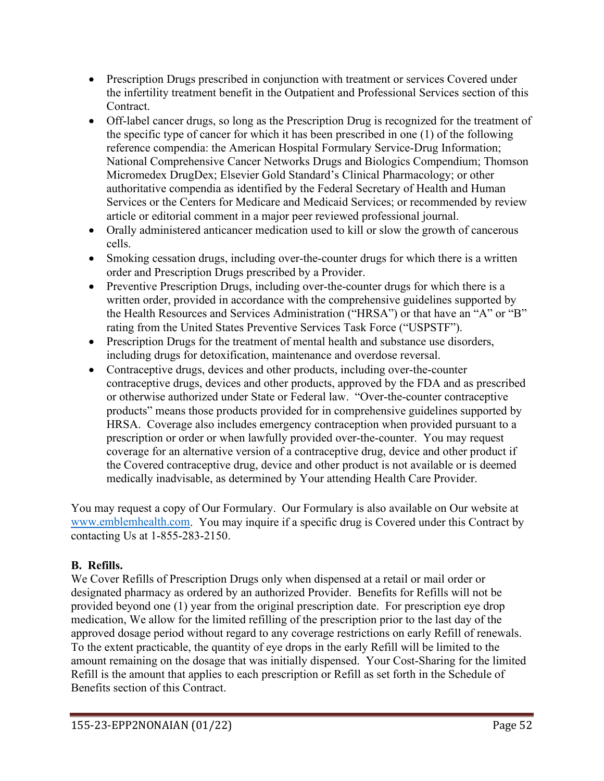- Prescription Drugs prescribed in conjunction with treatment or services Covered under the infertility treatment benefit in the Outpatient and Professional Services section of this Contract.
- Off-label cancer drugs, so long as the Prescription Drug is recognized for the treatment of the specific type of cancer for which it has been prescribed in one (1) of the following reference compendia: the American Hospital Formulary Service-Drug Information; National Comprehensive Cancer Networks Drugs and Biologics Compendium; Thomson Micromedex DrugDex; Elsevier Gold Standard's Clinical Pharmacology; or other authoritative compendia as identified by the Federal Secretary of Health and Human Services or the Centers for Medicare and Medicaid Services; or recommended by review article or editorial comment in a major peer reviewed professional journal.
- Orally administered anticancer medication used to kill or slow the growth of cancerous cells.
- Smoking cessation drugs, including over-the-counter drugs for which there is a written order and Prescription Drugs prescribed by a Provider.
- Preventive Prescription Drugs, including over-the-counter drugs for which there is a written order, provided in accordance with the comprehensive guidelines supported by the Health Resources and Services Administration ("HRSA") or that have an "A" or "B" rating from the United States Preventive Services Task Force ("USPSTF").
- Prescription Drugs for the treatment of mental health and substance use disorders, including drugs for detoxification, maintenance and overdose reversal.
- Contraceptive drugs, devices and other products, including over-the-counter contraceptive drugs, devices and other products, approved by the FDA and as prescribed or otherwise authorized under State or Federal law. "Over-the-counter contraceptive products" means those products provided for in comprehensive guidelines supported by HRSA. Coverage also includes emergency contraception when provided pursuant to a prescription or order or when lawfully provided over-the-counter. You may request coverage for an alternative version of a contraceptive drug, device and other product if the Covered contraceptive drug, device and other product is not available or is deemed medically inadvisable, as determined by Your attending Health Care Provider.

You may request a copy of Our Formulary. Our Formulary is also available on Our website at [www.emblemhealth.com.](http://www.emblemhealth.com/) You may inquire if a specific drug is Covered under this Contract by contacting Us at 1-855-283-2150.

# **B. Refills.**

We Cover Refills of Prescription Drugs only when dispensed at a retail or mail order or designated pharmacy as ordered by an authorized Provider. Benefits for Refills will not be provided beyond one (1) year from the original prescription date. For prescription eye drop medication, We allow for the limited refilling of the prescription prior to the last day of the approved dosage period without regard to any coverage restrictions on early Refill of renewals. To the extent practicable, the quantity of eye drops in the early Refill will be limited to the amount remaining on the dosage that was initially dispensed. Your Cost-Sharing for the limited Refill is the amount that applies to each prescription or Refill as set forth in the Schedule of Benefits section of this Contract.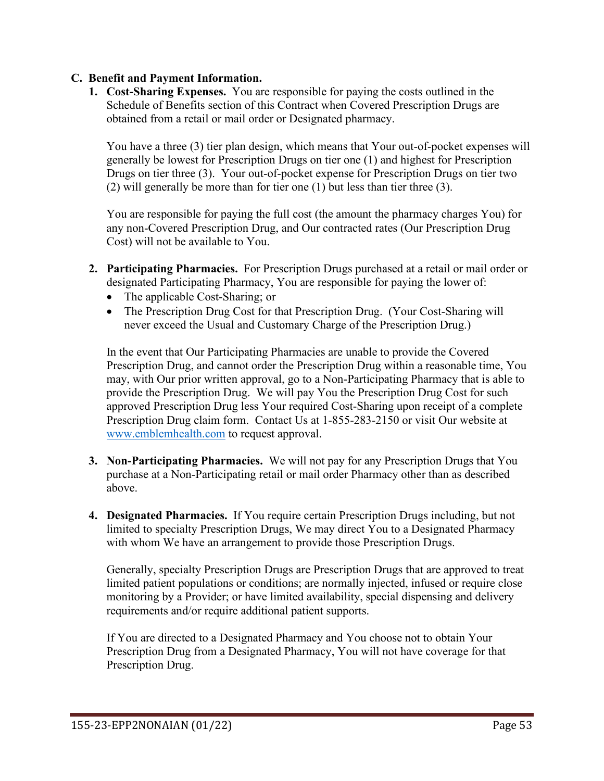#### **C. Benefit and Payment Information.**

**1. Cost-Sharing Expenses.** You are responsible for paying the costs outlined in the Schedule of Benefits section of this Contract when Covered Prescription Drugs are obtained from a retail or mail order or Designated pharmacy.

You have a three (3) tier plan design, which means that Your out-of-pocket expenses will generally be lowest for Prescription Drugs on tier one (1) and highest for Prescription Drugs on tier three (3). Your out-of-pocket expense for Prescription Drugs on tier two (2) will generally be more than for tier one (1) but less than tier three (3).

You are responsible for paying the full cost (the amount the pharmacy charges You) for any non-Covered Prescription Drug, and Our contracted rates (Our Prescription Drug Cost) will not be available to You.

- **2. Participating Pharmacies.** For Prescription Drugs purchased at a retail or mail order or designated Participating Pharmacy, You are responsible for paying the lower of:
	- The applicable Cost-Sharing; or
	- The Prescription Drug Cost for that Prescription Drug. (Your Cost-Sharing will never exceed the Usual and Customary Charge of the Prescription Drug.)

In the event that Our Participating Pharmacies are unable to provide the Covered Prescription Drug, and cannot order the Prescription Drug within a reasonable time, You may, with Our prior written approval, go to a Non-Participating Pharmacy that is able to provide the Prescription Drug. We will pay You the Prescription Drug Cost for such approved Prescription Drug less Your required Cost-Sharing upon receipt of a complete Prescription Drug claim form. Contact Us at 1-855-283-2150 or visit Our website at [www.emblemhealth.com](http://www.emblemhealth.com/) to request approval.

- **3. Non-Participating Pharmacies.** We will not pay for any Prescription Drugs that You purchase at a Non-Participating retail or mail order Pharmacy other than as described above.
- **4. Designated Pharmacies.** If You require certain Prescription Drugs including, but not limited to specialty Prescription Drugs, We may direct You to a Designated Pharmacy with whom We have an arrangement to provide those Prescription Drugs.

Generally, specialty Prescription Drugs are Prescription Drugs that are approved to treat limited patient populations or conditions; are normally injected, infused or require close monitoring by a Provider; or have limited availability, special dispensing and delivery requirements and/or require additional patient supports.

If You are directed to a Designated Pharmacy and You choose not to obtain Your Prescription Drug from a Designated Pharmacy, You will not have coverage for that Prescription Drug.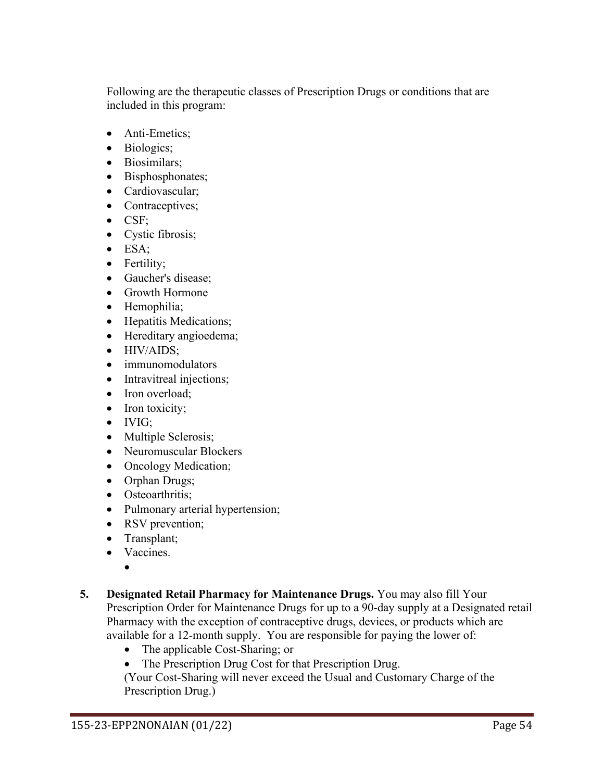Following are the therapeutic classes of Prescription Drugs or conditions that are included in this program:

- Anti-Emetics;
- Biologics;
- Biosimilars;
- Bisphosphonates;
- Cardiovascular;
- Contraceptives;
- CSF;
- Cystic fibrosis;
- ESA;
- Fertility;
- Gaucher's disease;
- Growth Hormone
- Hemophilia;
- Hepatitis Medications;
- Hereditary angioedema;
- HIV/AIDS;
- immunomodulators
- Intravitreal injections;
- Iron overload:
- Iron toxicity;
- IVIG;
- Multiple Sclerosis;
- Neuromuscular Blockers
- Oncology Medication;
- Orphan Drugs;
- Osteoarthritis:
- Pulmonary arterial hypertension;
- RSV prevention;
- Transplant;
- Vaccines.

•

- **5. Designated Retail Pharmacy for Maintenance Drugs.** You may also fill Your Prescription Order for Maintenance Drugs for up to a 90-day supply at a Designated retail Pharmacy with the exception of contraceptive drugs, devices, or products which are available for a 12-month supply. You are responsible for paying the lower of:
	- The applicable Cost-Sharing; or
	- The Prescription Drug Cost for that Prescription Drug.

(Your Cost-Sharing will never exceed the Usual and Customary Charge of the Prescription Drug.)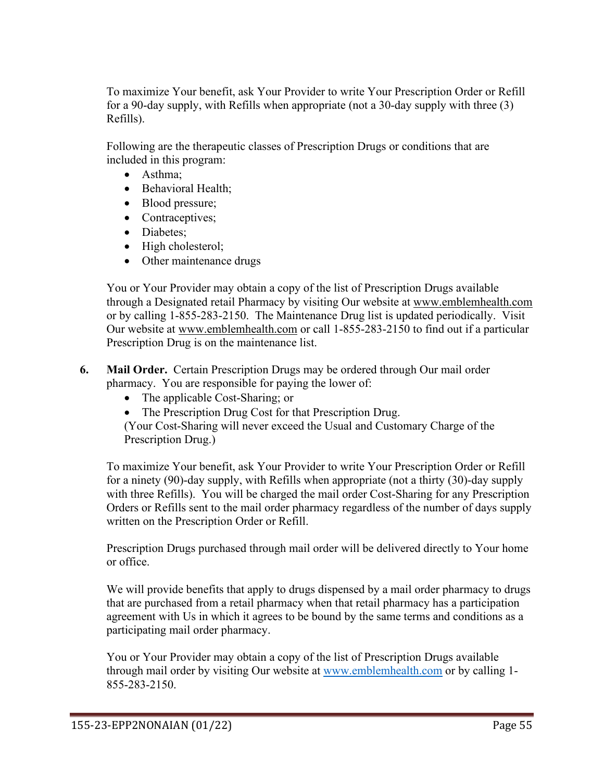To maximize Your benefit, ask Your Provider to write Your Prescription Order or Refill for a 90-day supply, with Refills when appropriate (not a 30-day supply with three (3) Refills).

Following are the therapeutic classes of Prescription Drugs or conditions that are included in this program:

- Asthma;
- Behavioral Health;
- Blood pressure;
- Contraceptives;
- Diabetes:
- High cholesterol;
- Other maintenance drugs

You or Your Provider may obtain a copy of the list of Prescription Drugs available through a Designated retail Pharmacy by visiting Our website at [www.emblemhealth.com](http://www.emblemhealth.com/) or by calling 1-855-283-2150. The Maintenance Drug list is updated periodically. Visit Our website at [www.emblemhealth.com](http://www.emblemhealth.com/) or call 1-855-283-2150 to find out if a particular Prescription Drug is on the maintenance list.

- **6. Mail Order.** Certain Prescription Drugs may be ordered through Our mail order pharmacy. You are responsible for paying the lower of:
	- The applicable Cost-Sharing; or
	- The Prescription Drug Cost for that Prescription Drug.

(Your Cost-Sharing will never exceed the Usual and Customary Charge of the Prescription Drug.)

To maximize Your benefit, ask Your Provider to write Your Prescription Order or Refill for a ninety (90)-day supply, with Refills when appropriate (not a thirty (30)-day supply with three Refills). You will be charged the mail order Cost-Sharing for any Prescription Orders or Refills sent to the mail order pharmacy regardless of the number of days supply written on the Prescription Order or Refill.

Prescription Drugs purchased through mail order will be delivered directly to Your home or office.

We will provide benefits that apply to drugs dispensed by a mail order pharmacy to drugs that are purchased from a retail pharmacy when that retail pharmacy has a participation agreement with Us in which it agrees to be bound by the same terms and conditions as a participating mail order pharmacy.

You or Your Provider may obtain a copy of the list of Prescription Drugs available through mail order by visiting Our website at [www.emblemhealth.com](http://www.emblemhealth.com/) or by calling 1- 855-283-2150.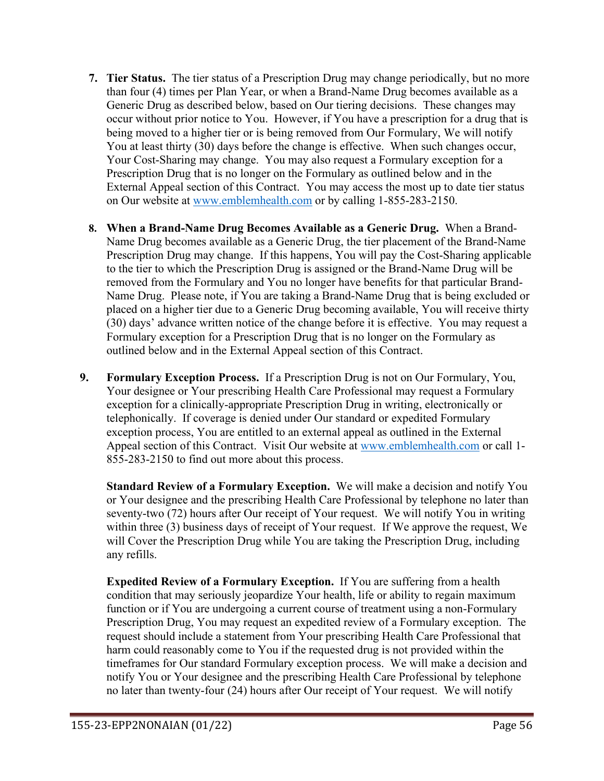- **7. Tier Status.** The tier status of a Prescription Drug may change periodically, but no more than four (4) times per Plan Year, or when a Brand-Name Drug becomes available as a Generic Drug as described below, based on Our tiering decisions. These changes may occur without prior notice to You. However, if You have a prescription for a drug that is being moved to a higher tier or is being removed from Our Formulary, We will notify You at least thirty (30) days before the change is effective. When such changes occur, Your Cost-Sharing may change. You may also request a Formulary exception for a Prescription Drug that is no longer on the Formulary as outlined below and in the External Appeal section of this Contract. You may access the most up to date tier status on Our website at [www.emblemhealth.com](http://www.emblemhealth.com/) or by calling 1-855-283-2150.
- **8. When a Brand-Name Drug Becomes Available as a Generic Drug.** When a Brand-Name Drug becomes available as a Generic Drug, the tier placement of the Brand-Name Prescription Drug may change. If this happens, You will pay the Cost-Sharing applicable to the tier to which the Prescription Drug is assigned or the Brand-Name Drug will be removed from the Formulary and You no longer have benefits for that particular Brand-Name Drug. Please note, if You are taking a Brand-Name Drug that is being excluded or placed on a higher tier due to a Generic Drug becoming available, You will receive thirty (30) days' advance written notice of the change before it is effective. You may request a Formulary exception for a Prescription Drug that is no longer on the Formulary as outlined below and in the External Appeal section of this Contract.
- **9. Formulary Exception Process.** If a Prescription Drug is not on Our Formulary, You, Your designee or Your prescribing Health Care Professional may request a Formulary exception for a clinically-appropriate Prescription Drug in writing, electronically or telephonically. If coverage is denied under Our standard or expedited Formulary exception process, You are entitled to an external appeal as outlined in the External Appeal section of this Contract. Visit Our website at [www.emblemhealth.com](http://www.emblemhealth.com/) or call 1- 855-283-2150 to find out more about this process.

**Standard Review of a Formulary Exception.** We will make a decision and notify You or Your designee and the prescribing Health Care Professional by telephone no later than seventy-two (72) hours after Our receipt of Your request. We will notify You in writing within three (3) business days of receipt of Your request. If We approve the request, We will Cover the Prescription Drug while You are taking the Prescription Drug, including any refills.

**Expedited Review of a Formulary Exception.** If You are suffering from a health condition that may seriously jeopardize Your health, life or ability to regain maximum function or if You are undergoing a current course of treatment using a non-Formulary Prescription Drug, You may request an expedited review of a Formulary exception. The request should include a statement from Your prescribing Health Care Professional that harm could reasonably come to You if the requested drug is not provided within the timeframes for Our standard Formulary exception process. We will make a decision and notify You or Your designee and the prescribing Health Care Professional by telephone no later than twenty-four (24) hours after Our receipt of Your request. We will notify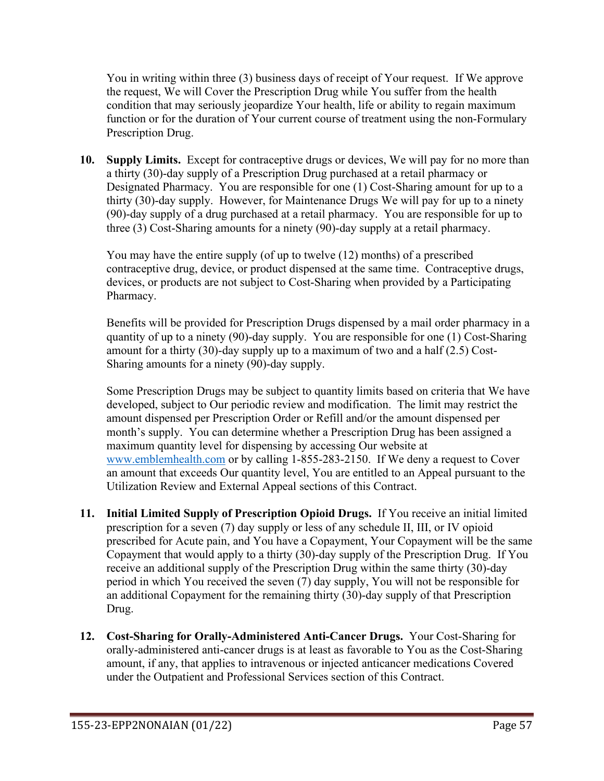You in writing within three (3) business days of receipt of Your request. If We approve the request, We will Cover the Prescription Drug while You suffer from the health condition that may seriously jeopardize Your health, life or ability to regain maximum function or for the duration of Your current course of treatment using the non-Formulary Prescription Drug.

**10. Supply Limits.** Except for contraceptive drugs or devices, We will pay for no more than a thirty (30)-day supply of a Prescription Drug purchased at a retail pharmacy or Designated Pharmacy. You are responsible for one (1) Cost-Sharing amount for up to a thirty (30)-day supply. However, for Maintenance Drugs We will pay for up to a ninety (90)-day supply of a drug purchased at a retail pharmacy. You are responsible for up to three (3) Cost-Sharing amounts for a ninety (90)-day supply at a retail pharmacy.

You may have the entire supply (of up to twelve (12) months) of a prescribed contraceptive drug, device, or product dispensed at the same time. Contraceptive drugs, devices, or products are not subject to Cost-Sharing when provided by a Participating Pharmacy.

Benefits will be provided for Prescription Drugs dispensed by a mail order pharmacy in a quantity of up to a ninety (90)-day supply. You are responsible for one (1) Cost-Sharing amount for a thirty (30)-day supply up to a maximum of two and a half (2.5) Cost-Sharing amounts for a ninety (90)-day supply.

Some Prescription Drugs may be subject to quantity limits based on criteria that We have developed, subject to Our periodic review and modification. The limit may restrict the amount dispensed per Prescription Order or Refill and/or the amount dispensed per month's supply. You can determine whether a Prescription Drug has been assigned a maximum quantity level for dispensing by accessing Our website at [www.emblemhealth.com](http://www.emblemhealth.com/) or by calling 1-855-283-2150. If We deny a request to Cover an amount that exceeds Our quantity level, You are entitled to an Appeal pursuant to the Utilization Review and External Appeal sections of this Contract.

- **11. Initial Limited Supply of Prescription Opioid Drugs.** If You receive an initial limited prescription for a seven (7) day supply or less of any schedule II, III, or IV opioid prescribed for Acute pain, and You have a Copayment, Your Copayment will be the same Copayment that would apply to a thirty (30)-day supply of the Prescription Drug. If You receive an additional supply of the Prescription Drug within the same thirty (30)-day period in which You received the seven (7) day supply, You will not be responsible for an additional Copayment for the remaining thirty (30)-day supply of that Prescription Drug.
- **12. Cost-Sharing for Orally-Administered Anti-Cancer Drugs.** Your Cost-Sharing for orally-administered anti-cancer drugs is at least as favorable to You as the Cost-Sharing amount, if any, that applies to intravenous or injected anticancer medications Covered under the Outpatient and Professional Services section of this Contract.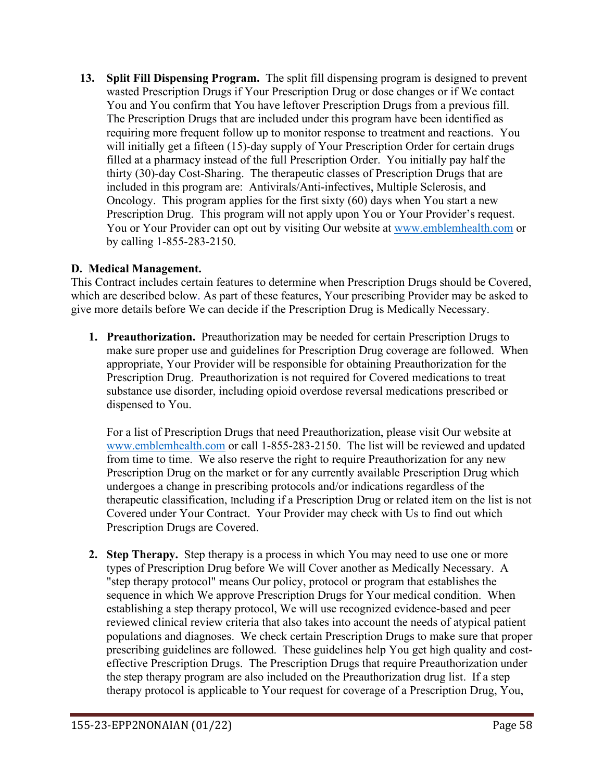**13. Split Fill Dispensing Program.** The split fill dispensing program is designed to prevent wasted Prescription Drugs if Your Prescription Drug or dose changes or if We contact You and You confirm that You have leftover Prescription Drugs from a previous fill. The Prescription Drugs that are included under this program have been identified as requiring more frequent follow up to monitor response to treatment and reactions. You will initially get a fifteen (15)-day supply of Your Prescription Order for certain drugs filled at a pharmacy instead of the full Prescription Order. You initially pay half the thirty (30)-day Cost-Sharing. The therapeutic classes of Prescription Drugs that are included in this program are: Antivirals/Anti-infectives, Multiple Sclerosis, and Oncology. This program applies for the first sixty (60) days when You start a new Prescription Drug. This program will not apply upon You or Your Provider's request. You or Your Provider can opt out by visiting Our website at [www.emblemhealth.com](http://www.emblemhealth.com/) or by calling 1-855-283-2150.

# **D. Medical Management.**

This Contract includes certain features to determine when Prescription Drugs should be Covered, which are described below. As part of these features, Your prescribing Provider may be asked to give more details before We can decide if the Prescription Drug is Medically Necessary.

**1. Preauthorization.** Preauthorization may be needed for certain Prescription Drugs to make sure proper use and guidelines for Prescription Drug coverage are followed. When appropriate, Your Provider will be responsible for obtaining Preauthorization for the Prescription Drug. Preauthorization is not required for Covered medications to treat substance use disorder, including opioid overdose reversal medications prescribed or dispensed to You.

For a list of Prescription Drugs that need Preauthorization, please visit Our website at [www.emblemhealth.com](http://www.emblemhealth.com/) or call 1-855-283-2150. The list will be reviewed and updated from time to time. We also reserve the right to require Preauthorization for any new Prescription Drug on the market or for any currently available Prescription Drug which undergoes a change in prescribing protocols and/or indications regardless of the therapeutic classification, Including if a Prescription Drug or related item on the list is not Covered under Your Contract. Your Provider may check with Us to find out which Prescription Drugs are Covered.

**2. Step Therapy.** Step therapy is a process in which You may need to use one or more types of Prescription Drug before We will Cover another as Medically Necessary. A "step therapy protocol" means Our policy, protocol or program that establishes the sequence in which We approve Prescription Drugs for Your medical condition. When establishing a step therapy protocol, We will use recognized evidence-based and peer reviewed clinical review criteria that also takes into account the needs of atypical patient populations and diagnoses. We check certain Prescription Drugs to make sure that proper prescribing guidelines are followed. These guidelines help You get high quality and costeffective Prescription Drugs. The Prescription Drugs that require Preauthorization under the step therapy program are also included on the Preauthorization drug list. If a step therapy protocol is applicable to Your request for coverage of a Prescription Drug, You,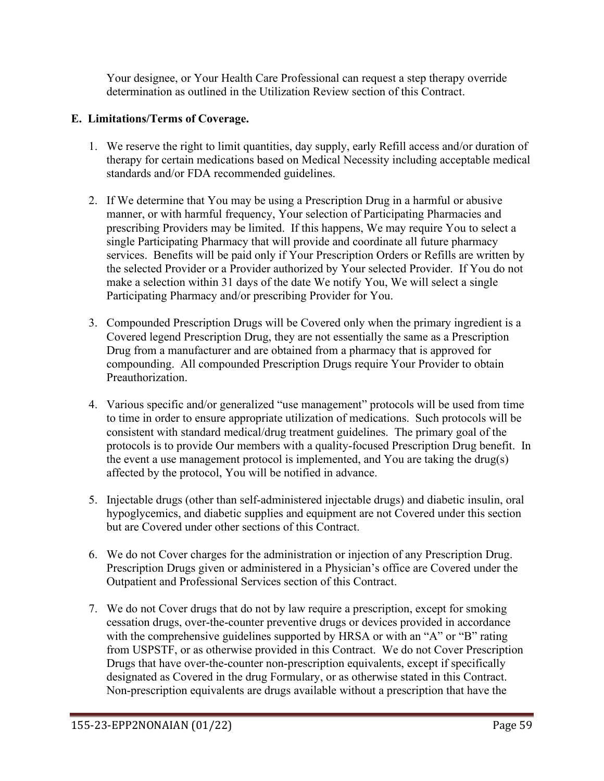Your designee, or Your Health Care Professional can request a step therapy override determination as outlined in the Utilization Review section of this Contract.

# **E. Limitations/Terms of Coverage.**

- 1. We reserve the right to limit quantities, day supply, early Refill access and/or duration of therapy for certain medications based on Medical Necessity including acceptable medical standards and/or FDA recommended guidelines.
- 2. If We determine that You may be using a Prescription Drug in a harmful or abusive manner, or with harmful frequency, Your selection of Participating Pharmacies and prescribing Providers may be limited. If this happens, We may require You to select a single Participating Pharmacy that will provide and coordinate all future pharmacy services. Benefits will be paid only if Your Prescription Orders or Refills are written by the selected Provider or a Provider authorized by Your selected Provider. If You do not make a selection within 31 days of the date We notify You, We will select a single Participating Pharmacy and/or prescribing Provider for You.
- 3. Compounded Prescription Drugs will be Covered only when the primary ingredient is a Covered legend Prescription Drug, they are not essentially the same as a Prescription Drug from a manufacturer and are obtained from a pharmacy that is approved for compounding. All compounded Prescription Drugs require Your Provider to obtain Preauthorization.
- 4. Various specific and/or generalized "use management" protocols will be used from time to time in order to ensure appropriate utilization of medications. Such protocols will be consistent with standard medical/drug treatment guidelines. The primary goal of the protocols is to provide Our members with a quality-focused Prescription Drug benefit. In the event a use management protocol is implemented, and You are taking the drug(s) affected by the protocol, You will be notified in advance.
- 5. Injectable drugs (other than self-administered injectable drugs) and diabetic insulin, oral hypoglycemics, and diabetic supplies and equipment are not Covered under this section but are Covered under other sections of this Contract.
- 6. We do not Cover charges for the administration or injection of any Prescription Drug. Prescription Drugs given or administered in a Physician's office are Covered under the Outpatient and Professional Services section of this Contract.
- 7. We do not Cover drugs that do not by law require a prescription, except for smoking cessation drugs, over-the-counter preventive drugs or devices provided in accordance with the comprehensive guidelines supported by HRSA or with an "A" or "B" rating from USPSTF, or as otherwise provided in this Contract. We do not Cover Prescription Drugs that have over-the-counter non-prescription equivalents, except if specifically designated as Covered in the drug Formulary, or as otherwise stated in this Contract. Non-prescription equivalents are drugs available without a prescription that have the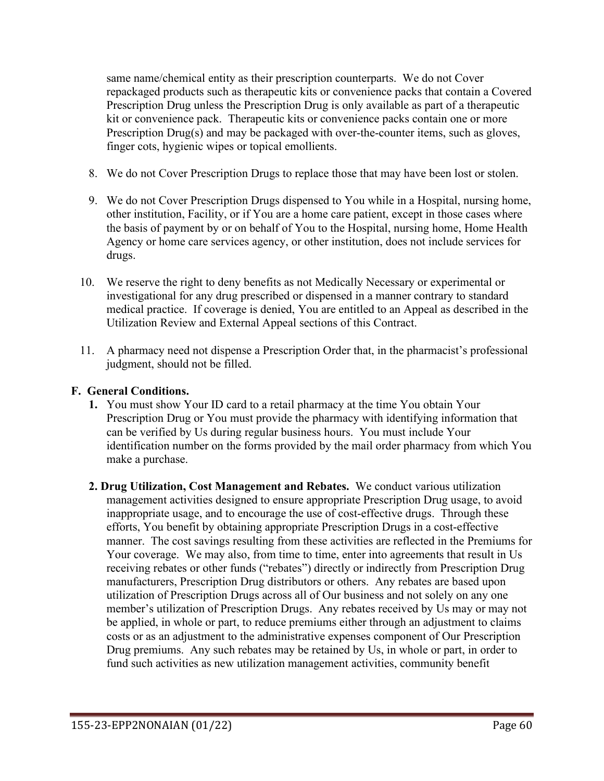same name/chemical entity as their prescription counterparts. We do not Cover repackaged products such as therapeutic kits or convenience packs that contain a Covered Prescription Drug unless the Prescription Drug is only available as part of a therapeutic kit or convenience pack. Therapeutic kits or convenience packs contain one or more Prescription Drug(s) and may be packaged with over-the-counter items, such as gloves, finger cots, hygienic wipes or topical emollients.

- 8. We do not Cover Prescription Drugs to replace those that may have been lost or stolen.
- 9. We do not Cover Prescription Drugs dispensed to You while in a Hospital, nursing home, other institution, Facility, or if You are a home care patient, except in those cases where the basis of payment by or on behalf of You to the Hospital, nursing home, Home Health Agency or home care services agency, or other institution, does not include services for drugs.
- 10. We reserve the right to deny benefits as not Medically Necessary or experimental or investigational for any drug prescribed or dispensed in a manner contrary to standard medical practice. If coverage is denied, You are entitled to an Appeal as described in the Utilization Review and External Appeal sections of this Contract.
- 11. A pharmacy need not dispense a Prescription Order that, in the pharmacist's professional judgment, should not be filled.

#### **F. General Conditions.**

- **1.** You must show Your ID card to a retail pharmacy at the time You obtain Your Prescription Drug or You must provide the pharmacy with identifying information that can be verified by Us during regular business hours. You must include Your identification number on the forms provided by the mail order pharmacy from which You make a purchase.
- **2. Drug Utilization, Cost Management and Rebates.** We conduct various utilization management activities designed to ensure appropriate Prescription Drug usage, to avoid inappropriate usage, and to encourage the use of cost-effective drugs. Through these efforts, You benefit by obtaining appropriate Prescription Drugs in a cost-effective manner. The cost savings resulting from these activities are reflected in the Premiums for Your coverage. We may also, from time to time, enter into agreements that result in Us receiving rebates or other funds ("rebates") directly or indirectly from Prescription Drug manufacturers, Prescription Drug distributors or others. Any rebates are based upon utilization of Prescription Drugs across all of Our business and not solely on any one member's utilization of Prescription Drugs. Any rebates received by Us may or may not be applied, in whole or part, to reduce premiums either through an adjustment to claims costs or as an adjustment to the administrative expenses component of Our Prescription Drug premiums. Any such rebates may be retained by Us, in whole or part, in order to fund such activities as new utilization management activities, community benefit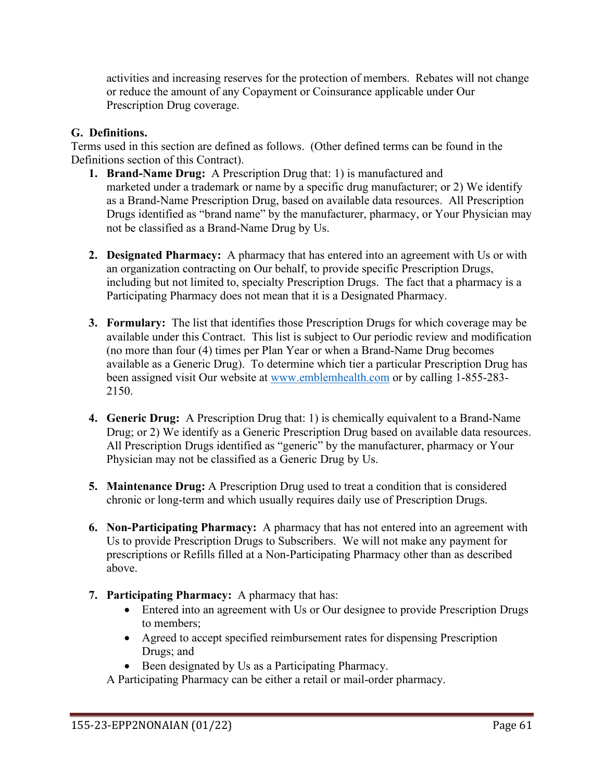activities and increasing reserves for the protection of members. Rebates will not change or reduce the amount of any Copayment or Coinsurance applicable under Our Prescription Drug coverage.

# **G. Definitions.**

Terms used in this section are defined as follows. (Other defined terms can be found in the Definitions section of this Contract).

- **1. Brand-Name Drug:** A Prescription Drug that: 1) is manufactured and marketed under a trademark or name by a specific drug manufacturer; or 2) We identify as a Brand-Name Prescription Drug, based on available data resources. All Prescription Drugs identified as "brand name" by the manufacturer, pharmacy, or Your Physician may not be classified as a Brand-Name Drug by Us.
- **2. Designated Pharmacy:** A pharmacy that has entered into an agreement with Us or with an organization contracting on Our behalf, to provide specific Prescription Drugs, including but not limited to, specialty Prescription Drugs. The fact that a pharmacy is a Participating Pharmacy does not mean that it is a Designated Pharmacy.
- **3. Formulary:** The list that identifies those Prescription Drugs for which coverage may be available under this Contract. This list is subject to Our periodic review and modification (no more than four (4) times per Plan Year or when a Brand-Name Drug becomes available as a Generic Drug). To determine which tier a particular Prescription Drug has been assigned visit Our website at [www.emblemhealth.com](http://www.emblemhealth.com/) or by calling 1-855-283- 2150.
- **4. Generic Drug:** A Prescription Drug that: 1) is chemically equivalent to a Brand-Name Drug; or 2) We identify as a Generic Prescription Drug based on available data resources. All Prescription Drugs identified as "generic" by the manufacturer, pharmacy or Your Physician may not be classified as a Generic Drug by Us.
- **5. Maintenance Drug:** A Prescription Drug used to treat a condition that is considered chronic or long-term and which usually requires daily use of Prescription Drugs.
- **6. Non-Participating Pharmacy:** A pharmacy that has not entered into an agreement with Us to provide Prescription Drugs to Subscribers. We will not make any payment for prescriptions or Refills filled at a Non-Participating Pharmacy other than as described above.
- **7. Participating Pharmacy:** A pharmacy that has:
	- Entered into an agreement with Us or Our designee to provide Prescription Drugs to members;
	- Agreed to accept specified reimbursement rates for dispensing Prescription Drugs; and
	- Been designated by Us as a Participating Pharmacy.
	- A Participating Pharmacy can be either a retail or mail-order pharmacy.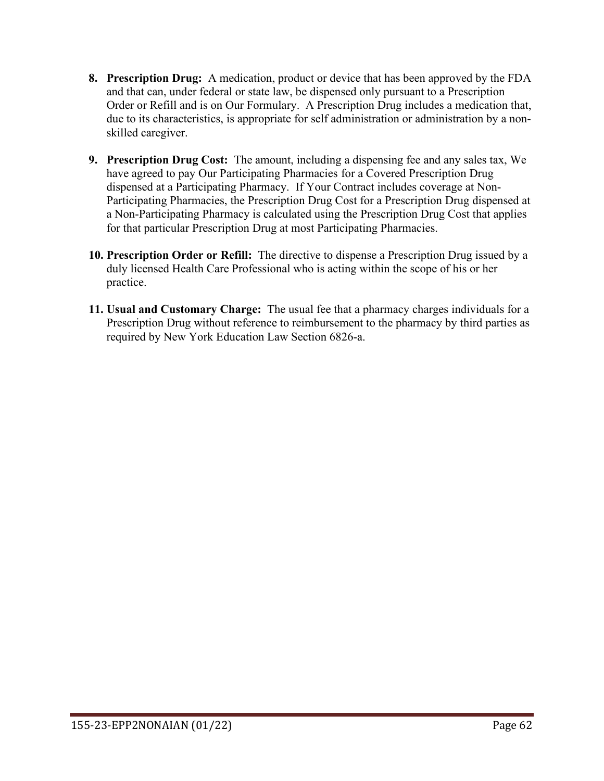- **8. Prescription Drug:** A medication, product or device that has been approved by the FDA and that can, under federal or state law, be dispensed only pursuant to a Prescription Order or Refill and is on Our Formulary. A Prescription Drug includes a medication that, due to its characteristics, is appropriate for self administration or administration by a nonskilled caregiver.
- **9. Prescription Drug Cost:** The amount, including a dispensing fee and any sales tax, We have agreed to pay Our Participating Pharmacies for a Covered Prescription Drug dispensed at a Participating Pharmacy. If Your Contract includes coverage at Non-Participating Pharmacies, the Prescription Drug Cost for a Prescription Drug dispensed at a Non-Participating Pharmacy is calculated using the Prescription Drug Cost that applies for that particular Prescription Drug at most Participating Pharmacies.
- **10. Prescription Order or Refill:** The directive to dispense a Prescription Drug issued by a duly licensed Health Care Professional who is acting within the scope of his or her practice.
- **11. Usual and Customary Charge:** The usual fee that a pharmacy charges individuals for a Prescription Drug without reference to reimbursement to the pharmacy by third parties as required by New York Education Law Section 6826-a.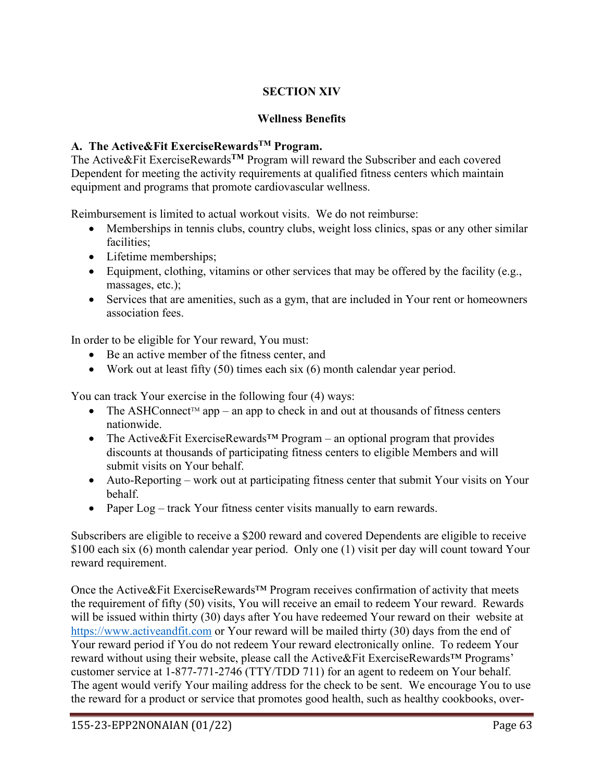# **SECTION XIV**

### **Wellness Benefits**

# **A. The Active&Fit ExerciseRewardsTM Program.**

The Active&Fit ExerciseRewards**TM** Program will reward the Subscriber and each covered Dependent for meeting the activity requirements at qualified fitness centers which maintain equipment and programs that promote cardiovascular wellness.

Reimbursement is limited to actual workout visits. We do not reimburse:

- Memberships in tennis clubs, country clubs, weight loss clinics, spas or any other similar facilities;
- Lifetime memberships;
- Equipment, clothing, vitamins or other services that may be offered by the facility (e.g., massages, etc.);
- Services that are amenities, such as a gym, that are included in Your rent or homeowners association fees.

In order to be eligible for Your reward, You must:

- Be an active member of the fitness center, and
- Work out at least fifty  $(50)$  times each six  $(6)$  month calendar year period.

You can track Your exercise in the following four (4) ways:

- The ASHConnect<sup>TM</sup> app an app to check in and out at thousands of fitness centers nationwide.
- The Active&Fit ExerciseRewards<sup>™</sup> Program an optional program that provides discounts at thousands of participating fitness centers to eligible Members and will submit visits on Your behalf.
- Auto-Reporting work out at participating fitness center that submit Your visits on Your behalf.
- Paper Log track Your fitness center visits manually to earn rewards.

Subscribers are eligible to receive a \$200 reward and covered Dependents are eligible to receive \$100 each six (6) month calendar year period. Only one (1) visit per day will count toward Your reward requirement.

Once the Active&Fit ExerciseRewards™ Program receives confirmation of activity that meets the requirement of fifty (50) visits, You will receive an email to redeem Your reward. Rewards will be issued within thirty (30) days after You have redeemed Your reward on their website at [https://www.activeandfit.com](https://www.exerciserewards.com/) or Your reward will be mailed thirty (30) days from the end of Your reward period if You do not redeem Your reward electronically online. To redeem Your reward without using their website, please call the Active&Fit ExerciseRewards™ Programs' customer service at 1-877-771-2746 (TTY/TDD 711) for an agent to redeem on Your behalf. The agent would verify Your mailing address for the check to be sent. We encourage You to use the reward for a product or service that promotes good health, such as healthy cookbooks, over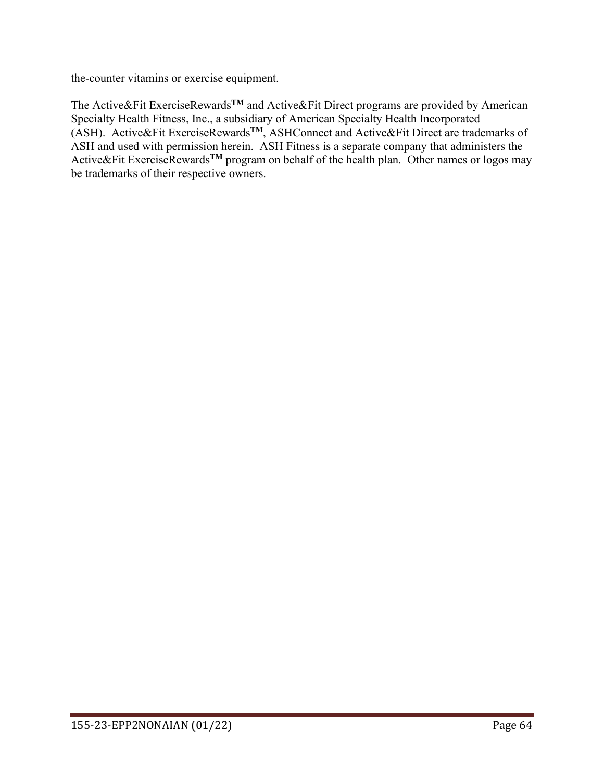the-counter vitamins or exercise equipment.

The Active&Fit ExerciseRewards**TM** and Active&Fit Direct programs are provided by American Specialty Health Fitness, Inc., a subsidiary of American Specialty Health Incorporated (ASH). Active&Fit ExerciseRewards**TM**, ASHConnect and Active&Fit Direct are trademarks of ASH and used with permission herein. ASH Fitness is a separate company that administers the Active&Fit ExerciseRewards**TM** program on behalf of the health plan. Other names or logos may be trademarks of their respective owners.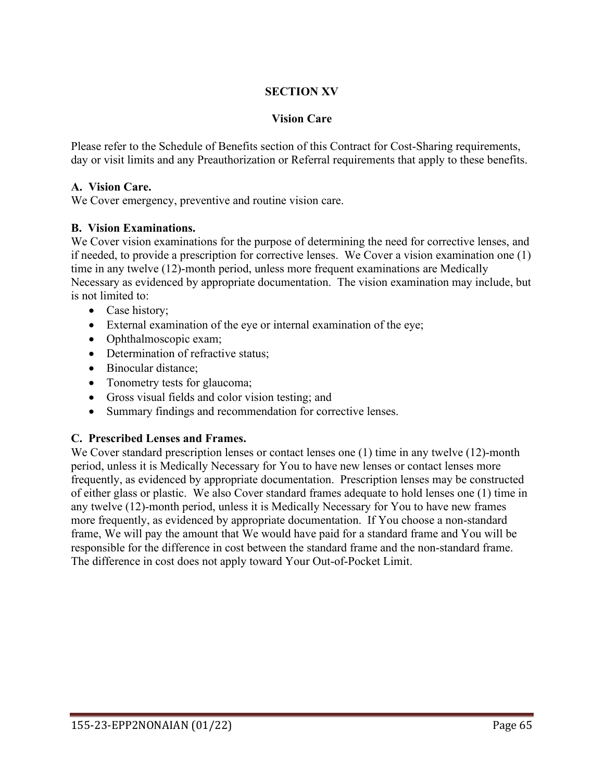### **SECTION XV**

#### **Vision Care**

Please refer to the Schedule of Benefits section of this Contract for Cost-Sharing requirements, day or visit limits and any Preauthorization or Referral requirements that apply to these benefits.

#### **A. Vision Care.**

We Cover emergency, preventive and routine vision care.

#### **B. Vision Examinations.**

We Cover vision examinations for the purpose of determining the need for corrective lenses, and if needed, to provide a prescription for corrective lenses. We Cover a vision examination one (1) time in any twelve (12)-month period, unless more frequent examinations are Medically Necessary as evidenced by appropriate documentation. The vision examination may include, but is not limited to:

- Case history;
- External examination of the eye or internal examination of the eye;
- Ophthalmoscopic exam;
- Determination of refractive status:
- Binocular distance;
- Tonometry tests for glaucoma;
- Gross visual fields and color vision testing; and
- Summary findings and recommendation for corrective lenses.

#### **C. Prescribed Lenses and Frames.**

We Cover standard prescription lenses or contact lenses one (1) time in any twelve (12)-month period, unless it is Medically Necessary for You to have new lenses or contact lenses more frequently, as evidenced by appropriate documentation. Prescription lenses may be constructed of either glass or plastic. We also Cover standard frames adequate to hold lenses one (1) time in any twelve (12)-month period, unless it is Medically Necessary for You to have new frames more frequently, as evidenced by appropriate documentation. If You choose a non-standard frame, We will pay the amount that We would have paid for a standard frame and You will be responsible for the difference in cost between the standard frame and the non-standard frame. The difference in cost does not apply toward Your Out-of-Pocket Limit.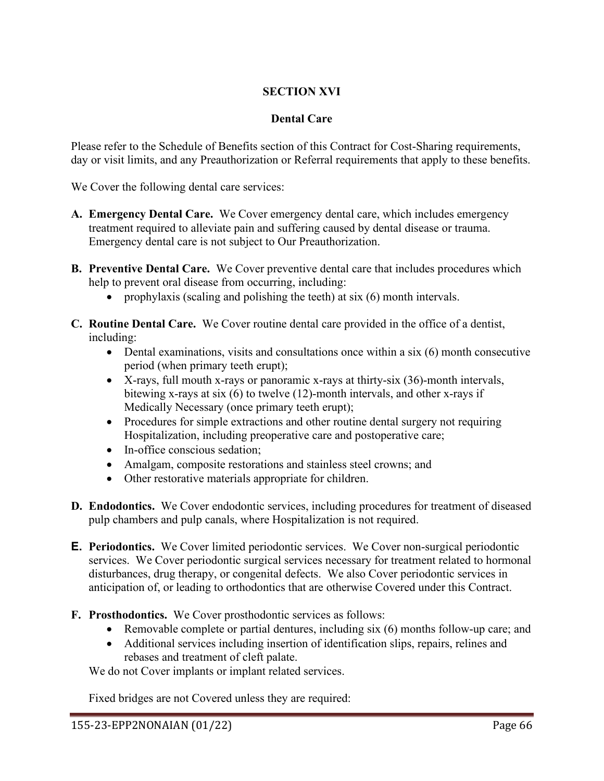# **SECTION XVI**

#### **Dental Care**

Please refer to the Schedule of Benefits section of this Contract for Cost-Sharing requirements, day or visit limits, and any Preauthorization or Referral requirements that apply to these benefits.

We Cover the following dental care services:

- **A. Emergency Dental Care.** We Cover emergency dental care, which includes emergency treatment required to alleviate pain and suffering caused by dental disease or trauma. Emergency dental care is not subject to Our Preauthorization.
- **B. Preventive Dental Care.** We Cover preventive dental care that includes procedures which help to prevent oral disease from occurring, including:
	- prophylaxis (scaling and polishing the teeth) at six (6) month intervals.
- **C. Routine Dental Care.** We Cover routine dental care provided in the office of a dentist, including:
	- Dental examinations, visits and consultations once within a six (6) month consecutive period (when primary teeth erupt);
	- X-rays, full mouth x-rays or panoramic x-rays at thirty-six (36)-month intervals, bitewing x-rays at six (6) to twelve (12)-month intervals, and other x-rays if Medically Necessary (once primary teeth erupt);
	- Procedures for simple extractions and other routine dental surgery not requiring Hospitalization, including preoperative care and postoperative care;
	- In-office conscious sedation;
	- Amalgam, composite restorations and stainless steel crowns; and
	- Other restorative materials appropriate for children.
- **D. Endodontics.** We Cover endodontic services, including procedures for treatment of diseased pulp chambers and pulp canals, where Hospitalization is not required.
- **E. Periodontics.** We Cover limited periodontic services. We Cover non-surgical periodontic services. We Cover periodontic surgical services necessary for treatment related to hormonal disturbances, drug therapy, or congenital defects. We also Cover periodontic services in anticipation of, or leading to orthodontics that are otherwise Covered under this Contract.
- **F. Prosthodontics.** We Cover prosthodontic services as follows:
	- Removable complete or partial dentures, including six (6) months follow-up care; and
	- Additional services including insertion of identification slips, repairs, relines and rebases and treatment of cleft palate.

We do not Cover implants or implant related services.

Fixed bridges are not Covered unless they are required: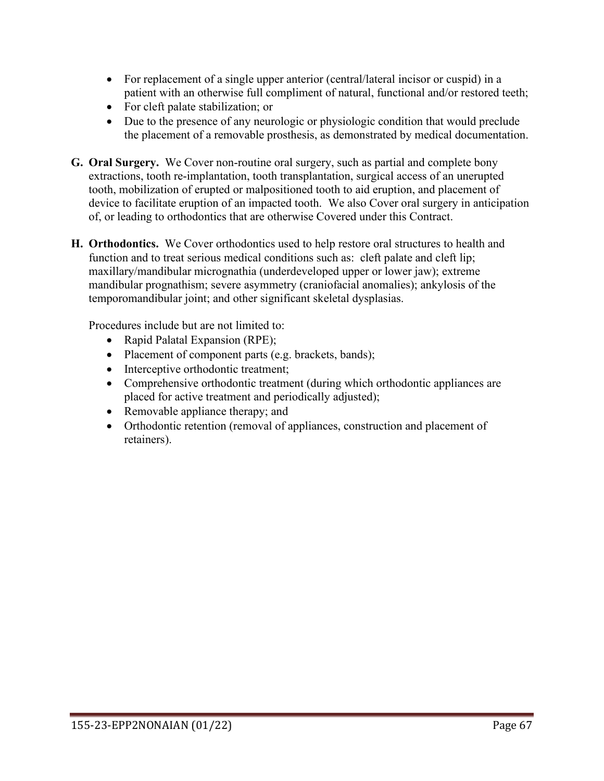- For replacement of a single upper anterior (central/lateral incisor or cuspid) in a patient with an otherwise full compliment of natural, functional and/or restored teeth;
- For cleft palate stabilization; or
- Due to the presence of any neurologic or physiologic condition that would preclude the placement of a removable prosthesis, as demonstrated by medical documentation.
- **G. Oral Surgery.** We Cover non-routine oral surgery, such as partial and complete bony extractions, tooth re-implantation, tooth transplantation, surgical access of an unerupted tooth, mobilization of erupted or malpositioned tooth to aid eruption, and placement of device to facilitate eruption of an impacted tooth. We also Cover oral surgery in anticipation of, or leading to orthodontics that are otherwise Covered under this Contract.
- **H. Orthodontics.** We Cover orthodontics used to help restore oral structures to health and function and to treat serious medical conditions such as: cleft palate and cleft lip; maxillary/mandibular micrognathia (underdeveloped upper or lower jaw); extreme mandibular prognathism; severe asymmetry (craniofacial anomalies); ankylosis of the temporomandibular joint; and other significant skeletal dysplasias.

Procedures include but are not limited to:

- Rapid Palatal Expansion (RPE);
- Placement of component parts (e.g. brackets, bands);
- Interceptive orthodontic treatment;
- Comprehensive orthodontic treatment (during which orthodontic appliances are placed for active treatment and periodically adjusted);
- Removable appliance therapy; and
- Orthodontic retention (removal of appliances, construction and placement of retainers).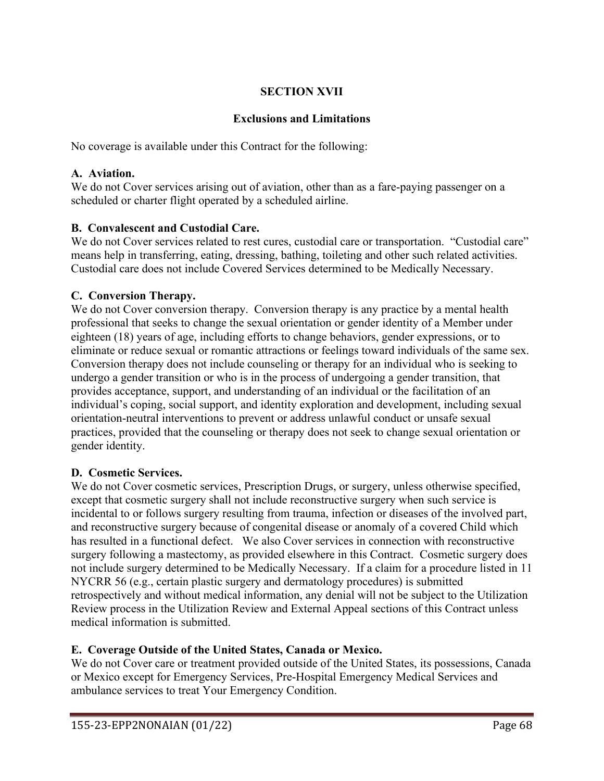# **SECTION XVII**

# **Exclusions and Limitations**

No coverage is available under this Contract for the following:

#### **A. Aviation.**

We do not Cover services arising out of aviation, other than as a fare-paying passenger on a scheduled or charter flight operated by a scheduled airline.

### **B. Convalescent and Custodial Care.**

We do not Cover services related to rest cures, custodial care or transportation. "Custodial care" means help in transferring, eating, dressing, bathing, toileting and other such related activities. Custodial care does not include Covered Services determined to be Medically Necessary.

### **C. Conversion Therapy.**

We do not Cover conversion therapy. Conversion therapy is any practice by a mental health professional that seeks to change the sexual orientation or gender identity of a Member under eighteen (18) years of age, including efforts to change behaviors, gender expressions, or to eliminate or reduce sexual or romantic attractions or feelings toward individuals of the same sex. Conversion therapy does not include counseling or therapy for an individual who is seeking to undergo a gender transition or who is in the process of undergoing a gender transition, that provides acceptance, support, and understanding of an individual or the facilitation of an individual's coping, social support, and identity exploration and development, including sexual orientation-neutral interventions to prevent or address unlawful conduct or unsafe sexual practices, provided that the counseling or therapy does not seek to change sexual orientation or gender identity.

#### **D. Cosmetic Services.**

We do not Cover cosmetic services, Prescription Drugs, or surgery, unless otherwise specified, except that cosmetic surgery shall not include reconstructive surgery when such service is incidental to or follows surgery resulting from trauma, infection or diseases of the involved part, and reconstructive surgery because of congenital disease or anomaly of a covered Child which has resulted in a functional defect. We also Cover services in connection with reconstructive surgery following a mastectomy, as provided elsewhere in this Contract. Cosmetic surgery does not include surgery determined to be Medically Necessary. If a claim for a procedure listed in 11 NYCRR 56 (e.g., certain plastic surgery and dermatology procedures) is submitted retrospectively and without medical information, any denial will not be subject to the Utilization Review process in the Utilization Review and External Appeal sections of this Contract unless medical information is submitted.

# **E. Coverage Outside of the United States, Canada or Mexico.**

We do not Cover care or treatment provided outside of the United States, its possessions, Canada or Mexico except for Emergency Services, Pre-Hospital Emergency Medical Services and ambulance services to treat Your Emergency Condition.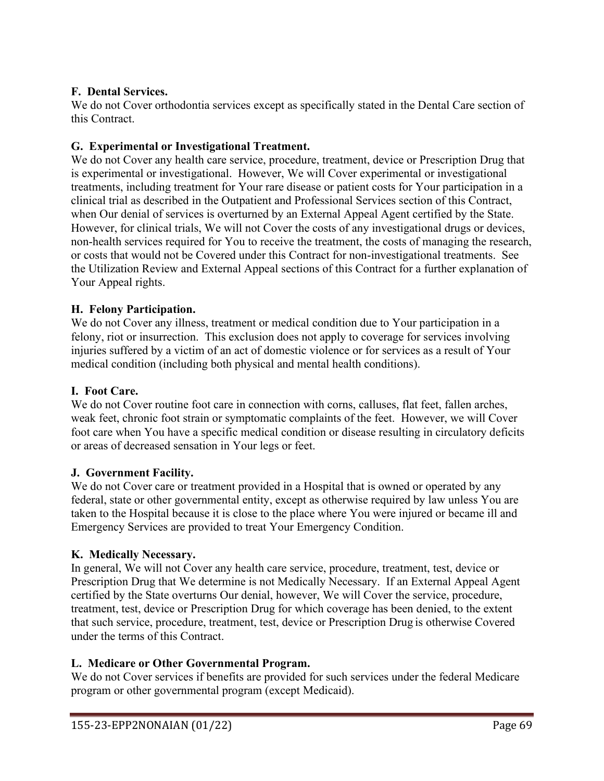### **F. Dental Services.**

We do not Cover orthodontia services except as specifically stated in the Dental Care section of this Contract.

### **G. Experimental or Investigational Treatment.**

We do not Cover any health care service, procedure, treatment, device or Prescription Drug that is experimental or investigational. However, We will Cover experimental or investigational treatments, including treatment for Your rare disease or patient costs for Your participation in a clinical trial as described in the Outpatient and Professional Services section of this Contract, when Our denial of services is overturned by an External Appeal Agent certified by the State. However, for clinical trials, We will not Cover the costs of any investigational drugs or devices, non-health services required for You to receive the treatment, the costs of managing the research, or costs that would not be Covered under this Contract for non-investigational treatments. See the Utilization Review and External Appeal sections of this Contract for a further explanation of Your Appeal rights.

### **H. Felony Participation.**

We do not Cover any illness, treatment or medical condition due to Your participation in a felony, riot or insurrection. This exclusion does not apply to coverage for services involving injuries suffered by a victim of an act of domestic violence or for services as a result of Your medical condition (including both physical and mental health conditions).

### **I. Foot Care.**

We do not Cover routine foot care in connection with corns, calluses, flat feet, fallen arches, weak feet, chronic foot strain or symptomatic complaints of the feet. However, we will Cover foot care when You have a specific medical condition or disease resulting in circulatory deficits or areas of decreased sensation in Your legs or feet.

### **J. Government Facility.**

We do not Cover care or treatment provided in a Hospital that is owned or operated by any federal, state or other governmental entity, except as otherwise required by law unless You are taken to the Hospital because it is close to the place where You were injured or became ill and Emergency Services are provided to treat Your Emergency Condition.

### **K. Medically Necessary.**

In general, We will not Cover any health care service, procedure, treatment, test, device or Prescription Drug that We determine is not Medically Necessary. If an External Appeal Agent certified by the State overturns Our denial, however, We will Cover the service, procedure, treatment, test, device or Prescription Drug for which coverage has been denied, to the extent that such service, procedure, treatment, test, device or Prescription Drug is otherwise Covered under the terms of this Contract.

### **L. Medicare or Other Governmental Program.**

We do not Cover services if benefits are provided for such services under the federal Medicare program or other governmental program (except Medicaid).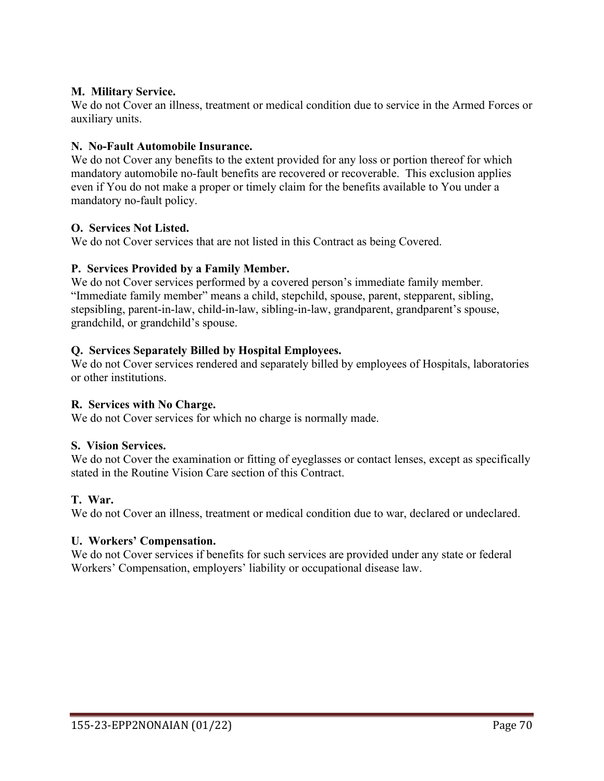### **M. Military Service.**

We do not Cover an illness, treatment or medical condition due to service in the Armed Forces or auxiliary units.

### **N. No-Fault Automobile Insurance.**

We do not Cover any benefits to the extent provided for any loss or portion thereof for which mandatory automobile no-fault benefits are recovered or recoverable. This exclusion applies even if You do not make a proper or timely claim for the benefits available to You under a mandatory no-fault policy.

### **O. Services Not Listed.**

We do not Cover services that are not listed in this Contract as being Covered.

## **P. Services Provided by a Family Member.**

We do not Cover services performed by a covered person's immediate family member. "Immediate family member" means a child, stepchild, spouse, parent, stepparent, sibling, stepsibling, parent-in-law, child-in-law, sibling-in-law, grandparent, grandparent's spouse, grandchild, or grandchild's spouse.

### **Q. Services Separately Billed by Hospital Employees.**

We do not Cover services rendered and separately billed by employees of Hospitals, laboratories or other institutions.

### **R. Services with No Charge.**

We do not Cover services for which no charge is normally made.

### **S. Vision Services.**

We do not Cover the examination or fitting of eyeglasses or contact lenses, except as specifically stated in the Routine Vision Care section of this Contract.

### **T. War.**

We do not Cover an illness, treatment or medical condition due to war, declared or undeclared.

### **U. Workers' Compensation.**

We do not Cover services if benefits for such services are provided under any state or federal Workers' Compensation, employers' liability or occupational disease law.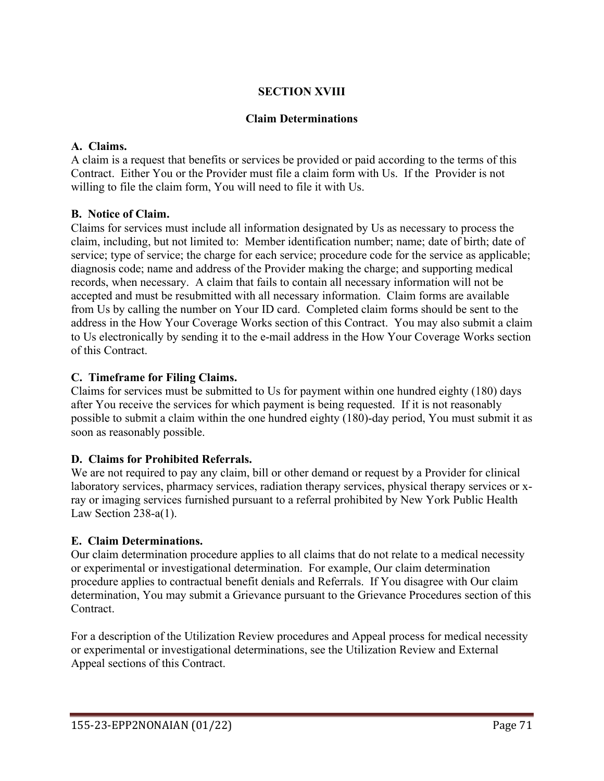## **SECTION XVIII**

#### **Claim Determinations**

### **A. Claims.**

A claim is a request that benefits or services be provided or paid according to the terms of this Contract. Either You or the Provider must file a claim form with Us. If the Provider is not willing to file the claim form, You will need to file it with Us.

### **B. Notice of Claim.**

Claims for services must include all information designated by Us as necessary to process the claim, including, but not limited to: Member identification number; name; date of birth; date of service; type of service; the charge for each service; procedure code for the service as applicable; diagnosis code; name and address of the Provider making the charge; and supporting medical records, when necessary. A claim that fails to contain all necessary information will not be accepted and must be resubmitted with all necessary information. Claim forms are available from Us by calling the number on Your ID card. Completed claim forms should be sent to the address in the How Your Coverage Works section of this Contract. You may also submit a claim to Us electronically by sending it to the e-mail address in the How Your Coverage Works section of this Contract.

### **C. Timeframe for Filing Claims.**

Claims for services must be submitted to Us for payment within one hundred eighty (180) days after You receive the services for which payment is being requested. If it is not reasonably possible to submit a claim within the one hundred eighty (180)-day period, You must submit it as soon as reasonably possible.

## **D. Claims for Prohibited Referrals.**

We are not required to pay any claim, bill or other demand or request by a Provider for clinical laboratory services, pharmacy services, radiation therapy services, physical therapy services or xray or imaging services furnished pursuant to a referral prohibited by New York Public Health Law Section 238-a(1).

### **E. Claim Determinations.**

Our claim determination procedure applies to all claims that do not relate to a medical necessity or experimental or investigational determination. For example, Our claim determination procedure applies to contractual benefit denials and Referrals. If You disagree with Our claim determination, You may submit a Grievance pursuant to the Grievance Procedures section of this Contract.

For a description of the Utilization Review procedures and Appeal process for medical necessity or experimental or investigational determinations, see the Utilization Review and External Appeal sections of this Contract.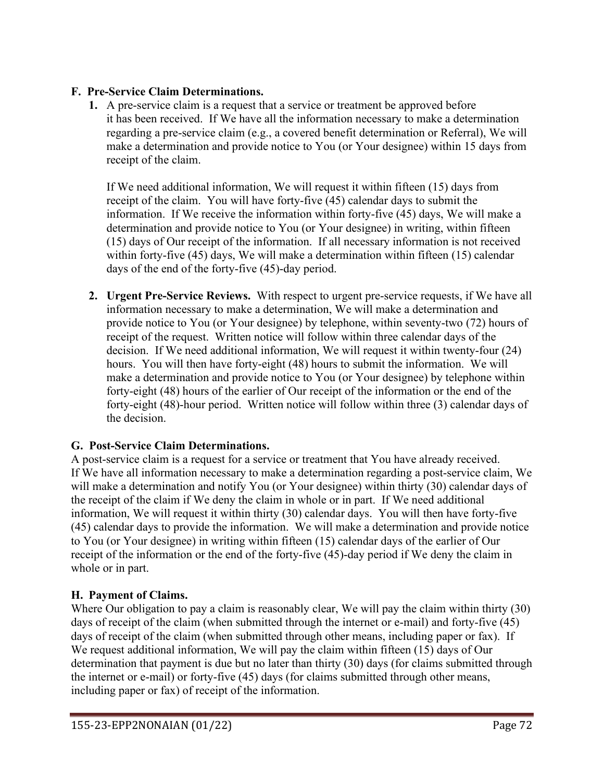### **F. Pre-Service Claim Determinations.**

**1.** A pre-service claim is a request that a service or treatment be approved before it has been received. If We have all the information necessary to make a determination regarding a pre-service claim (e.g., a covered benefit determination or Referral), We will make a determination and provide notice to You (or Your designee) within 15 days from receipt of the claim.

If We need additional information, We will request it within fifteen (15) days from receipt of the claim. You will have forty-five (45) calendar days to submit the information. If We receive the information within forty-five (45) days, We will make a determination and provide notice to You (or Your designee) in writing, within fifteen (15) days of Our receipt of the information. If all necessary information is not received within forty-five (45) days, We will make a determination within fifteen (15) calendar days of the end of the forty-five (45)-day period.

**2. Urgent Pre-Service Reviews.** With respect to urgent pre-service requests, if We have all information necessary to make a determination, We will make a determination and provide notice to You (or Your designee) by telephone, within seventy-two (72) hours of receipt of the request. Written notice will follow within three calendar days of the decision. If We need additional information, We will request it within twenty-four (24) hours. You will then have forty-eight (48) hours to submit the information. We will make a determination and provide notice to You (or Your designee) by telephone within forty-eight (48) hours of the earlier of Our receipt of the information or the end of the forty-eight (48)-hour period. Written notice will follow within three (3) calendar days of the decision.

## **G. Post-Service Claim Determinations.**

A post-service claim is a request for a service or treatment that You have already received. If We have all information necessary to make a determination regarding a post-service claim, We will make a determination and notify You (or Your designee) within thirty (30) calendar days of the receipt of the claim if We deny the claim in whole or in part. If We need additional information, We will request it within thirty (30) calendar days. You will then have forty-five (45) calendar days to provide the information. We will make a determination and provide notice to You (or Your designee) in writing within fifteen (15) calendar days of the earlier of Our receipt of the information or the end of the forty-five (45)-day period if We deny the claim in whole or in part.

## **H. Payment of Claims.**

Where Our obligation to pay a claim is reasonably clear, We will pay the claim within thirty (30) days of receipt of the claim (when submitted through the internet or e-mail) and forty-five (45) days of receipt of the claim (when submitted through other means, including paper or fax). If We request additional information, We will pay the claim within fifteen (15) days of Our determination that payment is due but no later than thirty (30) days (for claims submitted through the internet or e-mail) or forty-five (45) days (for claims submitted through other means, including paper or fax) of receipt of the information.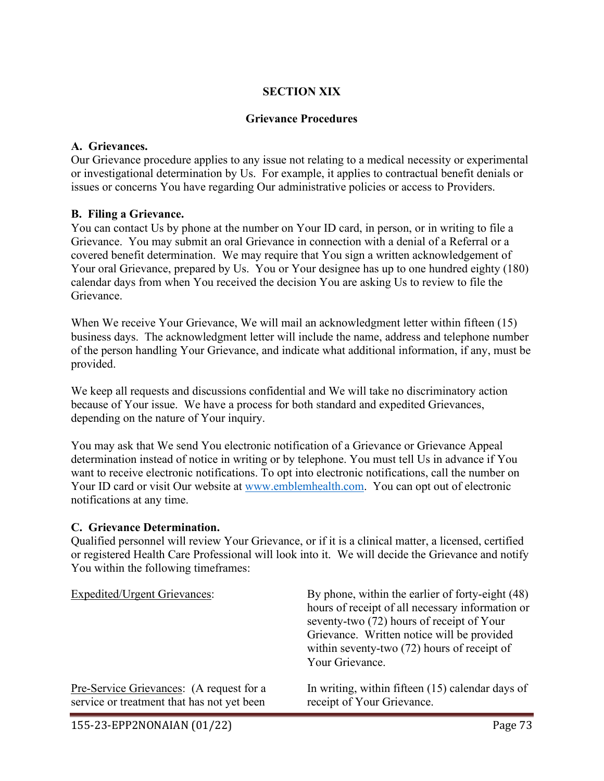### **SECTION XIX**

#### **Grievance Procedures**

### **A. Grievances.**

Our Grievance procedure applies to any issue not relating to a medical necessity or experimental or investigational determination by Us. For example, it applies to contractual benefit denials or issues or concerns You have regarding Our administrative policies or access to Providers.

#### **B. Filing a Grievance.**

You can contact Us by phone at the number on Your ID card, in person, or in writing to file a Grievance. You may submit an oral Grievance in connection with a denial of a Referral or a covered benefit determination. We may require that You sign a written acknowledgement of Your oral Grievance, prepared by Us. You or Your designee has up to one hundred eighty (180) calendar days from when You received the decision You are asking Us to review to file the Grievance.

When We receive Your Grievance, We will mail an acknowledgment letter within fifteen (15) business days. The acknowledgment letter will include the name, address and telephone number of the person handling Your Grievance, and indicate what additional information, if any, must be provided.

We keep all requests and discussions confidential and We will take no discriminatory action because of Your issue. We have a process for both standard and expedited Grievances, depending on the nature of Your inquiry.

You may ask that We send You electronic notification of a Grievance or Grievance Appeal determination instead of notice in writing or by telephone. You must tell Us in advance if You want to receive electronic notifications. To opt into electronic notifications, call the number on Your ID card or visit Our website at [www.emblemhealth.com.](http://www.emblemhealth.com/) You can opt out of electronic notifications at any time.

#### **C. Grievance Determination.**

Qualified personnel will review Your Grievance, or if it is a clinical matter, a licensed, certified or registered Health Care Professional will look into it. We will decide the Grievance and notify You within the following timeframes:

| <b>Expedited/Urgent Grievances:</b>        | By phone, within the earlier of forty-eight (48)<br>hours of receipt of all necessary information or<br>seventy-two (72) hours of receipt of Your<br>Grievance. Written notice will be provided<br>within seventy-two $(72)$ hours of receipt of<br>Your Grievance. |
|--------------------------------------------|---------------------------------------------------------------------------------------------------------------------------------------------------------------------------------------------------------------------------------------------------------------------|
| Pre-Service Grievances: (A request for a   | In writing, within fifteen (15) calendar days of                                                                                                                                                                                                                    |
| service or treatment that has not yet been | receipt of Your Grievance.                                                                                                                                                                                                                                          |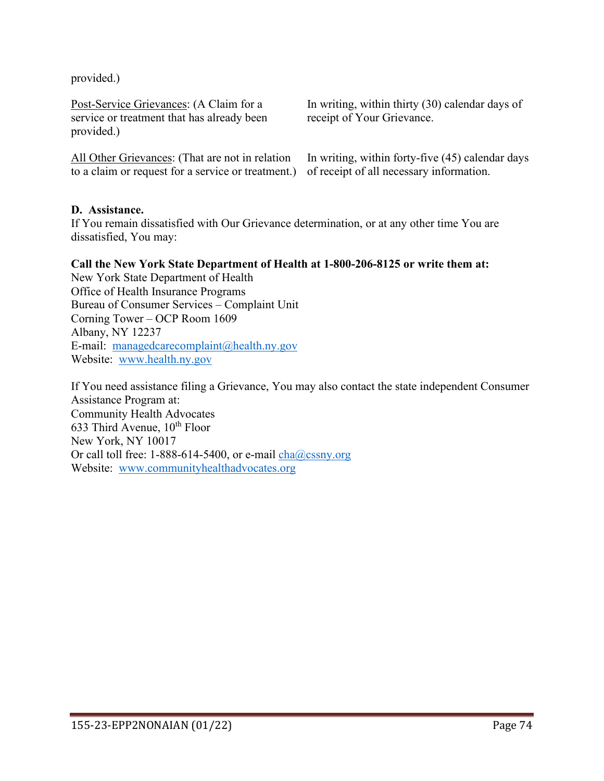provided.)

Post-Service Grievances: (A Claim for a service or treatment that has already been provided.)

All Other Grievances: (That are not in relation to a claim or request for a service or treatment.)

In writing, within thirty (30) calendar days of receipt of Your Grievance.

In writing, within forty-five (45) calendar days of receipt of all necessary information.

#### **D. Assistance.**

If You remain dissatisfied with Our Grievance determination, or at any other time You are dissatisfied, You may:

#### **Call the New York State Department of Health at 1-800-206-8125 or write them at:**

New York State Department of Health Office of Health Insurance Programs Bureau of Consumer Services – Complaint Unit Corning Tower – OCP Room 1609 Albany, NY 12237 E-mail: [managedcarecomplaint@health.ny.gov](mailto:managedcarecomplaint@health.ny.gov) Website: [www.health.ny.gov](http://www.health.ny.gov/) 

If You need assistance filing a Grievance, You may also contact the state independent Consumer Assistance Program at: Community Health Advocates 633 Third Avenue, 10<sup>th</sup> Floor New York, NY 10017 Or call toll free:  $1-888-614-5400$ , or e-mail  $\frac{\text{cha}(\omega)\text{cssny.org}}{\text{b}(\omega)}$ Website: [www.communityhealthadvocates.org](http://www.communityhealthadvocates.org/)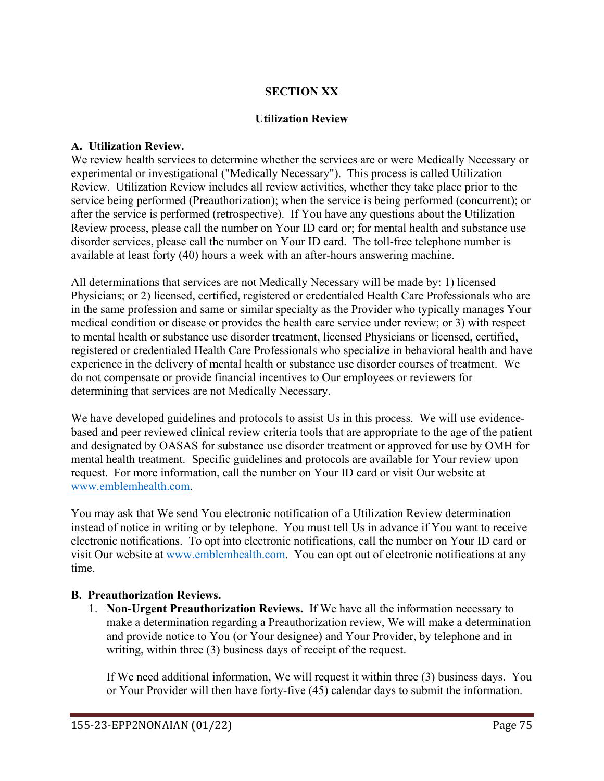### **SECTION XX**

### **Utilization Review**

### **A. Utilization Review.**

We review health services to determine whether the services are or were Medically Necessary or experimental or investigational ("Medically Necessary"). This process is called Utilization Review. Utilization Review includes all review activities, whether they take place prior to the service being performed (Preauthorization); when the service is being performed (concurrent); or after the service is performed (retrospective). If You have any questions about the Utilization Review process, please call the number on Your ID card or; for mental health and substance use disorder services, please call the number on Your ID card. The toll-free telephone number is available at least forty (40) hours a week with an after-hours answering machine.

All determinations that services are not Medically Necessary will be made by: 1) licensed Physicians; or 2) licensed, certified, registered or credentialed Health Care Professionals who are in the same profession and same or similar specialty as the Provider who typically manages Your medical condition or disease or provides the health care service under review; or 3) with respect to mental health or substance use disorder treatment, licensed Physicians or licensed, certified, registered or credentialed Health Care Professionals who specialize in behavioral health and have experience in the delivery of mental health or substance use disorder courses of treatment. We do not compensate or provide financial incentives to Our employees or reviewers for determining that services are not Medically Necessary.

We have developed guidelines and protocols to assist Us in this process. We will use evidencebased and peer reviewed clinical review criteria tools that are appropriate to the age of the patient and designated by OASAS for substance use disorder treatment or approved for use by OMH for mental health treatment. Specific guidelines and protocols are available for Your review upon request. For more information, call the number on Your ID card or visit Our website at [www.emblemhealth.com.](http://www.emblemhealth.com/)

You may ask that We send You electronic notification of a Utilization Review determination instead of notice in writing or by telephone. You must tell Us in advance if You want to receive electronic notifications. To opt into electronic notifications, call the number on Your ID card or visit Our website at [www.emblemhealth.com.](http://www.emblemhealth.com/) You can opt out of electronic notifications at any time.

### **B. Preauthorization Reviews.**

1. **Non-Urgent Preauthorization Reviews.** If We have all the information necessary to make a determination regarding a Preauthorization review, We will make a determination and provide notice to You (or Your designee) and Your Provider, by telephone and in writing, within three (3) business days of receipt of the request.

If We need additional information, We will request it within three (3) business days. You or Your Provider will then have forty-five (45) calendar days to submit the information.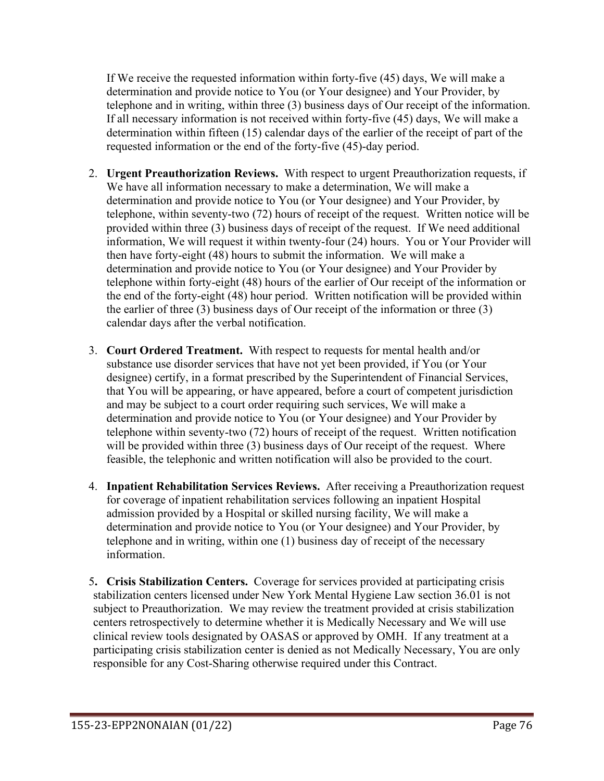If We receive the requested information within forty-five (45) days, We will make a determination and provide notice to You (or Your designee) and Your Provider, by telephone and in writing, within three (3) business days of Our receipt of the information. If all necessary information is not received within forty-five (45) days, We will make a determination within fifteen (15) calendar days of the earlier of the receipt of part of the requested information or the end of the forty-five (45)-day period.

- 2. **Urgent Preauthorization Reviews.** With respect to urgent Preauthorization requests, if We have all information necessary to make a determination, We will make a determination and provide notice to You (or Your designee) and Your Provider, by telephone, within seventy-two (72) hours of receipt of the request. Written notice will be provided within three (3) business days of receipt of the request. If We need additional information, We will request it within twenty-four (24) hours. You or Your Provider will then have forty-eight (48) hours to submit the information. We will make a determination and provide notice to You (or Your designee) and Your Provider by telephone within forty-eight (48) hours of the earlier of Our receipt of the information or the end of the forty-eight (48) hour period. Written notification will be provided within the earlier of three (3) business days of Our receipt of the information or three (3) calendar days after the verbal notification.
- 3. **Court Ordered Treatment.** With respect to requests for mental health and/or substance use disorder services that have not yet been provided, if You (or Your designee) certify, in a format prescribed by the Superintendent of Financial Services, that You will be appearing, or have appeared, before a court of competent jurisdiction and may be subject to a court order requiring such services, We will make a determination and provide notice to You (or Your designee) and Your Provider by telephone within seventy-two (72) hours of receipt of the request. Written notification will be provided within three (3) business days of Our receipt of the request. Where feasible, the telephonic and written notification will also be provided to the court.
- 4. **Inpatient Rehabilitation Services Reviews.** After receiving a Preauthorization request for coverage of inpatient rehabilitation services following an inpatient Hospital admission provided by a Hospital or skilled nursing facility, We will make a determination and provide notice to You (or Your designee) and Your Provider, by telephone and in writing, within one (1) business day of receipt of the necessary information.
- 5**. Crisis Stabilization Centers.** Coverage for services provided at participating crisis stabilization centers licensed under New York Mental Hygiene Law section 36.01 is not subject to Preauthorization. We may review the treatment provided at crisis stabilization centers retrospectively to determine whether it is Medically Necessary and We will use clinical review tools designated by OASAS or approved by OMH. If any treatment at a participating crisis stabilization center is denied as not Medically Necessary, You are only responsible for any Cost-Sharing otherwise required under this Contract.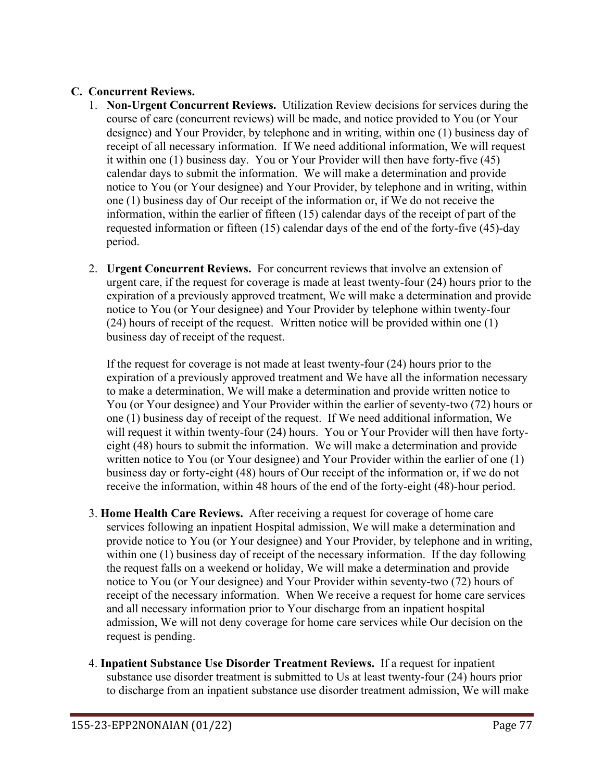## **C. Concurrent Reviews.**

- 1. **Non-Urgent Concurrent Reviews.** Utilization Review decisions for services during the course of care (concurrent reviews) will be made, and notice provided to You (or Your designee) and Your Provider, by telephone and in writing, within one (1) business day of receipt of all necessary information. If We need additional information, We will request it within one (1) business day. You or Your Provider will then have forty-five (45) calendar days to submit the information. We will make a determination and provide notice to You (or Your designee) and Your Provider, by telephone and in writing, within one (1) business day of Our receipt of the information or, if We do not receive the information, within the earlier of fifteen (15) calendar days of the receipt of part of the requested information or fifteen (15) calendar days of the end of the forty-five (45)-day period.
- 2. **Urgent Concurrent Reviews.** For concurrent reviews that involve an extension of urgent care, if the request for coverage is made at least twenty-four (24) hours prior to the expiration of a previously approved treatment, We will make a determination and provide notice to You (or Your designee) and Your Provider by telephone within twenty-four (24) hours of receipt of the request. Written notice will be provided within one (1) business day of receipt of the request.

If the request for coverage is not made at least twenty-four (24) hours prior to the expiration of a previously approved treatment and We have all the information necessary to make a determination, We will make a determination and provide written notice to You (or Your designee) and Your Provider within the earlier of seventy-two (72) hours or one (1) business day of receipt of the request. If We need additional information, We will request it within twenty-four (24) hours. You or Your Provider will then have fortyeight (48) hours to submit the information. We will make a determination and provide written notice to You (or Your designee) and Your Provider within the earlier of one (1) business day or forty-eight (48) hours of Our receipt of the information or, if we do not receive the information, within 48 hours of the end of the forty-eight (48)-hour period.

- 3. **Home Health Care Reviews.** After receiving a request for coverage of home care services following an inpatient Hospital admission, We will make a determination and provide notice to You (or Your designee) and Your Provider, by telephone and in writing, within one (1) business day of receipt of the necessary information. If the day following the request falls on a weekend or holiday, We will make a determination and provide notice to You (or Your designee) and Your Provider within seventy-two (72) hours of receipt of the necessary information. When We receive a request for home care services and all necessary information prior to Your discharge from an inpatient hospital admission, We will not deny coverage for home care services while Our decision on the request is pending.
- 4. **Inpatient Substance Use Disorder Treatment Reviews.** If a request for inpatient substance use disorder treatment is submitted to Us at least twenty-four (24) hours prior to discharge from an inpatient substance use disorder treatment admission, We will make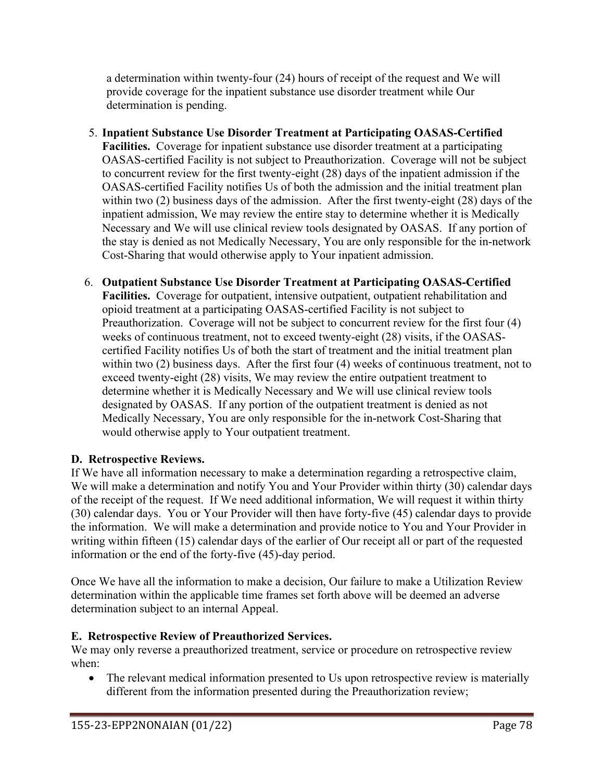a determination within twenty-four (24) hours of receipt of the request and We will provide coverage for the inpatient substance use disorder treatment while Our determination is pending.

- 5. **Inpatient Substance Use Disorder Treatment at Participating OASAS-Certified Facilities.** Coverage for inpatient substance use disorder treatment at a participating OASAS-certified Facility is not subject to Preauthorization. Coverage will not be subject to concurrent review for the first twenty-eight (28) days of the inpatient admission if the OASAS-certified Facility notifies Us of both the admission and the initial treatment plan within two (2) business days of the admission. After the first twenty-eight (28) days of the inpatient admission, We may review the entire stay to determine whether it is Medically Necessary and We will use clinical review tools designated by OASAS. If any portion of the stay is denied as not Medically Necessary, You are only responsible for the in-network Cost-Sharing that would otherwise apply to Your inpatient admission.
- 6. **Outpatient Substance Use Disorder Treatment at Participating OASAS-Certified Facilities.** Coverage for outpatient, intensive outpatient, outpatient rehabilitation and opioid treatment at a participating OASAS-certified Facility is not subject to Preauthorization. Coverage will not be subject to concurrent review for the first four (4) weeks of continuous treatment, not to exceed twenty-eight (28) visits, if the OASAScertified Facility notifies Us of both the start of treatment and the initial treatment plan within two (2) business days. After the first four (4) weeks of continuous treatment, not to exceed twenty-eight (28) visits, We may review the entire outpatient treatment to determine whether it is Medically Necessary and We will use clinical review tools designated by OASAS. If any portion of the outpatient treatment is denied as not Medically Necessary, You are only responsible for the in-network Cost-Sharing that would otherwise apply to Your outpatient treatment.

# **D. Retrospective Reviews.**

If We have all information necessary to make a determination regarding a retrospective claim, We will make a determination and notify You and Your Provider within thirty (30) calendar days of the receipt of the request. If We need additional information, We will request it within thirty (30) calendar days. You or Your Provider will then have forty-five (45) calendar days to provide the information. We will make a determination and provide notice to You and Your Provider in writing within fifteen (15) calendar days of the earlier of Our receipt all or part of the requested information or the end of the forty-five (45)-day period.

Once We have all the information to make a decision, Our failure to make a Utilization Review determination within the applicable time frames set forth above will be deemed an adverse determination subject to an internal Appeal.

# **E. Retrospective Review of Preauthorized Services.**

We may only reverse a preauthorized treatment, service or procedure on retrospective review when:

• The relevant medical information presented to Us upon retrospective review is materially different from the information presented during the Preauthorization review;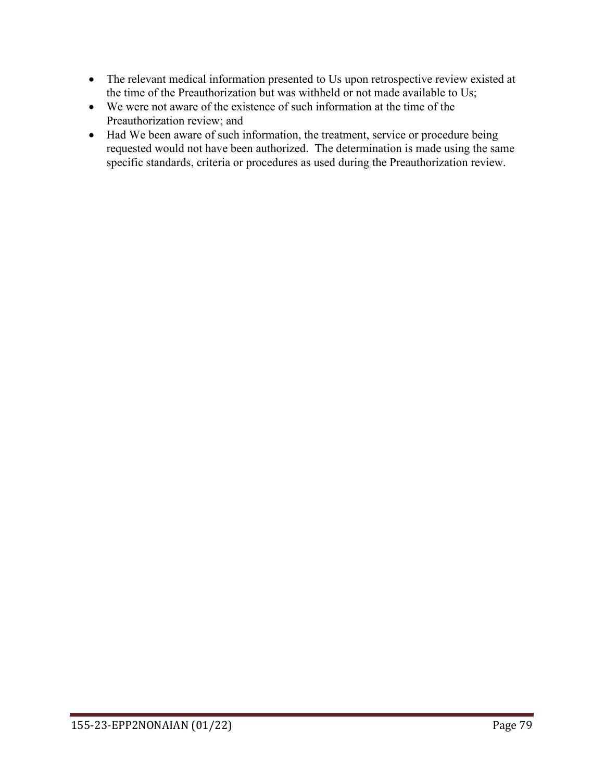- The relevant medical information presented to Us upon retrospective review existed at the time of the Preauthorization but was withheld or not made available to Us;
- We were not aware of the existence of such information at the time of the Preauthorization review; and
- Had We been aware of such information, the treatment, service or procedure being requested would not have been authorized. The determination is made using the same specific standards, criteria or procedures as used during the Preauthorization review.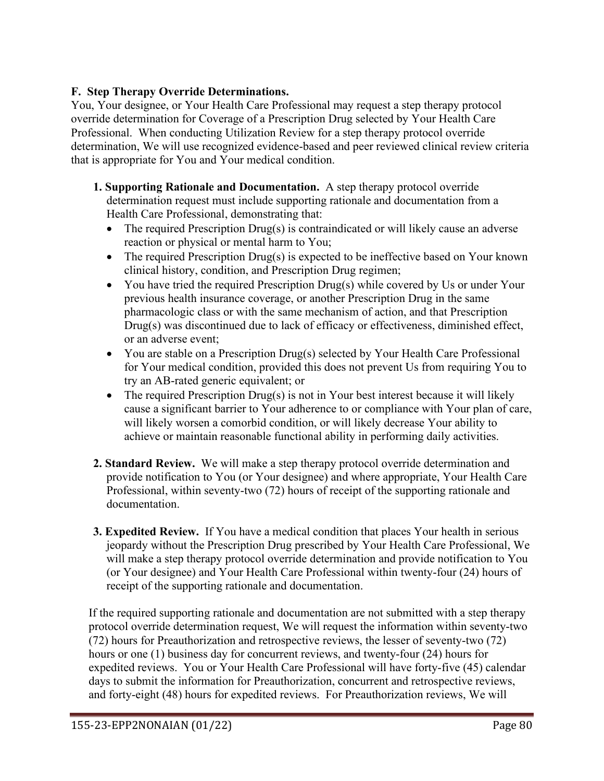## **F. Step Therapy Override Determinations.**

You, Your designee, or Your Health Care Professional may request a step therapy protocol override determination for Coverage of a Prescription Drug selected by Your Health Care Professional. When conducting Utilization Review for a step therapy protocol override determination, We will use recognized evidence-based and peer reviewed clinical review criteria that is appropriate for You and Your medical condition.

- **1. Supporting Rationale and Documentation.** A step therapy protocol override determination request must include supporting rationale and documentation from a Health Care Professional, demonstrating that:
	- The required Prescription Drug(s) is contraindicated or will likely cause an adverse reaction or physical or mental harm to You;
	- The required Prescription Drug(s) is expected to be ineffective based on Your known clinical history, condition, and Prescription Drug regimen;
	- You have tried the required Prescription Drug(s) while covered by Us or under Your previous health insurance coverage, or another Prescription Drug in the same pharmacologic class or with the same mechanism of action, and that Prescription Drug(s) was discontinued due to lack of efficacy or effectiveness, diminished effect, or an adverse event;
	- You are stable on a Prescription Drug(s) selected by Your Health Care Professional for Your medical condition, provided this does not prevent Us from requiring You to try an AB-rated generic equivalent; or
	- The required Prescription Drug(s) is not in Your best interest because it will likely cause a significant barrier to Your adherence to or compliance with Your plan of care, will likely worsen a comorbid condition, or will likely decrease Your ability to achieve or maintain reasonable functional ability in performing daily activities.
- **2. Standard Review.** We will make a step therapy protocol override determination and provide notification to You (or Your designee) and where appropriate, Your Health Care Professional, within seventy-two (72) hours of receipt of the supporting rationale and documentation.
- **3. Expedited Review.** If You have a medical condition that places Your health in serious jeopardy without the Prescription Drug prescribed by Your Health Care Professional, We will make a step therapy protocol override determination and provide notification to You (or Your designee) and Your Health Care Professional within twenty-four (24) hours of receipt of the supporting rationale and documentation.

If the required supporting rationale and documentation are not submitted with a step therapy protocol override determination request, We will request the information within seventy-two (72) hours for Preauthorization and retrospective reviews, the lesser of seventy-two (72) hours or one (1) business day for concurrent reviews, and twenty-four (24) hours for expedited reviews. You or Your Health Care Professional will have forty-five (45) calendar days to submit the information for Preauthorization, concurrent and retrospective reviews, and forty-eight (48) hours for expedited reviews. For Preauthorization reviews, We will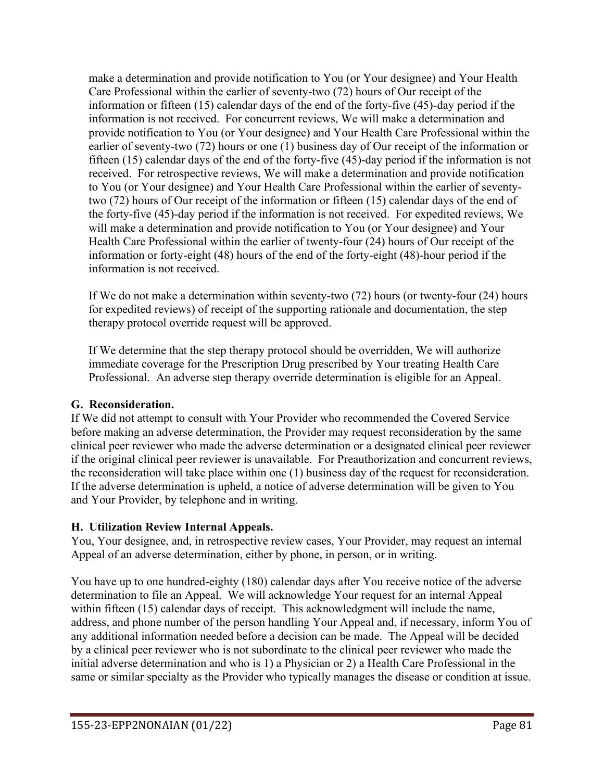make a determination and provide notification to You (or Your designee) and Your Health Care Professional within the earlier of seventy-two (72) hours of Our receipt of the information or fifteen (15) calendar days of the end of the forty-five (45)-day period if the information is not received. For concurrent reviews, We will make a determination and provide notification to You (or Your designee) and Your Health Care Professional within the earlier of seventy-two (72) hours or one (1) business day of Our receipt of the information or fifteen (15) calendar days of the end of the forty-five (45)-day period if the information is not received. For retrospective reviews, We will make a determination and provide notification to You (or Your designee) and Your Health Care Professional within the earlier of seventytwo (72) hours of Our receipt of the information or fifteen (15) calendar days of the end of the forty-five (45)-day period if the information is not received. For expedited reviews, We will make a determination and provide notification to You (or Your designee) and Your Health Care Professional within the earlier of twenty-four (24) hours of Our receipt of the information or forty-eight (48) hours of the end of the forty-eight (48)-hour period if the information is not received.

If We do not make a determination within seventy-two (72) hours (or twenty-four (24) hours for expedited reviews) of receipt of the supporting rationale and documentation, the step therapy protocol override request will be approved.

If We determine that the step therapy protocol should be overridden, We will authorize immediate coverage for the Prescription Drug prescribed by Your treating Health Care Professional. An adverse step therapy override determination is eligible for an Appeal.

# **G. Reconsideration.**

If We did not attempt to consult with Your Provider who recommended the Covered Service before making an adverse determination, the Provider may request reconsideration by the same clinical peer reviewer who made the adverse determination or a designated clinical peer reviewer if the original clinical peer reviewer is unavailable. For Preauthorization and concurrent reviews, the reconsideration will take place within one (1) business day of the request for reconsideration. If the adverse determination is upheld, a notice of adverse determination will be given to You and Your Provider, by telephone and in writing.

# **H. Utilization Review Internal Appeals.**

You, Your designee, and, in retrospective review cases, Your Provider, may request an internal Appeal of an adverse determination, either by phone, in person, or in writing.

You have up to one hundred-eighty (180) calendar days after You receive notice of the adverse determination to file an Appeal. We will acknowledge Your request for an internal Appeal within fifteen (15) calendar days of receipt. This acknowledgment will include the name, address, and phone number of the person handling Your Appeal and, if necessary, inform You of any additional information needed before a decision can be made. The Appeal will be decided by a clinical peer reviewer who is not subordinate to the clinical peer reviewer who made the initial adverse determination and who is 1) a Physician or 2) a Health Care Professional in the same or similar specialty as the Provider who typically manages the disease or condition at issue.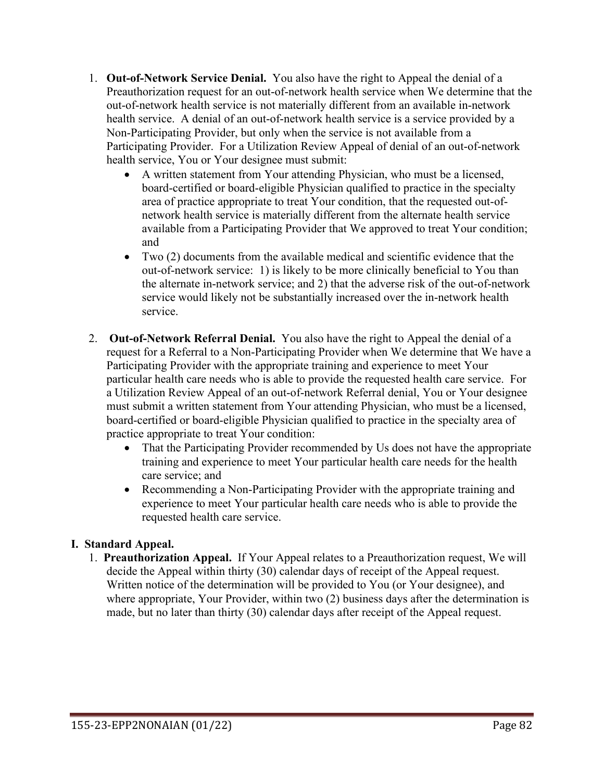- 1. **Out-of-Network Service Denial.** You also have the right to Appeal the denial of a Preauthorization request for an out-of-network health service when We determine that the out-of-network health service is not materially different from an available in-network health service. A denial of an out-of-network health service is a service provided by a Non-Participating Provider, but only when the service is not available from a Participating Provider. For a Utilization Review Appeal of denial of an out-of-network health service, You or Your designee must submit:
	- A written statement from Your attending Physician, who must be a licensed, board-certified or board-eligible Physician qualified to practice in the specialty area of practice appropriate to treat Your condition, that the requested out-ofnetwork health service is materially different from the alternate health service available from a Participating Provider that We approved to treat Your condition; and
	- Two (2) documents from the available medical and scientific evidence that the out-of-network service: 1) is likely to be more clinically beneficial to You than the alternate in-network service; and 2) that the adverse risk of the out-of-network service would likely not be substantially increased over the in-network health service.
- 2. **Out-of-Network Referral Denial.** You also have the right to Appeal the denial of a request for a Referral to a Non-Participating Provider when We determine that We have a Participating Provider with the appropriate training and experience to meet Your particular health care needs who is able to provide the requested health care service. For a Utilization Review Appeal of an out-of-network Referral denial, You or Your designee must submit a written statement from Your attending Physician, who must be a licensed, board-certified or board-eligible Physician qualified to practice in the specialty area of practice appropriate to treat Your condition:
	- That the Participating Provider recommended by Us does not have the appropriate training and experience to meet Your particular health care needs for the health care service; and
	- Recommending a Non-Participating Provider with the appropriate training and experience to meet Your particular health care needs who is able to provide the requested health care service.

## **I. Standard Appeal.**

1. **Preauthorization Appeal.** If Your Appeal relates to a Preauthorization request, We will decide the Appeal within thirty (30) calendar days of receipt of the Appeal request. Written notice of the determination will be provided to You (or Your designee), and where appropriate, Your Provider, within two (2) business days after the determination is made, but no later than thirty (30) calendar days after receipt of the Appeal request.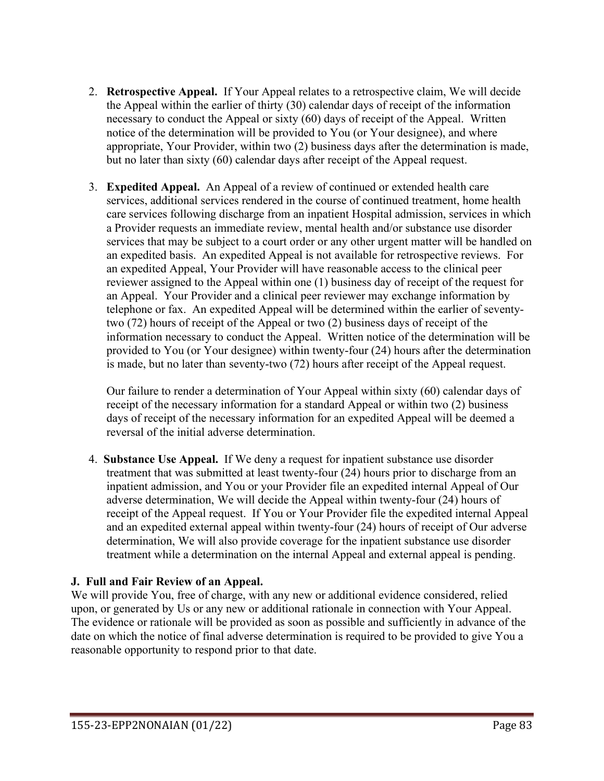- 2. **Retrospective Appeal.** If Your Appeal relates to a retrospective claim, We will decide the Appeal within the earlier of thirty (30) calendar days of receipt of the information necessary to conduct the Appeal or sixty (60) days of receipt of the Appeal. Written notice of the determination will be provided to You (or Your designee), and where appropriate, Your Provider, within two (2) business days after the determination is made, but no later than sixty (60) calendar days after receipt of the Appeal request.
- 3. **Expedited Appeal.** An Appeal of a review of continued or extended health care services, additional services rendered in the course of continued treatment, home health care services following discharge from an inpatient Hospital admission, services in which a Provider requests an immediate review, mental health and/or substance use disorder services that may be subject to a court order or any other urgent matter will be handled on an expedited basis. An expedited Appeal is not available for retrospective reviews. For an expedited Appeal, Your Provider will have reasonable access to the clinical peer reviewer assigned to the Appeal within one (1) business day of receipt of the request for an Appeal. Your Provider and a clinical peer reviewer may exchange information by telephone or fax. An expedited Appeal will be determined within the earlier of seventytwo (72) hours of receipt of the Appeal or two (2) business days of receipt of the information necessary to conduct the Appeal. Written notice of the determination will be provided to You (or Your designee) within twenty-four (24) hours after the determination is made, but no later than seventy-two (72) hours after receipt of the Appeal request.

Our failure to render a determination of Your Appeal within sixty (60) calendar days of receipt of the necessary information for a standard Appeal or within two (2) business days of receipt of the necessary information for an expedited Appeal will be deemed a reversal of the initial adverse determination.

4. **Substance Use Appeal.** If We deny a request for inpatient substance use disorder treatment that was submitted at least twenty-four (24) hours prior to discharge from an inpatient admission, and You or your Provider file an expedited internal Appeal of Our adverse determination, We will decide the Appeal within twenty-four (24) hours of receipt of the Appeal request. If You or Your Provider file the expedited internal Appeal and an expedited external appeal within twenty-four (24) hours of receipt of Our adverse determination, We will also provide coverage for the inpatient substance use disorder treatment while a determination on the internal Appeal and external appeal is pending.

### **J. Full and Fair Review of an Appeal.**

We will provide You, free of charge, with any new or additional evidence considered, relied upon, or generated by Us or any new or additional rationale in connection with Your Appeal. The evidence or rationale will be provided as soon as possible and sufficiently in advance of the date on which the notice of final adverse determination is required to be provided to give You a reasonable opportunity to respond prior to that date.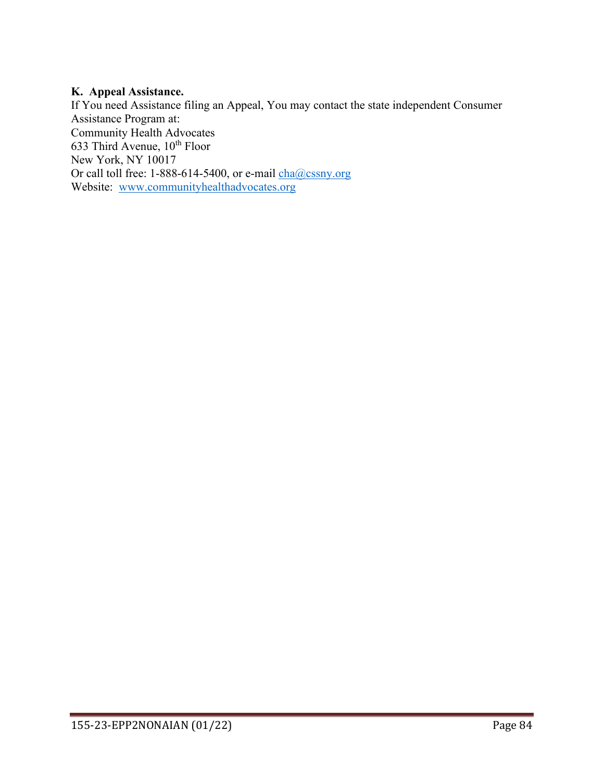#### **K. Appeal Assistance.**

If You need Assistance filing an Appeal, You may contact the state independent Consumer Assistance Program at: Community Health Advocates 633 Third Avenue,  $10^{th}$  Floor New York, NY 10017 Or call toll free: 1-888-614-5400, or e-mail [cha@cssny.org](mailto:cha@cssny.org) Website: [www.communityhealthadvocates.org](http://www.communityhealthadvocates.org/)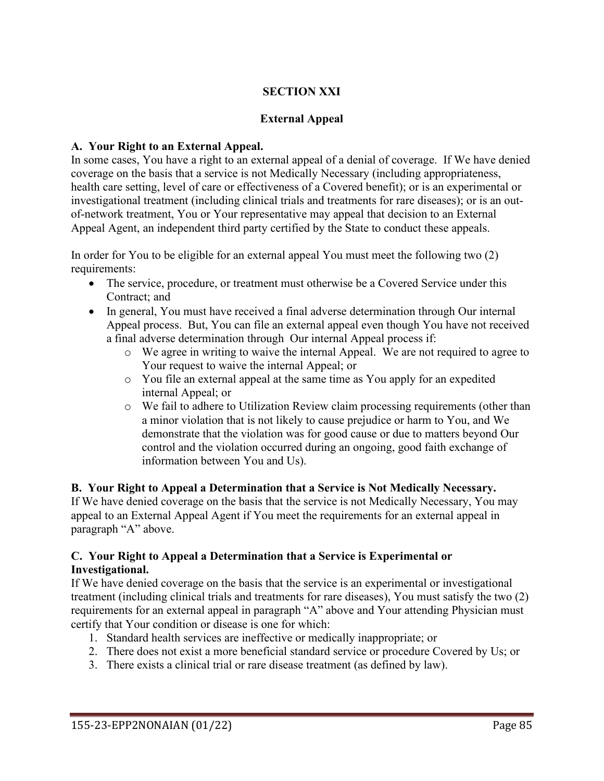## **SECTION XXI**

### **External Appeal**

### **A. Your Right to an External Appeal.**

In some cases, You have a right to an external appeal of a denial of coverage. If We have denied coverage on the basis that a service is not Medically Necessary (including appropriateness, health care setting, level of care or effectiveness of a Covered benefit); or is an experimental or investigational treatment (including clinical trials and treatments for rare diseases); or is an outof-network treatment, You or Your representative may appeal that decision to an External Appeal Agent, an independent third party certified by the State to conduct these appeals.

In order for You to be eligible for an external appeal You must meet the following two (2) requirements:

- The service, procedure, or treatment must otherwise be a Covered Service under this Contract; and
- In general, You must have received a final adverse determination through Our internal Appeal process. But, You can file an external appeal even though You have not received a final adverse determination through Our internal Appeal process if:
	- o We agree in writing to waive the internal Appeal. We are not required to agree to Your request to waive the internal Appeal; or
	- o You file an external appeal at the same time as You apply for an expedited internal Appeal; or
	- o We fail to adhere to Utilization Review claim processing requirements (other than a minor violation that is not likely to cause prejudice or harm to You, and We demonstrate that the violation was for good cause or due to matters beyond Our control and the violation occurred during an ongoing, good faith exchange of information between You and Us).

**B. Your Right to Appeal a Determination that a Service is Not Medically Necessary.** If We have denied coverage on the basis that the service is not Medically Necessary, You may appeal to an External Appeal Agent if You meet the requirements for an external appeal in paragraph "A" above.

### **C. Your Right to Appeal a Determination that a Service is Experimental or Investigational.**

If We have denied coverage on the basis that the service is an experimental or investigational treatment (including clinical trials and treatments for rare diseases), You must satisfy the two (2) requirements for an external appeal in paragraph "A" above and Your attending Physician must certify that Your condition or disease is one for which:

- 1. Standard health services are ineffective or medically inappropriate; or
- 2. There does not exist a more beneficial standard service or procedure Covered by Us; or
- 3. There exists a clinical trial or rare disease treatment (as defined by law).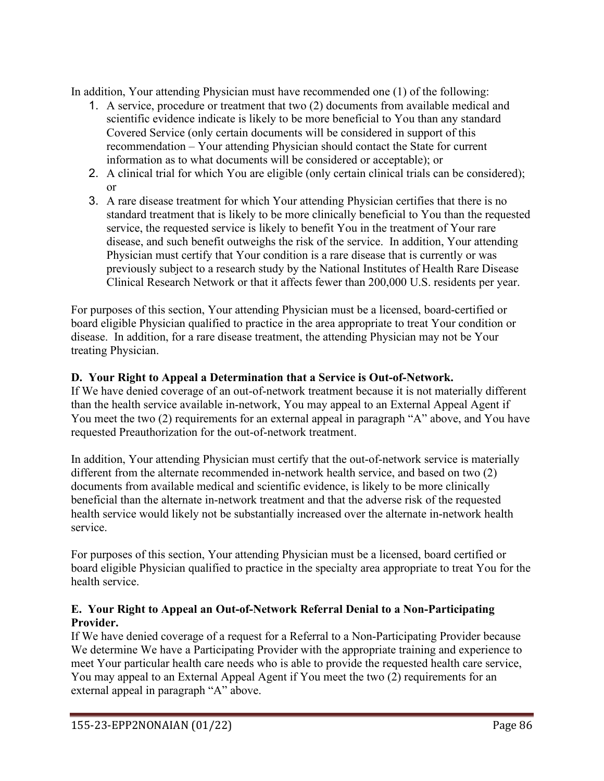In addition, Your attending Physician must have recommended one (1) of the following:

- 1. A service, procedure or treatment that two (2) documents from available medical and scientific evidence indicate is likely to be more beneficial to You than any standard Covered Service (only certain documents will be considered in support of this recommendation – Your attending Physician should contact the State for current information as to what documents will be considered or acceptable); or
- 2. A clinical trial for which You are eligible (only certain clinical trials can be considered); or
- 3. A rare disease treatment for which Your attending Physician certifies that there is no standard treatment that is likely to be more clinically beneficial to You than the requested service, the requested service is likely to benefit You in the treatment of Your rare disease, and such benefit outweighs the risk of the service. In addition, Your attending Physician must certify that Your condition is a rare disease that is currently or was previously subject to a research study by the National Institutes of Health Rare Disease Clinical Research Network or that it affects fewer than 200,000 U.S. residents per year.

For purposes of this section, Your attending Physician must be a licensed, board-certified or board eligible Physician qualified to practice in the area appropriate to treat Your condition or disease. In addition, for a rare disease treatment, the attending Physician may not be Your treating Physician.

## **D. Your Right to Appeal a Determination that a Service is Out-of-Network.**

If We have denied coverage of an out-of-network treatment because it is not materially different than the health service available in-network, You may appeal to an External Appeal Agent if You meet the two (2) requirements for an external appeal in paragraph "A" above, and You have requested Preauthorization for the out-of-network treatment.

In addition, Your attending Physician must certify that the out-of-network service is materially different from the alternate recommended in-network health service, and based on two (2) documents from available medical and scientific evidence, is likely to be more clinically beneficial than the alternate in-network treatment and that the adverse risk of the requested health service would likely not be substantially increased over the alternate in-network health service.

For purposes of this section, Your attending Physician must be a licensed, board certified or board eligible Physician qualified to practice in the specialty area appropriate to treat You for the health service.

### **E. Your Right to Appeal an Out-of-Network Referral Denial to a Non-Participating Provider.**

If We have denied coverage of a request for a Referral to a Non-Participating Provider because We determine We have a Participating Provider with the appropriate training and experience to meet Your particular health care needs who is able to provide the requested health care service, You may appeal to an External Appeal Agent if You meet the two (2) requirements for an external appeal in paragraph "A" above.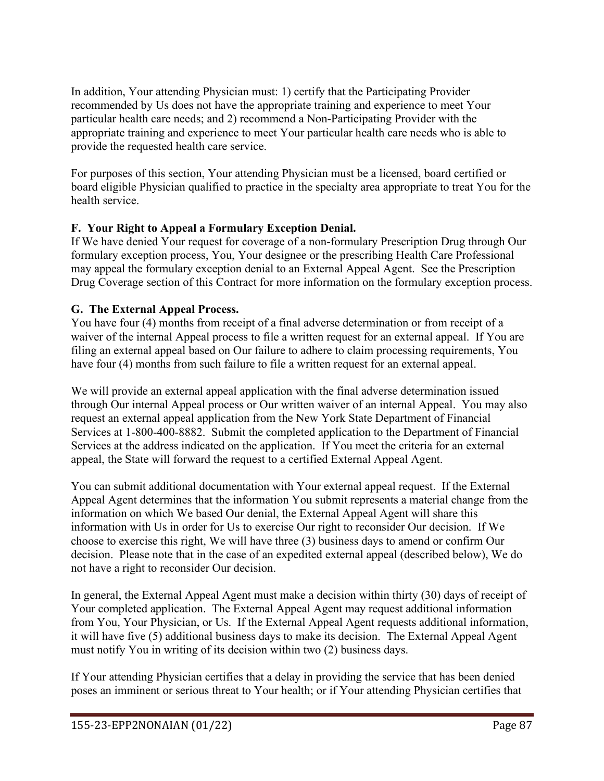In addition, Your attending Physician must: 1) certify that the Participating Provider recommended by Us does not have the appropriate training and experience to meet Your particular health care needs; and 2) recommend a Non-Participating Provider with the appropriate training and experience to meet Your particular health care needs who is able to provide the requested health care service.

For purposes of this section, Your attending Physician must be a licensed, board certified or board eligible Physician qualified to practice in the specialty area appropriate to treat You for the health service.

## **F. Your Right to Appeal a Formulary Exception Denial.**

If We have denied Your request for coverage of a non-formulary Prescription Drug through Our formulary exception process, You, Your designee or the prescribing Health Care Professional may appeal the formulary exception denial to an External Appeal Agent. See the Prescription Drug Coverage section of this Contract for more information on the formulary exception process.

## **G. The External Appeal Process.**

You have four (4) months from receipt of a final adverse determination or from receipt of a waiver of the internal Appeal process to file a written request for an external appeal. If You are filing an external appeal based on Our failure to adhere to claim processing requirements, You have four (4) months from such failure to file a written request for an external appeal.

We will provide an external appeal application with the final adverse determination issued through Our internal Appeal process or Our written waiver of an internal Appeal. You may also request an external appeal application from the New York State Department of Financial Services at 1-800-400-8882. Submit the completed application to the Department of Financial Services at the address indicated on the application. If You meet the criteria for an external appeal, the State will forward the request to a certified External Appeal Agent.

You can submit additional documentation with Your external appeal request. If the External Appeal Agent determines that the information You submit represents a material change from the information on which We based Our denial, the External Appeal Agent will share this information with Us in order for Us to exercise Our right to reconsider Our decision. If We choose to exercise this right, We will have three (3) business days to amend or confirm Our decision. Please note that in the case of an expedited external appeal (described below), We do not have a right to reconsider Our decision.

In general, the External Appeal Agent must make a decision within thirty (30) days of receipt of Your completed application. The External Appeal Agent may request additional information from You, Your Physician, or Us. If the External Appeal Agent requests additional information, it will have five (5) additional business days to make its decision. The External Appeal Agent must notify You in writing of its decision within two (2) business days.

If Your attending Physician certifies that a delay in providing the service that has been denied poses an imminent or serious threat to Your health; or if Your attending Physician certifies that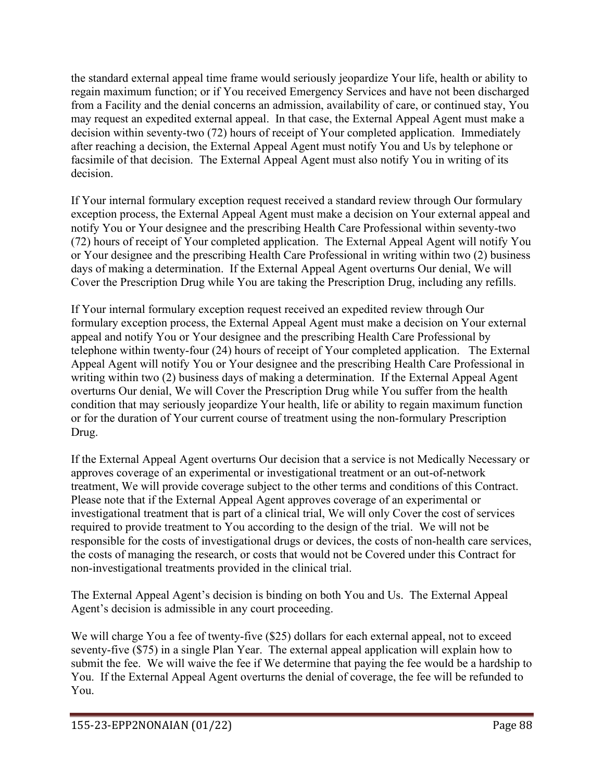the standard external appeal time frame would seriously jeopardize Your life, health or ability to regain maximum function; or if You received Emergency Services and have not been discharged from a Facility and the denial concerns an admission, availability of care, or continued stay, You may request an expedited external appeal. In that case, the External Appeal Agent must make a decision within seventy-two (72) hours of receipt of Your completed application. Immediately after reaching a decision, the External Appeal Agent must notify You and Us by telephone or facsimile of that decision. The External Appeal Agent must also notify You in writing of its decision.

If Your internal formulary exception request received a standard review through Our formulary exception process, the External Appeal Agent must make a decision on Your external appeal and notify You or Your designee and the prescribing Health Care Professional within seventy-two (72) hours of receipt of Your completed application. The External Appeal Agent will notify You or Your designee and the prescribing Health Care Professional in writing within two (2) business days of making a determination. If the External Appeal Agent overturns Our denial, We will Cover the Prescription Drug while You are taking the Prescription Drug, including any refills.

If Your internal formulary exception request received an expedited review through Our formulary exception process, the External Appeal Agent must make a decision on Your external appeal and notify You or Your designee and the prescribing Health Care Professional by telephone within twenty-four (24) hours of receipt of Your completed application. The External Appeal Agent will notify You or Your designee and the prescribing Health Care Professional in writing within two (2) business days of making a determination. If the External Appeal Agent overturns Our denial, We will Cover the Prescription Drug while You suffer from the health condition that may seriously jeopardize Your health, life or ability to regain maximum function or for the duration of Your current course of treatment using the non-formulary Prescription Drug.

If the External Appeal Agent overturns Our decision that a service is not Medically Necessary or approves coverage of an experimental or investigational treatment or an out-of-network treatment, We will provide coverage subject to the other terms and conditions of this Contract. Please note that if the External Appeal Agent approves coverage of an experimental or investigational treatment that is part of a clinical trial, We will only Cover the cost of services required to provide treatment to You according to the design of the trial. We will not be responsible for the costs of investigational drugs or devices, the costs of non-health care services, the costs of managing the research, or costs that would not be Covered under this Contract for non-investigational treatments provided in the clinical trial.

The External Appeal Agent's decision is binding on both You and Us. The External Appeal Agent's decision is admissible in any court proceeding.

We will charge You a fee of twenty-five (\$25) dollars for each external appeal, not to exceed seventy-five (\$75) in a single Plan Year. The external appeal application will explain how to submit the fee. We will waive the fee if We determine that paying the fee would be a hardship to You. If the External Appeal Agent overturns the denial of coverage, the fee will be refunded to You.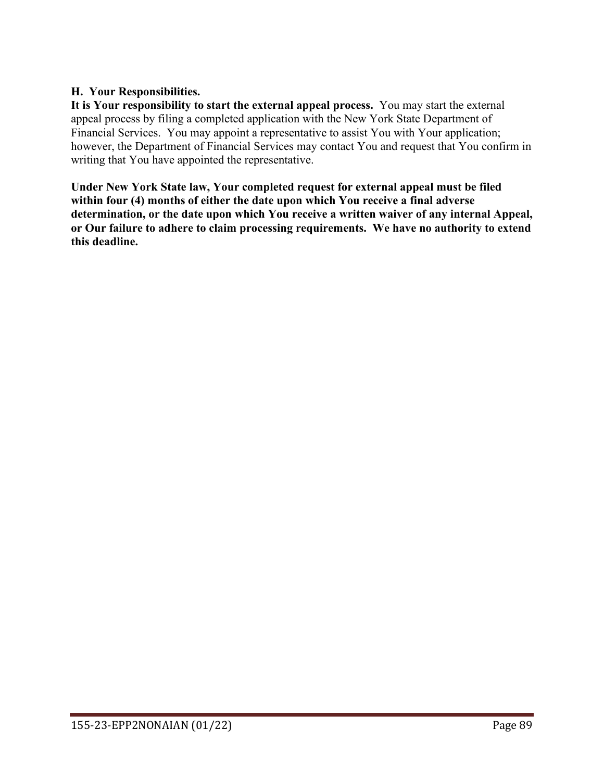### **H. Your Responsibilities.**

**It is Your responsibility to start the external appeal process.** You may start the external appeal process by filing a completed application with the New York State Department of Financial Services. You may appoint a representative to assist You with Your application; however, the Department of Financial Services may contact You and request that You confirm in writing that You have appointed the representative.

**Under New York State law, Your completed request for external appeal must be filed within four (4) months of either the date upon which You receive a final adverse determination, or the date upon which You receive a written waiver of any internal Appeal, or Our failure to adhere to claim processing requirements. We have no authority to extend this deadline.**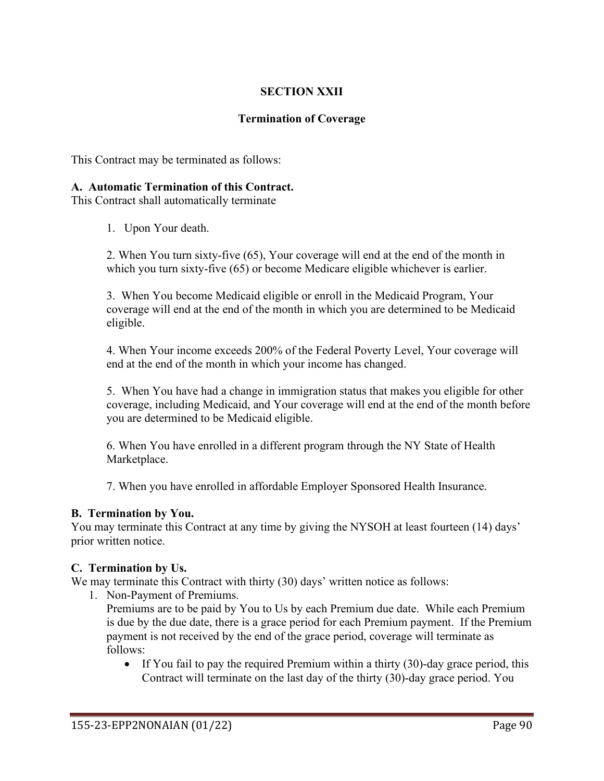### **SECTION XXII**

#### **Termination of Coverage**

This Contract may be terminated as follows:

#### **A. Automatic Termination of this Contract.**

This Contract shall automatically terminate

1. Upon Your death.

2. When You turn sixty-five (65), Your coverage will end at the end of the month in which you turn sixty-five (65) or become Medicare eligible whichever is earlier.

3. When You become Medicaid eligible or enroll in the Medicaid Program, Your coverage will end at the end of the month in which you are determined to be Medicaid eligible.

4. When Your income exceeds 200% of the Federal Poverty Level, Your coverage will end at the end of the month in which your income has changed.

5. When You have had a change in immigration status that makes you eligible for other coverage, including Medicaid, and Your coverage will end at the end of the month before you are determined to be Medicaid eligible.

6. When You have enrolled in a different program through the NY State of Health Marketplace.

7. When you have enrolled in affordable Employer Sponsored Health Insurance.

#### **B. Termination by You.**

You may terminate this Contract at any time by giving the NYSOH at least fourteen (14) days' prior written notice.

#### **C. Termination by Us.**

We may terminate this Contract with thirty (30) days' written notice as follows:

1. Non-Payment of Premiums.

Premiums are to be paid by You to Us by each Premium due date. While each Premium is due by the due date, there is a grace period for each Premium payment. If the Premium payment is not received by the end of the grace period, coverage will terminate as follows:

• If You fail to pay the required Premium within a thirty (30)-day grace period, this Contract will terminate on the last day of the thirty (30)-day grace period. You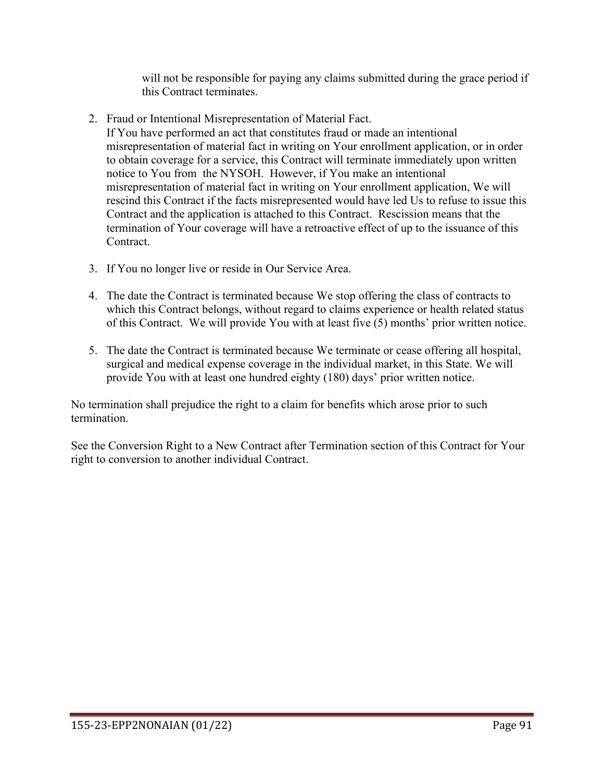will not be responsible for paying any claims submitted during the grace period if this Contract terminates.

2. Fraud or Intentional Misrepresentation of Material Fact.

If You have performed an act that constitutes fraud or made an intentional misrepresentation of material fact in writing on Your enrollment application, or in order to obtain coverage for a service, this Contract will terminate immediately upon written notice to You from the NYSOH. However, if You make an intentional misrepresentation of material fact in writing on Your enrollment application, We will rescind this Contract if the facts misrepresented would have led Us to refuse to issue this Contract and the application is attached to this Contract. Rescission means that the termination of Your coverage will have a retroactive effect of up to the issuance of this Contract.

- 3. If You no longer live or reside in Our Service Area.
- 4. The date the Contract is terminated because We stop offering the class of contracts to which this Contract belongs, without regard to claims experience or health related status of this Contract. We will provide You with at least five (5) months' prior written notice.
- 5. The date the Contract is terminated because We terminate or cease offering all hospital, surgical and medical expense coverage in the individual market, in this State. We will provide You with at least one hundred eighty (180) days' prior written notice.

No termination shall prejudice the right to a claim for benefits which arose prior to such termination.

See the Conversion Right to a New Contract after Termination section of this Contract for Your right to conversion to another individual Contract.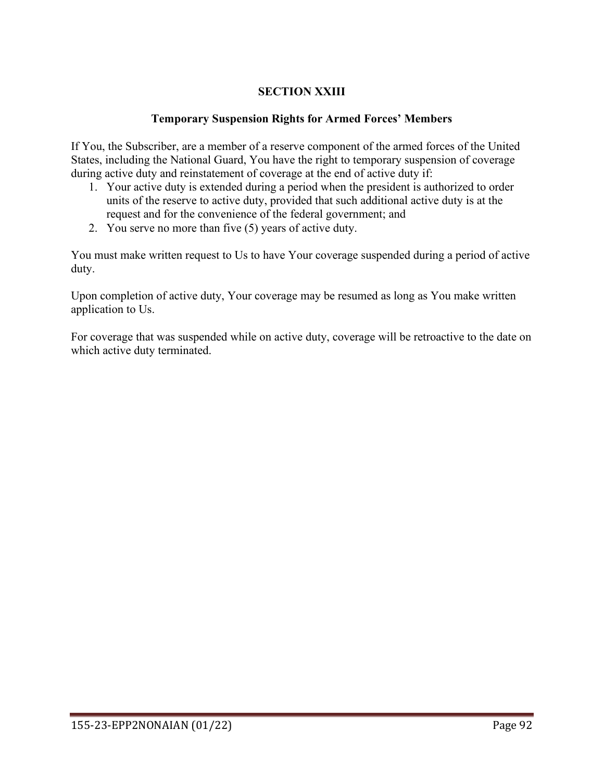## **SECTION XXIII**

### **Temporary Suspension Rights for Armed Forces' Members**

If You, the Subscriber, are a member of a reserve component of the armed forces of the United States, including the National Guard, You have the right to temporary suspension of coverage during active duty and reinstatement of coverage at the end of active duty if:

- 1. Your active duty is extended during a period when the president is authorized to order units of the reserve to active duty, provided that such additional active duty is at the request and for the convenience of the federal government; and
- 2. You serve no more than five (5) years of active duty.

You must make written request to Us to have Your coverage suspended during a period of active duty.

Upon completion of active duty, Your coverage may be resumed as long as You make written application to Us.

For coverage that was suspended while on active duty, coverage will be retroactive to the date on which active duty terminated.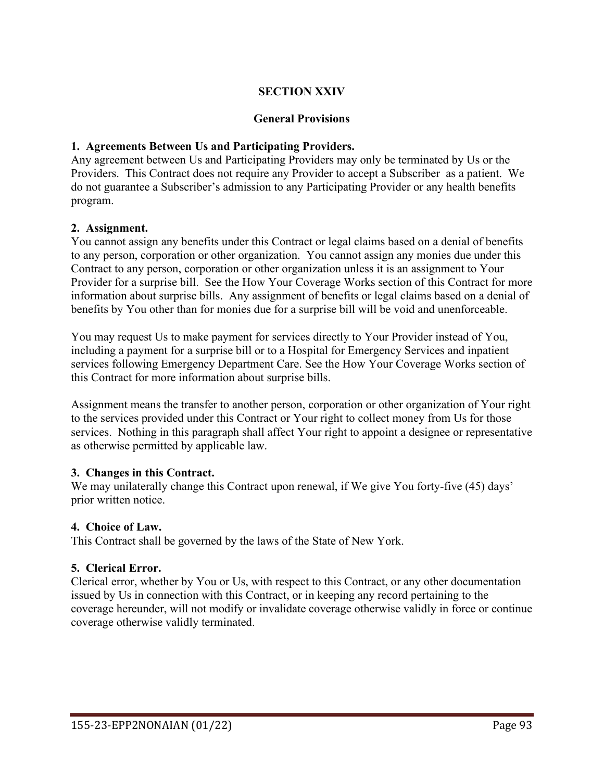### **SECTION XXIV**

#### **General Provisions**

#### **1. Agreements Between Us and Participating Providers.**

Any agreement between Us and Participating Providers may only be terminated by Us or the Providers. This Contract does not require any Provider to accept a Subscriber as a patient. We do not guarantee a Subscriber's admission to any Participating Provider or any health benefits program.

#### **2. Assignment.**

You cannot assign any benefits under this Contract or legal claims based on a denial of benefits to any person, corporation or other organization. You cannot assign any monies due under this Contract to any person, corporation or other organization unless it is an assignment to Your Provider for a surprise bill. See the How Your Coverage Works section of this Contract for more information about surprise bills. Any assignment of benefits or legal claims based on a denial of benefits by You other than for monies due for a surprise bill will be void and unenforceable.

You may request Us to make payment for services directly to Your Provider instead of You, including a payment for a surprise bill or to a Hospital for Emergency Services and inpatient services following Emergency Department Care. See the How Your Coverage Works section of this Contract for more information about surprise bills.

Assignment means the transfer to another person, corporation or other organization of Your right to the services provided under this Contract or Your right to collect money from Us for those services. Nothing in this paragraph shall affect Your right to appoint a designee or representative as otherwise permitted by applicable law.

#### **3. Changes in this Contract.**

We may unilaterally change this Contract upon renewal, if We give You forty-five (45) days' prior written notice.

### **4. Choice of Law.**

This Contract shall be governed by the laws of the State of New York.

#### **5. Clerical Error.**

Clerical error, whether by You or Us, with respect to this Contract, or any other documentation issued by Us in connection with this Contract, or in keeping any record pertaining to the coverage hereunder, will not modify or invalidate coverage otherwise validly in force or continue coverage otherwise validly terminated.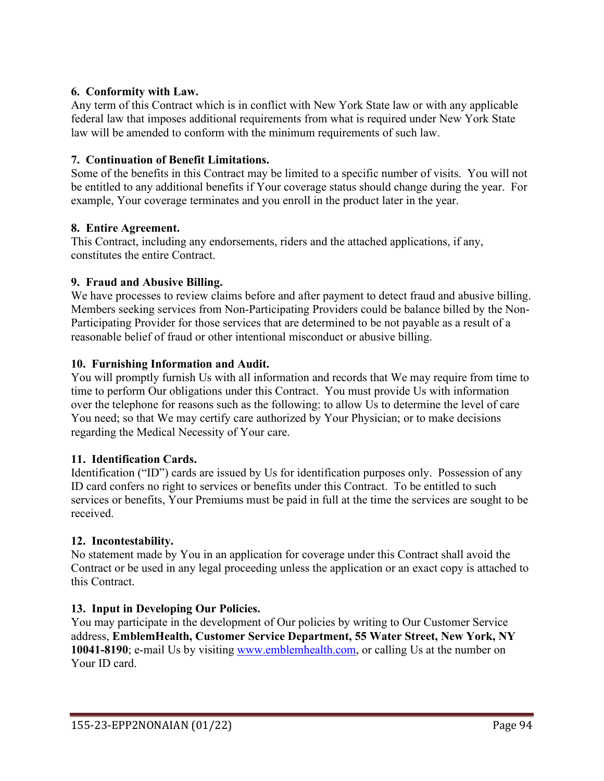### **6. Conformity with Law.**

Any term of this Contract which is in conflict with New York State law or with any applicable federal law that imposes additional requirements from what is required under New York State law will be amended to conform with the minimum requirements of such law.

### **7. Continuation of Benefit Limitations.**

Some of the benefits in this Contract may be limited to a specific number of visits. You will not be entitled to any additional benefits if Your coverage status should change during the year. For example, Your coverage terminates and you enroll in the product later in the year.

### **8. Entire Agreement.**

This Contract, including any endorsements, riders and the attached applications, if any, constitutes the entire Contract.

### **9. Fraud and Abusive Billing.**

We have processes to review claims before and after payment to detect fraud and abusive billing. Members seeking services from Non-Participating Providers could be balance billed by the Non-Participating Provider for those services that are determined to be not payable as a result of a reasonable belief of fraud or other intentional misconduct or abusive billing.

### **10. Furnishing Information and Audit.**

You will promptly furnish Us with all information and records that We may require from time to time to perform Our obligations under this Contract. You must provide Us with information over the telephone for reasons such as the following: to allow Us to determine the level of care You need; so that We may certify care authorized by Your Physician; or to make decisions regarding the Medical Necessity of Your care.

### **11. Identification Cards.**

Identification ("ID") cards are issued by Us for identification purposes only. Possession of any ID card confers no right to services or benefits under this Contract. To be entitled to such services or benefits, Your Premiums must be paid in full at the time the services are sought to be received.

### **12. Incontestability.**

No statement made by You in an application for coverage under this Contract shall avoid the Contract or be used in any legal proceeding unless the application or an exact copy is attached to this Contract.

## **13. Input in Developing Our Policies.**

You may participate in the development of Our policies by writing to Our Customer Service address, **EmblemHealth, Customer Service Department, 55 Water Street, New York, NY 10041-8190**; e-mail Us by visiting [www.emblemhealth.com,](http://www.emblemhealth.com/) or calling Us at the number on Your ID card.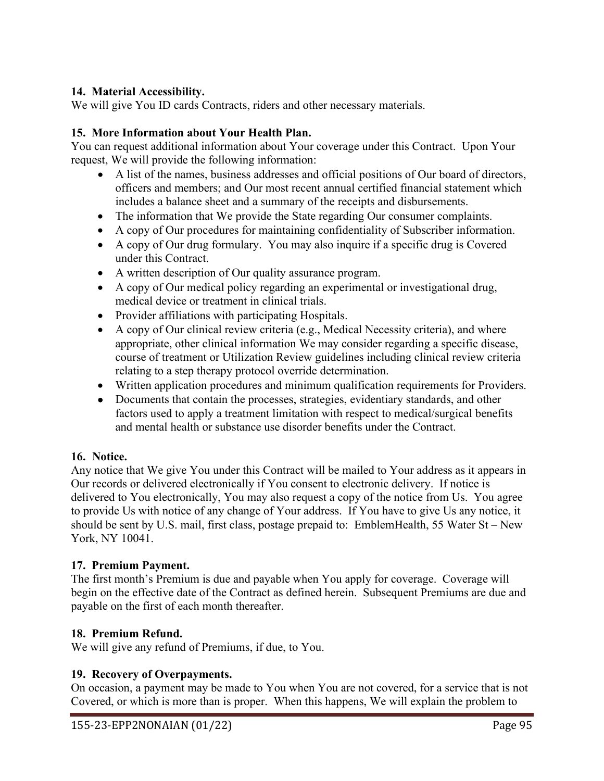### **14. Material Accessibility.**

We will give You ID cards Contracts, riders and other necessary materials.

### **15. More Information about Your Health Plan.**

You can request additional information about Your coverage under this Contract. Upon Your request, We will provide the following information:

- A list of the names, business addresses and official positions of Our board of directors, officers and members; and Our most recent annual certified financial statement which includes a balance sheet and a summary of the receipts and disbursements.
- The information that We provide the State regarding Our consumer complaints.
- A copy of Our procedures for maintaining confidentiality of Subscriber information.
- A copy of Our drug formulary. You may also inquire if a specific drug is Covered under this Contract.
- A written description of Our quality assurance program.
- A copy of Our medical policy regarding an experimental or investigational drug, medical device or treatment in clinical trials.
- Provider affiliations with participating Hospitals.
- A copy of Our clinical review criteria (e.g., Medical Necessity criteria), and where appropriate, other clinical information We may consider regarding a specific disease, course of treatment or Utilization Review guidelines including clinical review criteria relating to a step therapy protocol override determination.
- Written application procedures and minimum qualification requirements for Providers.
- Documents that contain the processes, strategies, evidentiary standards, and other factors used to apply a treatment limitation with respect to medical/surgical benefits and mental health or substance use disorder benefits under the Contract.

### **16. Notice.**

Any notice that We give You under this Contract will be mailed to Your address as it appears in Our records or delivered electronically if You consent to electronic delivery. If notice is delivered to You electronically, You may also request a copy of the notice from Us. You agree to provide Us with notice of any change of Your address. If You have to give Us any notice, it should be sent by U.S. mail, first class, postage prepaid to: EmblemHealth, 55 Water St – New York, NY 10041.

### **17. Premium Payment.**

The first month's Premium is due and payable when You apply for coverage. Coverage will begin on the effective date of the Contract as defined herein. Subsequent Premiums are due and payable on the first of each month thereafter.

### **18. Premium Refund.**

We will give any refund of Premiums, if due, to You.

### **19. Recovery of Overpayments.**

On occasion, a payment may be made to You when You are not covered, for a service that is not Covered, or which is more than is proper. When this happens, We will explain the problem to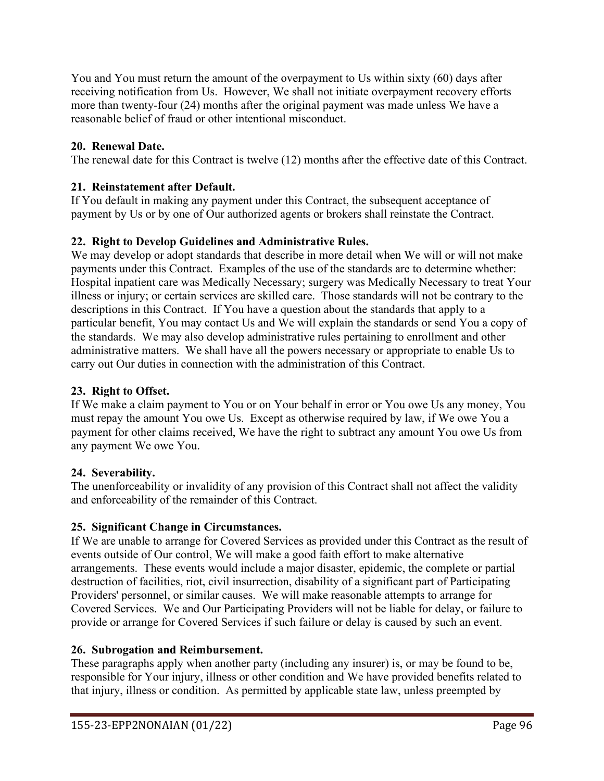You and You must return the amount of the overpayment to Us within sixty (60) days after receiving notification from Us. However, We shall not initiate overpayment recovery efforts more than twenty-four (24) months after the original payment was made unless We have a reasonable belief of fraud or other intentional misconduct.

## **20. Renewal Date.**

The renewal date for this Contract is twelve (12) months after the effective date of this Contract.

## **21. Reinstatement after Default.**

If You default in making any payment under this Contract, the subsequent acceptance of payment by Us or by one of Our authorized agents or brokers shall reinstate the Contract.

## **22. Right to Develop Guidelines and Administrative Rules.**

We may develop or adopt standards that describe in more detail when We will or will not make payments under this Contract. Examples of the use of the standards are to determine whether: Hospital inpatient care was Medically Necessary; surgery was Medically Necessary to treat Your illness or injury; or certain services are skilled care. Those standards will not be contrary to the descriptions in this Contract. If You have a question about the standards that apply to a particular benefit, You may contact Us and We will explain the standards or send You a copy of the standards. We may also develop administrative rules pertaining to enrollment and other administrative matters. We shall have all the powers necessary or appropriate to enable Us to carry out Our duties in connection with the administration of this Contract.

## **23. Right to Offset.**

If We make a claim payment to You or on Your behalf in error or You owe Us any money, You must repay the amount You owe Us. Except as otherwise required by law, if We owe You a payment for other claims received, We have the right to subtract any amount You owe Us from any payment We owe You.

## **24. Severability.**

The unenforceability or invalidity of any provision of this Contract shall not affect the validity and enforceability of the remainder of this Contract.

# **25. Significant Change in Circumstances.**

If We are unable to arrange for Covered Services as provided under this Contract as the result of events outside of Our control, We will make a good faith effort to make alternative arrangements. These events would include a major disaster, epidemic, the complete or partial destruction of facilities, riot, civil insurrection, disability of a significant part of Participating Providers' personnel, or similar causes. We will make reasonable attempts to arrange for Covered Services. We and Our Participating Providers will not be liable for delay, or failure to provide or arrange for Covered Services if such failure or delay is caused by such an event.

## **26. Subrogation and Reimbursement.**

These paragraphs apply when another party (including any insurer) is, or may be found to be, responsible for Your injury, illness or other condition and We have provided benefits related to that injury, illness or condition. As permitted by applicable state law, unless preempted by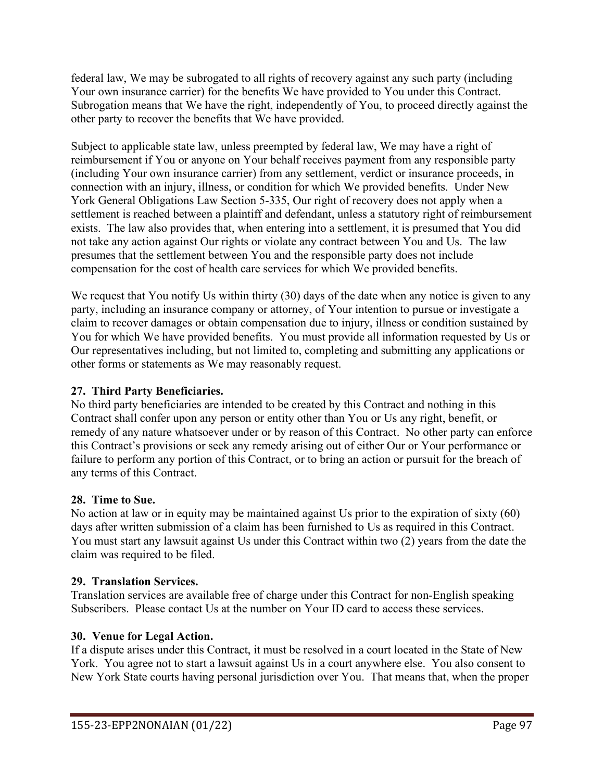federal law, We may be subrogated to all rights of recovery against any such party (including Your own insurance carrier) for the benefits We have provided to You under this Contract. Subrogation means that We have the right, independently of You, to proceed directly against the other party to recover the benefits that We have provided.

Subject to applicable state law, unless preempted by federal law, We may have a right of reimbursement if You or anyone on Your behalf receives payment from any responsible party (including Your own insurance carrier) from any settlement, verdict or insurance proceeds, in connection with an injury, illness, or condition for which We provided benefits. Under New York General Obligations Law Section 5-335, Our right of recovery does not apply when a settlement is reached between a plaintiff and defendant, unless a statutory right of reimbursement exists. The law also provides that, when entering into a settlement, it is presumed that You did not take any action against Our rights or violate any contract between You and Us. The law presumes that the settlement between You and the responsible party does not include compensation for the cost of health care services for which We provided benefits.

We request that You notify Us within thirty (30) days of the date when any notice is given to any party, including an insurance company or attorney, of Your intention to pursue or investigate a claim to recover damages or obtain compensation due to injury, illness or condition sustained by You for which We have provided benefits. You must provide all information requested by Us or Our representatives including, but not limited to, completing and submitting any applications or other forms or statements as We may reasonably request.

## **27. Third Party Beneficiaries.**

No third party beneficiaries are intended to be created by this Contract and nothing in this Contract shall confer upon any person or entity other than You or Us any right, benefit, or remedy of any nature whatsoever under or by reason of this Contract. No other party can enforce this Contract's provisions or seek any remedy arising out of either Our or Your performance or failure to perform any portion of this Contract, or to bring an action or pursuit for the breach of any terms of this Contract.

### **28. Time to Sue.**

No action at law or in equity may be maintained against Us prior to the expiration of sixty (60) days after written submission of a claim has been furnished to Us as required in this Contract. You must start any lawsuit against Us under this Contract within two (2) years from the date the claim was required to be filed.

### **29. Translation Services.**

Translation services are available free of charge under this Contract for non-English speaking Subscribers. Please contact Us at the number on Your ID card to access these services.

### **30. Venue for Legal Action.**

If a dispute arises under this Contract, it must be resolved in a court located in the State of New York. You agree not to start a lawsuit against Us in a court anywhere else. You also consent to New York State courts having personal jurisdiction over You. That means that, when the proper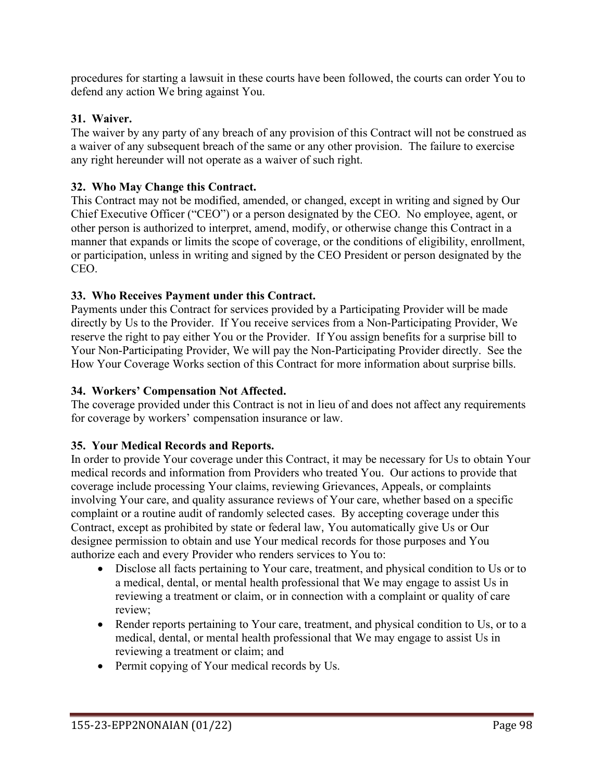procedures for starting a lawsuit in these courts have been followed, the courts can order You to defend any action We bring against You.

### **31. Waiver.**

The waiver by any party of any breach of any provision of this Contract will not be construed as a waiver of any subsequent breach of the same or any other provision. The failure to exercise any right hereunder will not operate as a waiver of such right.

### **32. Who May Change this Contract.**

This Contract may not be modified, amended, or changed, except in writing and signed by Our Chief Executive Officer ("CEO") or a person designated by the CEO. No employee, agent, or other person is authorized to interpret, amend, modify, or otherwise change this Contract in a manner that expands or limits the scope of coverage, or the conditions of eligibility, enrollment, or participation, unless in writing and signed by the CEO President or person designated by the CEO.

### **33. Who Receives Payment under this Contract.**

Payments under this Contract for services provided by a Participating Provider will be made directly by Us to the Provider. If You receive services from a Non-Participating Provider, We reserve the right to pay either You or the Provider. If You assign benefits for a surprise bill to Your Non-Participating Provider, We will pay the Non-Participating Provider directly. See the How Your Coverage Works section of this Contract for more information about surprise bills.

### **34. Workers' Compensation Not Affected.**

The coverage provided under this Contract is not in lieu of and does not affect any requirements for coverage by workers' compensation insurance or law.

### **35. Your Medical Records and Reports.**

In order to provide Your coverage under this Contract, it may be necessary for Us to obtain Your medical records and information from Providers who treated You. Our actions to provide that coverage include processing Your claims, reviewing Grievances, Appeals, or complaints involving Your care, and quality assurance reviews of Your care, whether based on a specific complaint or a routine audit of randomly selected cases. By accepting coverage under this Contract, except as prohibited by state or federal law, You automatically give Us or Our designee permission to obtain and use Your medical records for those purposes and You authorize each and every Provider who renders services to You to:

- Disclose all facts pertaining to Your care, treatment, and physical condition to Us or to a medical, dental, or mental health professional that We may engage to assist Us in reviewing a treatment or claim, or in connection with a complaint or quality of care review;
- Render reports pertaining to Your care, treatment, and physical condition to Us, or to a medical, dental, or mental health professional that We may engage to assist Us in reviewing a treatment or claim; and
- Permit copying of Your medical records by Us.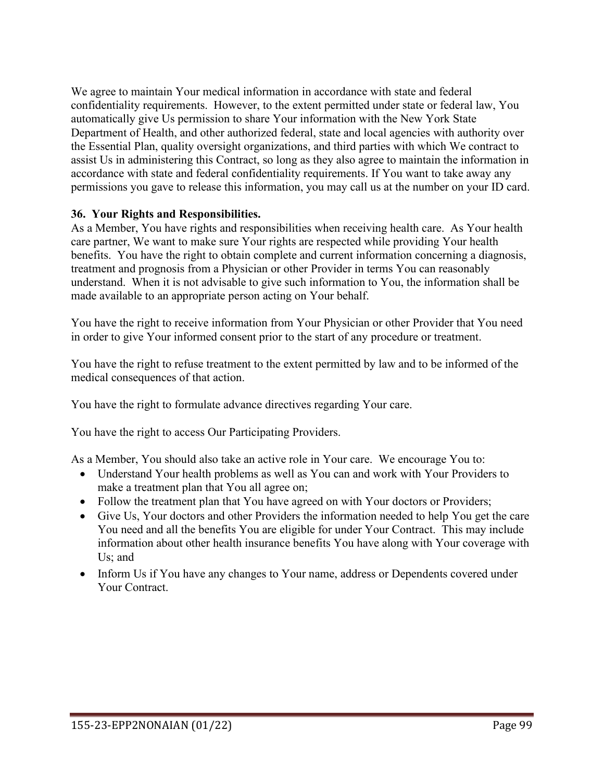We agree to maintain Your medical information in accordance with state and federal confidentiality requirements. However, to the extent permitted under state or federal law, You automatically give Us permission to share Your information with the New York State Department of Health, and other authorized federal, state and local agencies with authority over the Essential Plan, quality oversight organizations, and third parties with which We contract to assist Us in administering this Contract, so long as they also agree to maintain the information in accordance with state and federal confidentiality requirements. If You want to take away any permissions you gave to release this information, you may call us at the number on your ID card.

### **36. Your Rights and Responsibilities.**

As a Member, You have rights and responsibilities when receiving health care. As Your health care partner, We want to make sure Your rights are respected while providing Your health benefits. You have the right to obtain complete and current information concerning a diagnosis, treatment and prognosis from a Physician or other Provider in terms You can reasonably understand. When it is not advisable to give such information to You, the information shall be made available to an appropriate person acting on Your behalf.

You have the right to receive information from Your Physician or other Provider that You need in order to give Your informed consent prior to the start of any procedure or treatment.

You have the right to refuse treatment to the extent permitted by law and to be informed of the medical consequences of that action.

You have the right to formulate advance directives regarding Your care.

You have the right to access Our Participating Providers.

As a Member, You should also take an active role in Your care. We encourage You to:

- Understand Your health problems as well as You can and work with Your Providers to make a treatment plan that You all agree on;
- Follow the treatment plan that You have agreed on with Your doctors or Providers;
- Give Us, Your doctors and other Providers the information needed to help You get the care You need and all the benefits You are eligible for under Your Contract. This may include information about other health insurance benefits You have along with Your coverage with Us; and
- Inform Us if You have any changes to Your name, address or Dependents covered under Your Contract.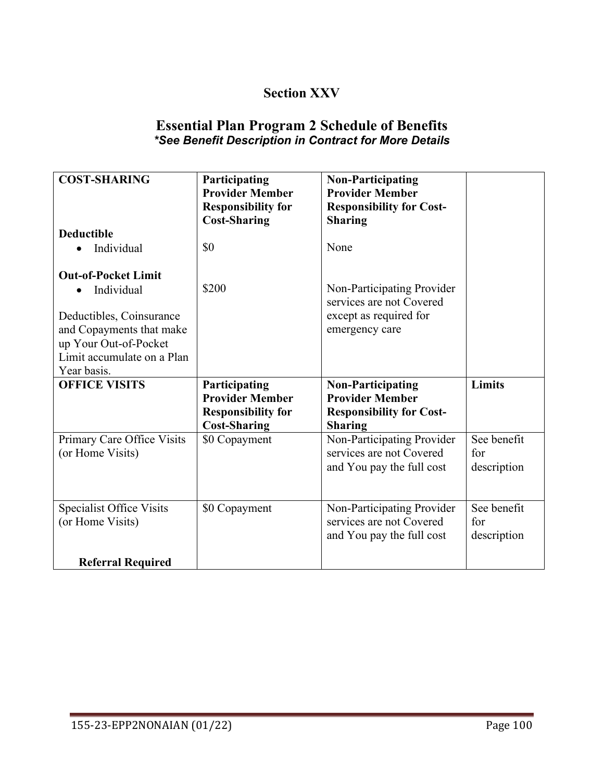# **Section XXV**

## **Essential Plan Program 2 Schedule of Benefits** *\*See Benefit Description in Contract for More Details*

| <b>COST-SHARING</b>                                                                                                                                                    | Participating<br><b>Provider Member</b><br><b>Responsibility for</b><br><b>Cost-Sharing</b> | <b>Non-Participating</b><br><b>Provider Member</b><br><b>Responsibility for Cost-</b><br><b>Sharing</b> |                                   |
|------------------------------------------------------------------------------------------------------------------------------------------------------------------------|---------------------------------------------------------------------------------------------|---------------------------------------------------------------------------------------------------------|-----------------------------------|
| <b>Deductible</b><br>Individual                                                                                                                                        | \$0                                                                                         | None                                                                                                    |                                   |
| <b>Out-of-Pocket Limit</b><br>Individual<br>Deductibles, Coinsurance<br>and Copayments that make<br>up Your Out-of-Pocket<br>Limit accumulate on a Plan<br>Year basis. | \$200                                                                                       | Non-Participating Provider<br>services are not Covered<br>except as required for<br>emergency care      |                                   |
| <b>OFFICE VISITS</b>                                                                                                                                                   | Participating                                                                               | <b>Non-Participating</b>                                                                                | Limits                            |
|                                                                                                                                                                        | <b>Provider Member</b><br><b>Responsibility for</b><br><b>Cost-Sharing</b>                  | <b>Provider Member</b><br><b>Responsibility for Cost-</b><br><b>Sharing</b>                             |                                   |
| Primary Care Office Visits<br>(or Home Visits)                                                                                                                         | \$0 Copayment                                                                               | Non-Participating Provider<br>services are not Covered<br>and You pay the full cost                     | See benefit<br>for<br>description |
| <b>Specialist Office Visits</b><br>(or Home Visits)                                                                                                                    | \$0 Copayment                                                                               | Non-Participating Provider<br>services are not Covered<br>and You pay the full cost                     | See benefit<br>for<br>description |
| <b>Referral Required</b>                                                                                                                                               |                                                                                             |                                                                                                         |                                   |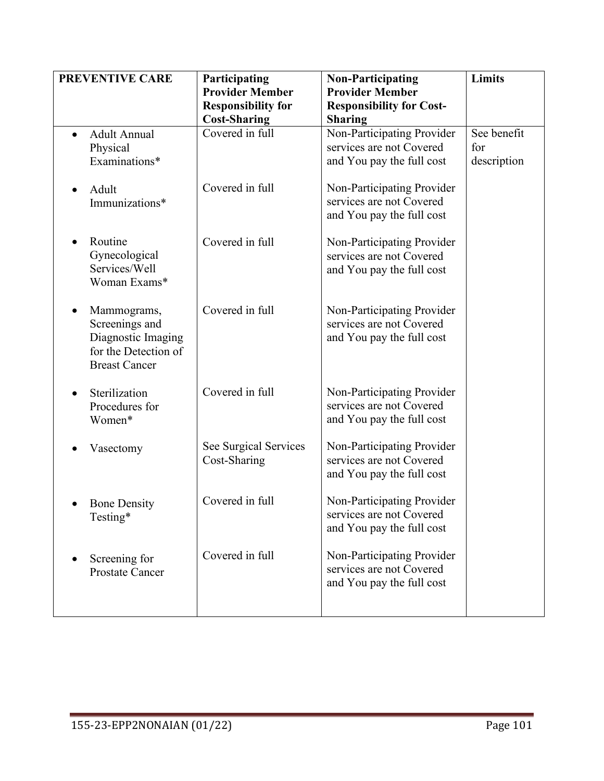| <b>PREVENTIVE CARE</b>                                                                              | Participating<br><b>Provider Member</b><br><b>Responsibility for</b><br><b>Cost-Sharing</b> | <b>Non-Participating</b><br><b>Provider Member</b><br><b>Responsibility for Cost-</b><br><b>Sharing</b> | Limits                            |
|-----------------------------------------------------------------------------------------------------|---------------------------------------------------------------------------------------------|---------------------------------------------------------------------------------------------------------|-----------------------------------|
| <b>Adult Annual</b><br>Physical<br>Examinations*                                                    | Covered in full                                                                             | Non-Participating Provider<br>services are not Covered<br>and You pay the full cost                     | See benefit<br>for<br>description |
| Adult<br>Immunizations*                                                                             | Covered in full                                                                             | Non-Participating Provider<br>services are not Covered<br>and You pay the full cost                     |                                   |
| Routine<br>Gynecological<br>Services/Well<br>Woman Exams*                                           | Covered in full                                                                             | Non-Participating Provider<br>services are not Covered<br>and You pay the full cost                     |                                   |
| Mammograms,<br>Screenings and<br>Diagnostic Imaging<br>for the Detection of<br><b>Breast Cancer</b> | Covered in full                                                                             | Non-Participating Provider<br>services are not Covered<br>and You pay the full cost                     |                                   |
| Sterilization<br>Procedures for<br>Women*                                                           | Covered in full                                                                             | Non-Participating Provider<br>services are not Covered<br>and You pay the full cost                     |                                   |
| Vasectomy                                                                                           | See Surgical Services<br>Cost-Sharing                                                       | Non-Participating Provider<br>services are not Covered<br>and You pay the full cost                     |                                   |
| <b>Bone Density</b><br>Testing*                                                                     | Covered in full                                                                             | Non-Participating Provider<br>services are not Covered<br>and You pay the full cost                     |                                   |
| Screening for<br><b>Prostate Cancer</b>                                                             | Covered in full                                                                             | Non-Participating Provider<br>services are not Covered<br>and You pay the full cost                     |                                   |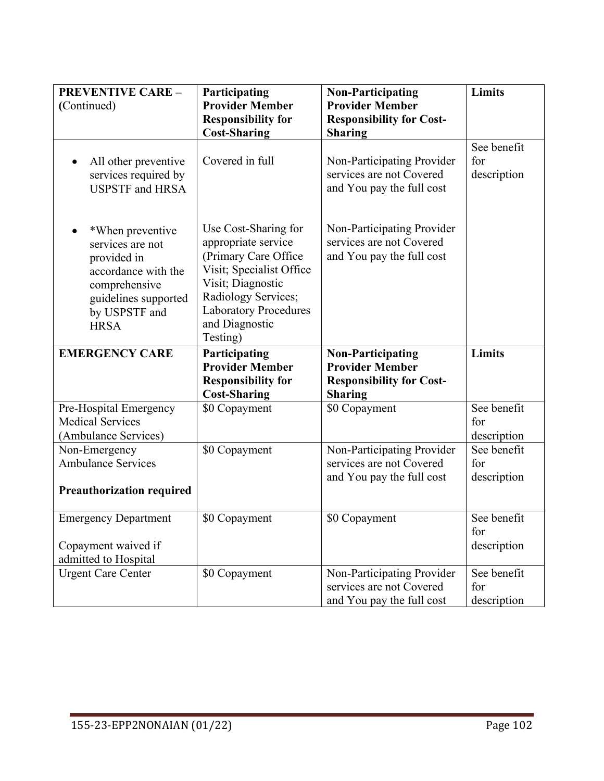| <b>PREVENTIVE CARE -</b><br>(Continued)                                                                                                             | Participating<br><b>Provider Member</b><br><b>Responsibility for</b>                                                                                                                                      | <b>Non-Participating</b><br><b>Provider Member</b><br><b>Responsibility for Cost-</b> | Limits                            |
|-----------------------------------------------------------------------------------------------------------------------------------------------------|-----------------------------------------------------------------------------------------------------------------------------------------------------------------------------------------------------------|---------------------------------------------------------------------------------------|-----------------------------------|
|                                                                                                                                                     | <b>Cost-Sharing</b>                                                                                                                                                                                       | <b>Sharing</b>                                                                        |                                   |
| All other preventive<br>$\bullet$<br>services required by<br><b>USPSTF</b> and HRSA                                                                 | Covered in full                                                                                                                                                                                           | Non-Participating Provider<br>services are not Covered<br>and You pay the full cost   | See benefit<br>for<br>description |
| *When preventive<br>services are not<br>provided in<br>accordance with the<br>comprehensive<br>guidelines supported<br>by USPSTF and<br><b>HRSA</b> | Use Cost-Sharing for<br>appropriate service<br>(Primary Care Office<br>Visit; Specialist Office<br>Visit; Diagnostic<br>Radiology Services;<br><b>Laboratory Procedures</b><br>and Diagnostic<br>Testing) | Non-Participating Provider<br>services are not Covered<br>and You pay the full cost   |                                   |
| <b>EMERGENCY CARE</b>                                                                                                                               | Participating                                                                                                                                                                                             | <b>Non-Participating</b>                                                              | Limits                            |
|                                                                                                                                                     | <b>Provider Member</b>                                                                                                                                                                                    | <b>Provider Member</b>                                                                |                                   |
|                                                                                                                                                     | <b>Responsibility for</b><br><b>Cost-Sharing</b>                                                                                                                                                          | <b>Responsibility for Cost-</b><br><b>Sharing</b>                                     |                                   |
| Pre-Hospital Emergency                                                                                                                              | \$0 Copayment                                                                                                                                                                                             | \$0 Copayment                                                                         | See benefit                       |
| <b>Medical Services</b>                                                                                                                             |                                                                                                                                                                                                           |                                                                                       | for                               |
| (Ambulance Services)                                                                                                                                |                                                                                                                                                                                                           |                                                                                       | description                       |
| Non-Emergency                                                                                                                                       | \$0 Copayment                                                                                                                                                                                             | Non-Participating Provider                                                            | See benefit                       |
| <b>Ambulance Services</b>                                                                                                                           |                                                                                                                                                                                                           | services are not Covered                                                              | for                               |
|                                                                                                                                                     |                                                                                                                                                                                                           | and You pay the full cost                                                             | description                       |
| <b>Preauthorization required</b>                                                                                                                    |                                                                                                                                                                                                           |                                                                                       |                                   |
| <b>Emergency Department</b>                                                                                                                         | \$0 Copayment                                                                                                                                                                                             | \$0 Copayment                                                                         | See benefit                       |
|                                                                                                                                                     |                                                                                                                                                                                                           |                                                                                       | for                               |
| Copayment waived if                                                                                                                                 |                                                                                                                                                                                                           |                                                                                       | description                       |
| admitted to Hospital                                                                                                                                |                                                                                                                                                                                                           |                                                                                       |                                   |
| <b>Urgent Care Center</b>                                                                                                                           | \$0 Copayment                                                                                                                                                                                             | Non-Participating Provider                                                            | See benefit                       |
|                                                                                                                                                     |                                                                                                                                                                                                           | services are not Covered                                                              | for                               |
|                                                                                                                                                     |                                                                                                                                                                                                           | and You pay the full cost                                                             | description                       |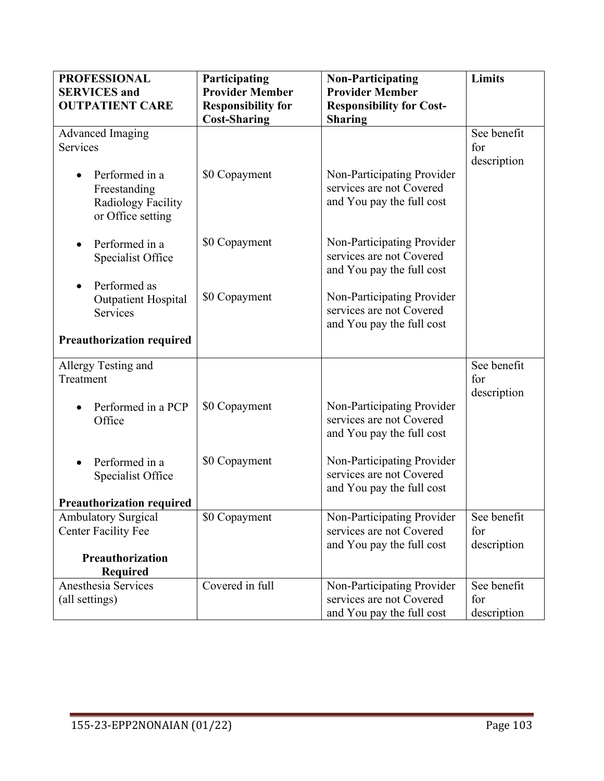| <b>PROFESSIONAL</b>                                                        | Participating             | <b>Non-Participating</b>                                                            | Limits                            |
|----------------------------------------------------------------------------|---------------------------|-------------------------------------------------------------------------------------|-----------------------------------|
| <b>SERVICES</b> and                                                        | <b>Provider Member</b>    | <b>Provider Member</b>                                                              |                                   |
| <b>OUTPATIENT CARE</b>                                                     | <b>Responsibility for</b> | <b>Responsibility for Cost-</b>                                                     |                                   |
|                                                                            | <b>Cost-Sharing</b>       | <b>Sharing</b>                                                                      |                                   |
| <b>Advanced Imaging</b>                                                    |                           |                                                                                     | See benefit                       |
| Services                                                                   |                           |                                                                                     | for                               |
| Performed in a<br>Freestanding<br>Radiology Facility<br>or Office setting  | \$0 Copayment             | Non-Participating Provider<br>services are not Covered<br>and You pay the full cost | description                       |
| Performed in a<br>Specialist Office                                        | \$0 Copayment             | Non-Participating Provider<br>services are not Covered<br>and You pay the full cost |                                   |
| Performed as<br>$\bullet$<br><b>Outpatient Hospital</b><br><b>Services</b> | \$0 Copayment             | Non-Participating Provider<br>services are not Covered<br>and You pay the full cost |                                   |
| <b>Preauthorization required</b>                                           |                           |                                                                                     |                                   |
| Allergy Testing and<br>Treatment                                           |                           |                                                                                     | See benefit<br>for<br>description |
| Performed in a PCP<br>Office                                               | \$0 Copayment             | Non-Participating Provider<br>services are not Covered<br>and You pay the full cost |                                   |
| Performed in a<br>Specialist Office                                        | \$0 Copayment             | Non-Participating Provider<br>services are not Covered<br>and You pay the full cost |                                   |
| <b>Preauthorization required</b>                                           |                           |                                                                                     |                                   |
| <b>Ambulatory Surgical</b><br><b>Center Facility Fee</b>                   | \$0 Copayment             | Non-Participating Provider<br>services are not Covered<br>and You pay the full cost | See benefit<br>for<br>description |
| Preauthorization<br>Required                                               |                           |                                                                                     |                                   |
| Anesthesia Services<br>(all settings)                                      | Covered in full           | Non-Participating Provider<br>services are not Covered<br>and You pay the full cost | See benefit<br>for<br>description |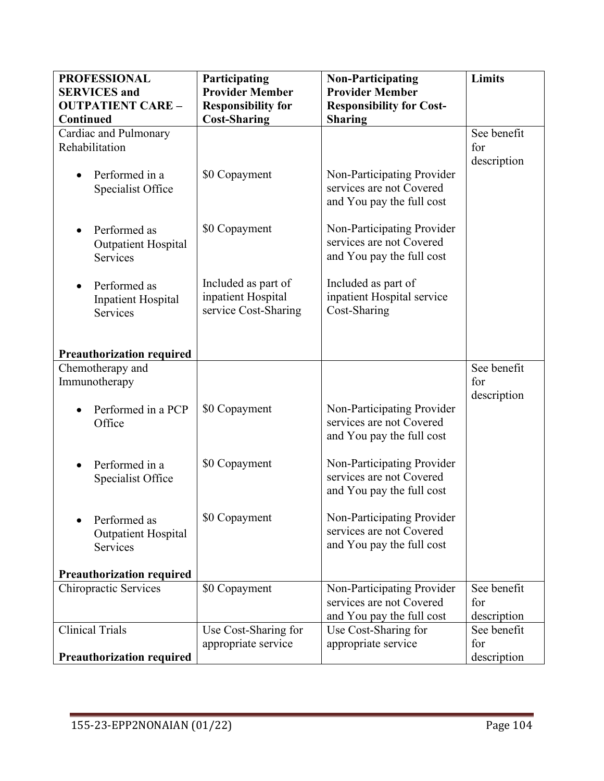| <b>PROFESSIONAL</b>                   | Participating                             | <b>Non-Participating</b>                               | Limits      |
|---------------------------------------|-------------------------------------------|--------------------------------------------------------|-------------|
| <b>SERVICES</b> and                   | <b>Provider Member</b>                    | <b>Provider Member</b>                                 |             |
| <b>OUTPATIENT CARE -</b>              | <b>Responsibility for</b>                 | <b>Responsibility for Cost-</b>                        |             |
| <b>Continued</b>                      | <b>Cost-Sharing</b>                       | <b>Sharing</b>                                         |             |
| Cardiac and Pulmonary                 |                                           |                                                        | See benefit |
| Rehabilitation                        |                                           |                                                        | for         |
|                                       |                                           |                                                        | description |
| Performed in a                        | \$0 Copayment                             | Non-Participating Provider                             |             |
| Specialist Office                     |                                           | services are not Covered                               |             |
|                                       |                                           | and You pay the full cost                              |             |
|                                       |                                           |                                                        |             |
| Performed as                          | \$0 Copayment                             | Non-Participating Provider                             |             |
| <b>Outpatient Hospital</b>            |                                           | services are not Covered                               |             |
| Services                              |                                           | and You pay the full cost                              |             |
|                                       |                                           | Included as part of                                    |             |
| Performed as<br>$\bullet$             | Included as part of<br>inpatient Hospital | inpatient Hospital service                             |             |
| <b>Inpatient Hospital</b><br>Services | service Cost-Sharing                      | Cost-Sharing                                           |             |
|                                       |                                           |                                                        |             |
|                                       |                                           |                                                        |             |
| <b>Preauthorization required</b>      |                                           |                                                        |             |
| Chemotherapy and                      |                                           |                                                        | See benefit |
| Immunotherapy                         |                                           |                                                        | for         |
|                                       |                                           |                                                        | description |
| Performed in a PCP                    | \$0 Copayment                             | Non-Participating Provider                             |             |
| Office                                |                                           | services are not Covered                               |             |
|                                       |                                           | and You pay the full cost                              |             |
|                                       |                                           |                                                        |             |
| Performed in a                        | \$0 Copayment                             | Non-Participating Provider<br>services are not Covered |             |
| Specialist Office                     |                                           | and You pay the full cost                              |             |
|                                       |                                           |                                                        |             |
| Performed as                          | \$0 Copayment                             | Non-Participating Provider                             |             |
| <b>Outpatient Hospital</b>            |                                           | services are not Covered                               |             |
| Services                              |                                           | and You pay the full cost                              |             |
|                                       |                                           |                                                        |             |
| <b>Preauthorization required</b>      |                                           |                                                        |             |
| Chiropractic Services                 | \$0 Copayment                             | Non-Participating Provider                             | See benefit |
|                                       |                                           | services are not Covered                               | for         |
|                                       |                                           | and You pay the full cost                              | description |
| <b>Clinical Trials</b>                | Use Cost-Sharing for                      | Use Cost-Sharing for                                   | See benefit |
|                                       | appropriate service                       | appropriate service                                    | for         |
| <b>Preauthorization required</b>      |                                           |                                                        | description |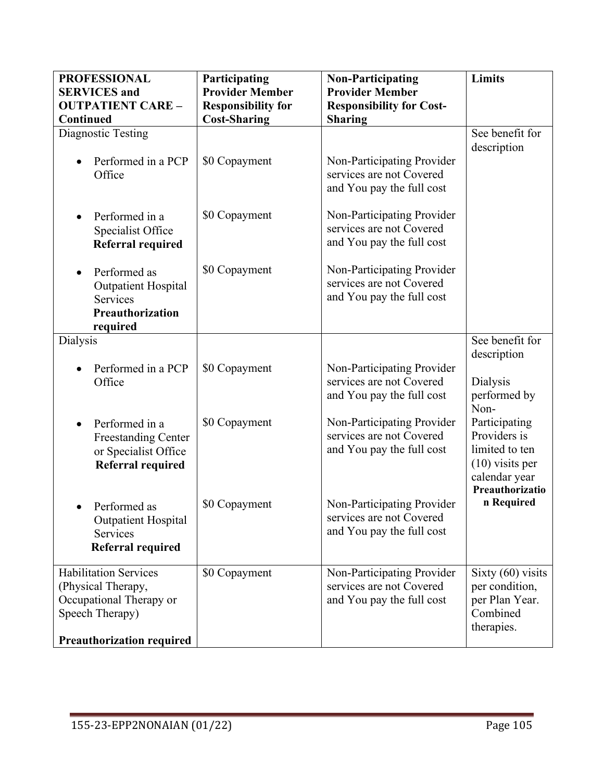| <b>PROFESSIONAL</b><br><b>SERVICES</b> and<br><b>OUTPATIENT CARE -</b><br>Continued                                                  | Participating<br><b>Provider Member</b><br><b>Responsibility for</b><br><b>Cost-Sharing</b> | <b>Non-Participating</b><br><b>Provider Member</b><br><b>Responsibility for Cost-</b><br><b>Sharing</b> | Limits                                                                                                   |
|--------------------------------------------------------------------------------------------------------------------------------------|---------------------------------------------------------------------------------------------|---------------------------------------------------------------------------------------------------------|----------------------------------------------------------------------------------------------------------|
| Diagnostic Testing<br>Performed in a PCP<br>Office                                                                                   | \$0 Copayment                                                                               | Non-Participating Provider<br>services are not Covered<br>and You pay the full cost                     | See benefit for<br>description                                                                           |
| Performed in a<br>Specialist Office<br><b>Referral required</b>                                                                      | \$0 Copayment                                                                               | Non-Participating Provider<br>services are not Covered<br>and You pay the full cost                     |                                                                                                          |
| Performed as<br><b>Outpatient Hospital</b><br><b>Services</b><br><b>Preauthorization</b><br>required                                 | \$0 Copayment                                                                               | Non-Participating Provider<br>services are not Covered<br>and You pay the full cost                     |                                                                                                          |
| Dialysis                                                                                                                             |                                                                                             |                                                                                                         | See benefit for                                                                                          |
| Performed in a PCP<br>Office                                                                                                         | \$0 Copayment                                                                               | Non-Participating Provider<br>services are not Covered<br>and You pay the full cost                     | description<br>Dialysis<br>performed by<br>Non-                                                          |
| Performed in a<br><b>Freestanding Center</b><br>or Specialist Office<br><b>Referral required</b>                                     | \$0 Copayment                                                                               | Non-Participating Provider<br>services are not Covered<br>and You pay the full cost                     | Participating<br>Providers is<br>limited to ten<br>$(10)$ visits per<br>calendar year<br>Preauthorizatio |
| Performed as<br><b>Outpatient Hospital</b><br>Services<br>Referral required                                                          | \$0 Copayment                                                                               | Non-Participating Provider<br>services are not Covered<br>and You pay the full cost                     | n Required                                                                                               |
| <b>Habilitation Services</b><br>(Physical Therapy,<br>Occupational Therapy or<br>Speech Therapy)<br><b>Preauthorization required</b> | \$0 Copayment                                                                               | Non-Participating Provider<br>services are not Covered<br>and You pay the full cost                     | Sixty $(60)$ visits<br>per condition,<br>per Plan Year.<br>Combined<br>therapies.                        |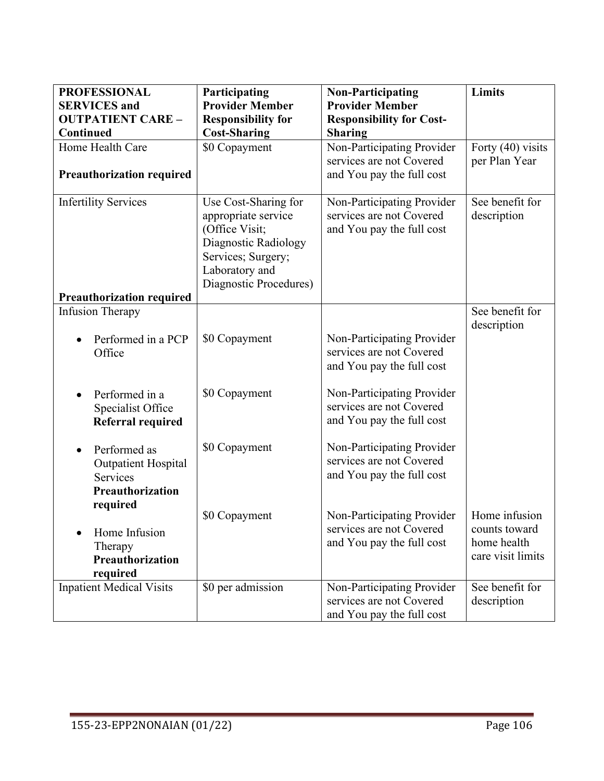| <b>PROFESSIONAL</b>                             | Participating                                    | <b>Non-Participating</b>                          | <b>Limits</b>     |
|-------------------------------------------------|--------------------------------------------------|---------------------------------------------------|-------------------|
| <b>SERVICES</b> and<br><b>OUTPATIENT CARE -</b> | <b>Provider Member</b>                           | <b>Provider Member</b>                            |                   |
| Continued                                       | <b>Responsibility for</b><br><b>Cost-Sharing</b> | <b>Responsibility for Cost-</b><br><b>Sharing</b> |                   |
| Home Health Care                                | \$0 Copayment                                    | Non-Participating Provider                        | Forty (40) visits |
|                                                 |                                                  | services are not Covered                          | per Plan Year     |
| <b>Preauthorization required</b>                |                                                  | and You pay the full cost                         |                   |
| <b>Infertility Services</b>                     | Use Cost-Sharing for                             | Non-Participating Provider                        | See benefit for   |
|                                                 | appropriate service                              | services are not Covered                          | description       |
|                                                 | (Office Visit;                                   | and You pay the full cost                         |                   |
|                                                 | Diagnostic Radiology                             |                                                   |                   |
|                                                 | Services; Surgery;<br>Laboratory and             |                                                   |                   |
|                                                 | Diagnostic Procedures)                           |                                                   |                   |
| <b>Preauthorization required</b>                |                                                  |                                                   |                   |
| <b>Infusion Therapy</b>                         |                                                  |                                                   | See benefit for   |
|                                                 |                                                  |                                                   | description       |
| Performed in a PCP                              | \$0 Copayment                                    | Non-Participating Provider                        |                   |
| Office                                          |                                                  | services are not Covered                          |                   |
|                                                 |                                                  | and You pay the full cost                         |                   |
| Performed in a                                  | \$0 Copayment                                    | Non-Participating Provider                        |                   |
| Specialist Office                               |                                                  | services are not Covered                          |                   |
| <b>Referral required</b>                        |                                                  | and You pay the full cost                         |                   |
|                                                 |                                                  |                                                   |                   |
| Performed as                                    | \$0 Copayment                                    | Non-Participating Provider                        |                   |
| <b>Outpatient Hospital</b>                      |                                                  | services are not Covered                          |                   |
| Services                                        |                                                  | and You pay the full cost                         |                   |
| Preauthorization                                |                                                  |                                                   |                   |
| required                                        | \$0 Copayment                                    | Non-Participating Provider                        | Home infusion     |
|                                                 |                                                  | services are not Covered                          | counts toward     |
| Home Infusion                                   |                                                  | and You pay the full cost                         | home health       |
| Therapy<br>Preauthorization                     |                                                  |                                                   | care visit limits |
| required                                        |                                                  |                                                   |                   |
| <b>Inpatient Medical Visits</b>                 | \$0 per admission                                | Non-Participating Provider                        | See benefit for   |
|                                                 |                                                  | services are not Covered                          | description       |
|                                                 |                                                  | and You pay the full cost                         |                   |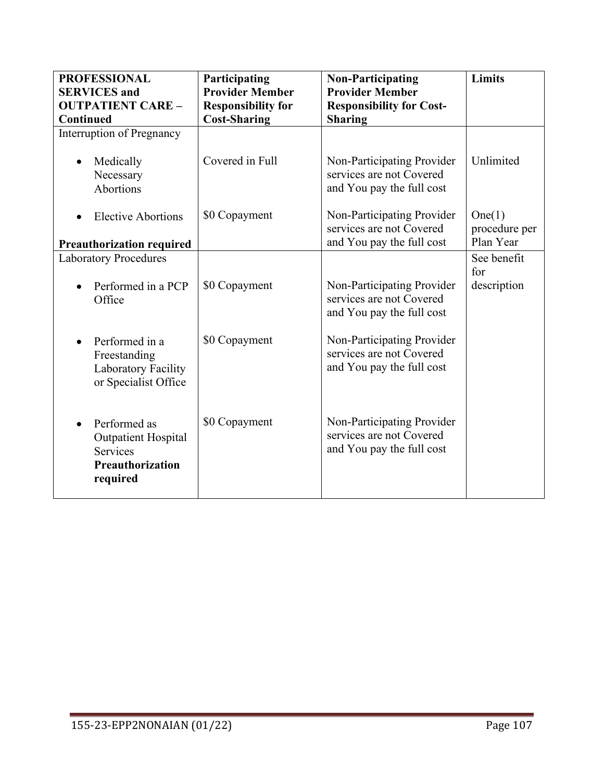| <b>PROFESSIONAL</b>                         | Participating             | <b>Non-Participating</b>                               | Limits                  |
|---------------------------------------------|---------------------------|--------------------------------------------------------|-------------------------|
| <b>SERVICES</b> and                         | <b>Provider Member</b>    | <b>Provider Member</b>                                 |                         |
| <b>OUTPATIENT CARE -</b>                    | <b>Responsibility for</b> | <b>Responsibility for Cost-</b>                        |                         |
| Continued                                   | <b>Cost-Sharing</b>       | <b>Sharing</b>                                         |                         |
| Interruption of Pregnancy                   |                           |                                                        |                         |
| Medically<br>Necessary                      | Covered in Full           | Non-Participating Provider<br>services are not Covered | Unlimited               |
|                                             |                           |                                                        |                         |
| Abortions                                   |                           | and You pay the full cost                              |                         |
| <b>Elective Abortions</b>                   | \$0 Copayment             | Non-Participating Provider<br>services are not Covered | One(1)<br>procedure per |
| <b>Preauthorization required</b>            |                           | and You pay the full cost                              | Plan Year               |
| <b>Laboratory Procedures</b>                |                           |                                                        | See benefit             |
|                                             |                           |                                                        | for                     |
| Performed in a PCP<br>Office                | \$0 Copayment             | Non-Participating Provider<br>services are not Covered | description             |
|                                             |                           | and You pay the full cost                              |                         |
| Performed in a                              | \$0 Copayment             | Non-Participating Provider                             |                         |
| Freestanding                                |                           | services are not Covered                               |                         |
| Laboratory Facility<br>or Specialist Office |                           | and You pay the full cost                              |                         |
|                                             |                           |                                                        |                         |
| Performed as<br><b>Outpatient Hospital</b>  | \$0 Copayment             | Non-Participating Provider<br>services are not Covered |                         |
| Services                                    |                           | and You pay the full cost                              |                         |
| Preauthorization<br>required                |                           |                                                        |                         |
|                                             |                           |                                                        |                         |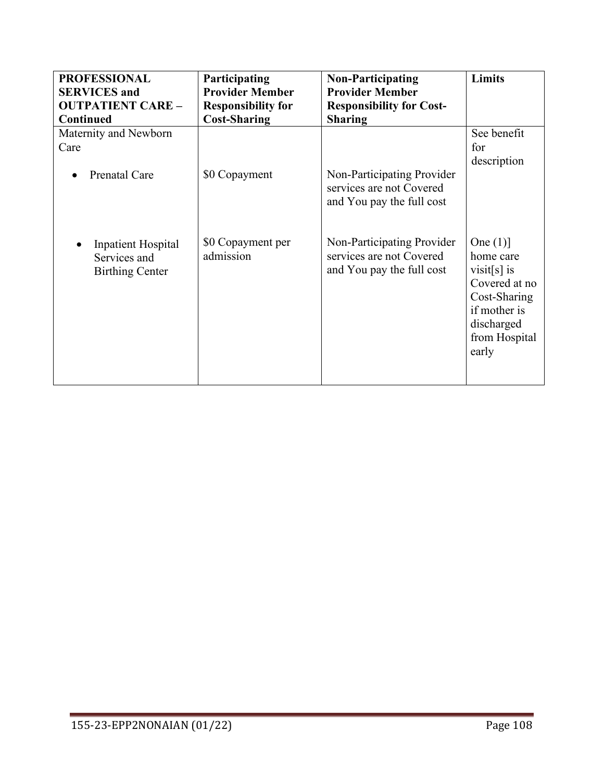| <b>PROFESSIONAL</b>                                                 | Participating                  | <b>Non-Participating</b>                                                            | Limits                                                                                                                           |
|---------------------------------------------------------------------|--------------------------------|-------------------------------------------------------------------------------------|----------------------------------------------------------------------------------------------------------------------------------|
| <b>SERVICES</b> and                                                 | <b>Provider Member</b>         | <b>Provider Member</b>                                                              |                                                                                                                                  |
| <b>OUTPATIENT CARE -</b>                                            | <b>Responsibility for</b>      | <b>Responsibility for Cost-</b>                                                     |                                                                                                                                  |
| <b>Continued</b>                                                    | <b>Cost-Sharing</b>            | <b>Sharing</b>                                                                      |                                                                                                                                  |
| Maternity and Newborn                                               | \$0 Copayment                  | Non-Participating Provider                                                          | See benefit                                                                                                                      |
| Care                                                                |                                | services are not Covered                                                            | for                                                                                                                              |
| Prenatal Care                                                       |                                | and You pay the full cost                                                           | description                                                                                                                      |
| <b>Inpatient Hospital</b><br>Services and<br><b>Birthing Center</b> | \$0 Copayment per<br>admission | Non-Participating Provider<br>services are not Covered<br>and You pay the full cost | One $(1)$ ]<br>home care<br>visit[s] is<br>Covered at no<br>Cost-Sharing<br>if mother is<br>discharged<br>from Hospital<br>early |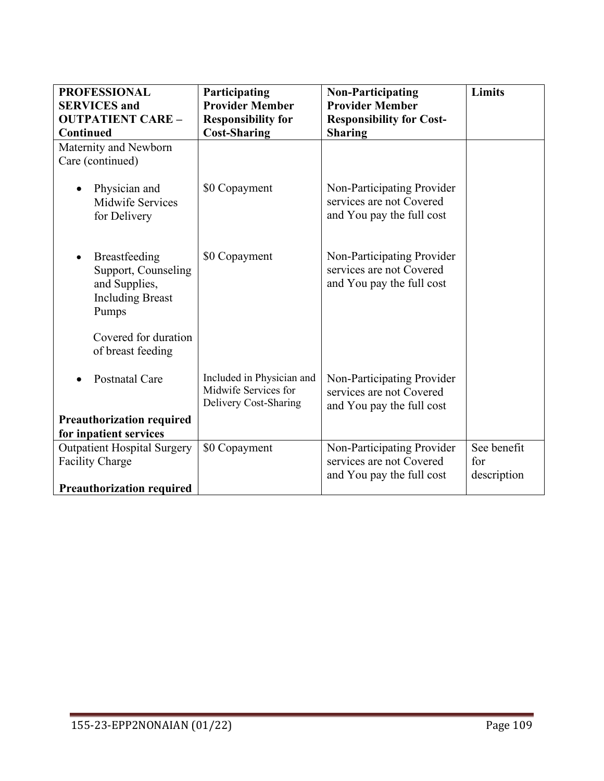| <b>PROFESSIONAL</b>                                                                       | Participating<br><b>Provider Member</b>                                    | <b>Non-Participating</b><br><b>Provider Member</b>                                  | Limits                            |
|-------------------------------------------------------------------------------------------|----------------------------------------------------------------------------|-------------------------------------------------------------------------------------|-----------------------------------|
| <b>SERVICES</b> and<br><b>OUTPATIENT CARE -</b>                                           | <b>Responsibility for</b>                                                  | <b>Responsibility for Cost-</b>                                                     |                                   |
| <b>Continued</b>                                                                          | <b>Cost-Sharing</b>                                                        | <b>Sharing</b>                                                                      |                                   |
| Maternity and Newborn                                                                     |                                                                            |                                                                                     |                                   |
| Care (continued)                                                                          |                                                                            |                                                                                     |                                   |
| Physician and<br><b>Midwife Services</b><br>for Delivery                                  | \$0 Copayment                                                              | Non-Participating Provider<br>services are not Covered<br>and You pay the full cost |                                   |
| Breastfeeding<br>Support, Counseling<br>and Supplies,<br><b>Including Breast</b><br>Pumps | \$0 Copayment                                                              | Non-Participating Provider<br>services are not Covered<br>and You pay the full cost |                                   |
| Covered for duration<br>of breast feeding                                                 |                                                                            |                                                                                     |                                   |
| <b>Postnatal Care</b>                                                                     | Included in Physician and<br>Midwife Services for<br>Delivery Cost-Sharing | Non-Participating Provider<br>services are not Covered<br>and You pay the full cost |                                   |
| <b>Preauthorization required</b>                                                          |                                                                            |                                                                                     |                                   |
| for inpatient services                                                                    |                                                                            |                                                                                     |                                   |
| <b>Outpatient Hospital Surgery</b><br><b>Facility Charge</b>                              | \$0 Copayment                                                              | Non-Participating Provider<br>services are not Covered<br>and You pay the full cost | See benefit<br>for<br>description |
| <b>Preauthorization required</b>                                                          |                                                                            |                                                                                     |                                   |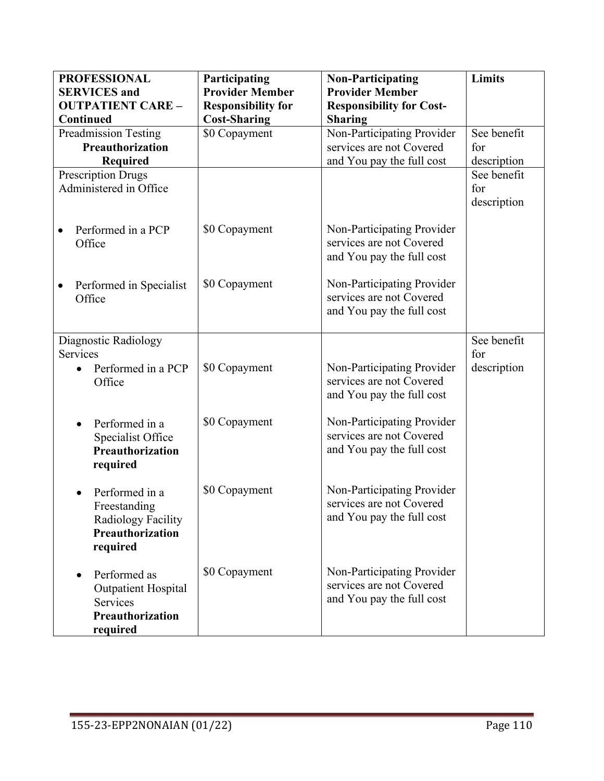| <b>PROFESSIONAL</b>               | Participating             | <b>Non-Participating</b>                                                            | Limits      |
|-----------------------------------|---------------------------|-------------------------------------------------------------------------------------|-------------|
| <b>SERVICES</b> and               | <b>Provider Member</b>    | <b>Provider Member</b>                                                              |             |
| <b>OUTPATIENT CARE -</b>          | <b>Responsibility for</b> | <b>Responsibility for Cost-</b>                                                     |             |
| Continued                         | <b>Cost-Sharing</b>       | <b>Sharing</b>                                                                      |             |
| <b>Preadmission Testing</b>       | \$0 Copayment             | Non-Participating Provider                                                          | See benefit |
| Preauthorization                  |                           | services are not Covered                                                            | for         |
| <b>Required</b>                   |                           | and You pay the full cost                                                           | description |
| <b>Prescription Drugs</b>         |                           |                                                                                     | See benefit |
| Administered in Office            |                           |                                                                                     | for         |
|                                   |                           |                                                                                     | description |
| Performed in a PCP<br>Office      | \$0 Copayment             | Non-Participating Provider<br>services are not Covered<br>and You pay the full cost |             |
| Performed in Specialist<br>Office | \$0 Copayment             | Non-Participating Provider<br>services are not Covered<br>and You pay the full cost |             |
| Diagnostic Radiology              |                           |                                                                                     | See benefit |
| Services                          |                           |                                                                                     | for         |
| Performed in a PCP<br>Office      | \$0 Copayment             | Non-Participating Provider<br>services are not Covered<br>and You pay the full cost | description |
| Performed in a                    | \$0 Copayment             | Non-Participating Provider                                                          |             |
| Specialist Office                 |                           | services are not Covered                                                            |             |
| Preauthorization<br>required      |                           | and You pay the full cost                                                           |             |
| Performed in a                    | \$0 Copayment             | Non-Participating Provider                                                          |             |
| Freestanding                      |                           | services are not Covered                                                            |             |
| Radiology Facility                |                           | and You pay the full cost                                                           |             |
| Preauthorization                  |                           |                                                                                     |             |
| required                          |                           |                                                                                     |             |
|                                   |                           |                                                                                     |             |
| Performed as                      | \$0 Copayment             | Non-Participating Provider                                                          |             |
| Outpatient Hospital               |                           | services are not Covered                                                            |             |
| Services                          |                           | and You pay the full cost                                                           |             |
| Preauthorization                  |                           |                                                                                     |             |
| required                          |                           |                                                                                     |             |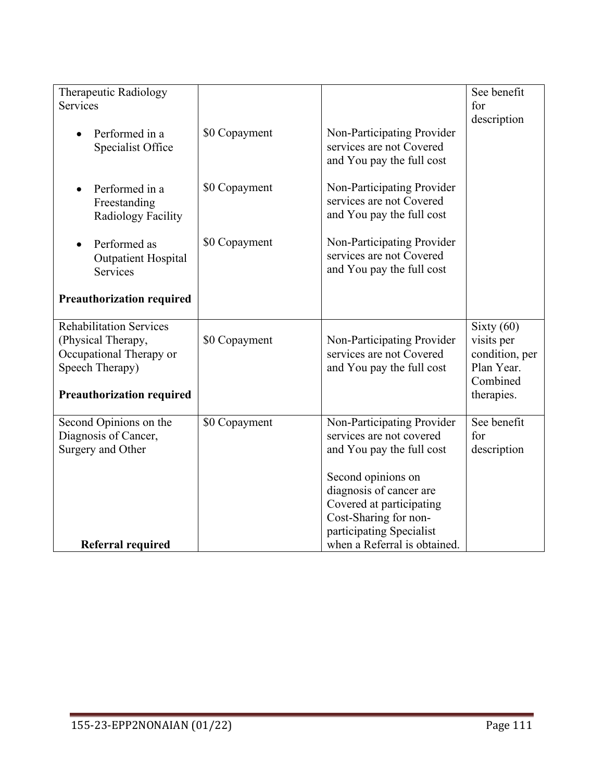| Therapeutic Radiology            |               |                              | See benefit    |
|----------------------------------|---------------|------------------------------|----------------|
| Services                         |               |                              | for            |
|                                  |               |                              | description    |
| Performed in a                   | \$0 Copayment | Non-Participating Provider   |                |
| Specialist Office                |               | services are not Covered     |                |
|                                  |               | and You pay the full cost    |                |
|                                  |               |                              |                |
| Performed in a                   | \$0 Copayment | Non-Participating Provider   |                |
| Freestanding                     |               | services are not Covered     |                |
| Radiology Facility               |               | and You pay the full cost    |                |
|                                  |               |                              |                |
| Performed as                     | \$0 Copayment | Non-Participating Provider   |                |
| <b>Outpatient Hospital</b>       |               | services are not Covered     |                |
| Services                         |               | and You pay the full cost    |                |
|                                  |               |                              |                |
| <b>Preauthorization required</b> |               |                              |                |
|                                  |               |                              |                |
| <b>Rehabilitation Services</b>   |               |                              | Sixty $(60)$   |
| (Physical Therapy,               | \$0 Copayment | Non-Participating Provider   | visits per     |
| Occupational Therapy or          |               | services are not Covered     | condition, per |
| Speech Therapy)                  |               | and You pay the full cost    | Plan Year.     |
|                                  |               |                              | Combined       |
|                                  |               |                              |                |
| <b>Preauthorization required</b> |               |                              | therapies.     |
| Second Opinions on the           | \$0 Copayment | Non-Participating Provider   | See benefit    |
| Diagnosis of Cancer,             |               | services are not covered     | for            |
| Surgery and Other                |               | and You pay the full cost    | description    |
|                                  |               |                              |                |
|                                  |               | Second opinions on           |                |
|                                  |               | diagnosis of cancer are      |                |
|                                  |               | Covered at participating     |                |
|                                  |               | Cost-Sharing for non-        |                |
|                                  |               | participating Specialist     |                |
|                                  |               |                              |                |
| <b>Referral required</b>         |               | when a Referral is obtained. |                |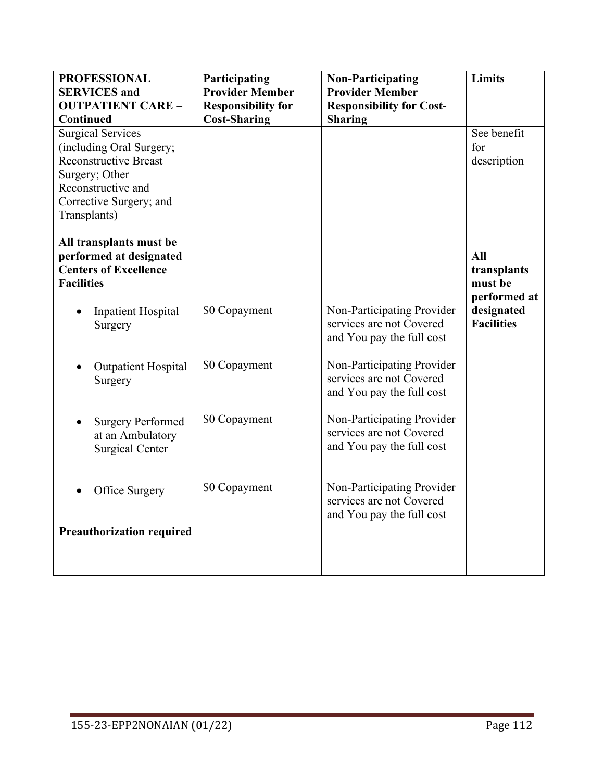| <b>PROFESSIONAL</b><br><b>SERVICES</b> and                                                                                                                              | Participating<br><b>Provider Member</b>          | <b>Non-Participating</b><br><b>Provider Member</b>                                  | <b>Limits</b>                                 |
|-------------------------------------------------------------------------------------------------------------------------------------------------------------------------|--------------------------------------------------|-------------------------------------------------------------------------------------|-----------------------------------------------|
| <b>OUTPATIENT CARE -</b><br><b>Continued</b>                                                                                                                            | <b>Responsibility for</b><br><b>Cost-Sharing</b> | <b>Responsibility for Cost-</b><br><b>Sharing</b>                                   |                                               |
| <b>Surgical Services</b><br>(including Oral Surgery;<br><b>Reconstructive Breast</b><br>Surgery; Other<br>Reconstructive and<br>Corrective Surgery; and<br>Transplants) |                                                  |                                                                                     | See benefit<br>for<br>description             |
| All transplants must be<br>performed at designated<br><b>Centers of Excellence</b><br><b>Facilities</b>                                                                 |                                                  |                                                                                     | All<br>transplants<br>must be<br>performed at |
| <b>Inpatient Hospital</b><br>Surgery                                                                                                                                    | \$0 Copayment                                    | Non-Participating Provider<br>services are not Covered<br>and You pay the full cost | designated<br><b>Facilities</b>               |
| <b>Outpatient Hospital</b><br>Surgery                                                                                                                                   | \$0 Copayment                                    | Non-Participating Provider<br>services are not Covered<br>and You pay the full cost |                                               |
| <b>Surgery Performed</b><br>at an Ambulatory<br><b>Surgical Center</b>                                                                                                  | \$0 Copayment                                    | Non-Participating Provider<br>services are not Covered<br>and You pay the full cost |                                               |
| Office Surgery                                                                                                                                                          | \$0 Copayment                                    | Non-Participating Provider<br>services are not Covered<br>and You pay the full cost |                                               |
| <b>Preauthorization required</b>                                                                                                                                        |                                                  |                                                                                     |                                               |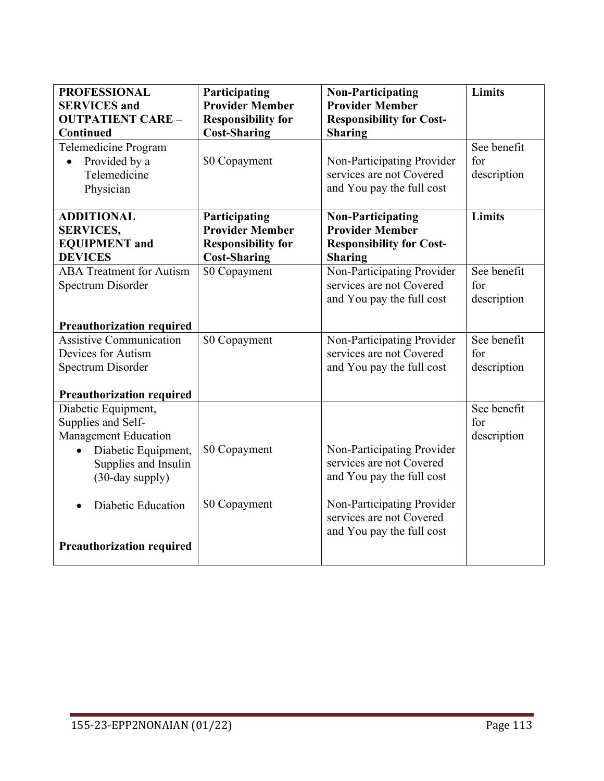| <b>PROFESSIONAL</b><br><b>SERVICES</b> and                                                                                                 | Participating<br><b>Provider Member</b>                                                     | <b>Non-Participating</b><br><b>Provider Member</b>                                                      | Limits                            |
|--------------------------------------------------------------------------------------------------------------------------------------------|---------------------------------------------------------------------------------------------|---------------------------------------------------------------------------------------------------------|-----------------------------------|
| <b>OUTPATIENT CARE -</b>                                                                                                                   | <b>Responsibility for</b>                                                                   | <b>Responsibility for Cost-</b>                                                                         |                                   |
| <b>Continued</b>                                                                                                                           | <b>Cost-Sharing</b>                                                                         | <b>Sharing</b>                                                                                          |                                   |
| Telemedicine Program<br>Provided by a<br>$\bullet$<br>Telemedicine<br>Physician                                                            | \$0 Copayment                                                                               | Non-Participating Provider<br>services are not Covered<br>and You pay the full cost                     | See benefit<br>for<br>description |
| <b>ADDITIONAL</b><br><b>SERVICES,</b><br><b>EQUIPMENT</b> and<br><b>DEVICES</b>                                                            | Participating<br><b>Provider Member</b><br><b>Responsibility for</b><br><b>Cost-Sharing</b> | <b>Non-Participating</b><br><b>Provider Member</b><br><b>Responsibility for Cost-</b><br><b>Sharing</b> | Limits                            |
| <b>ABA Treatment for Autism</b><br>Spectrum Disorder                                                                                       | \$0 Copayment                                                                               | Non-Participating Provider<br>services are not Covered<br>and You pay the full cost                     | See benefit<br>for<br>description |
| <b>Preauthorization required</b>                                                                                                           |                                                                                             |                                                                                                         |                                   |
| <b>Assistive Communication</b><br>Devices for Autism                                                                                       | \$0 Copayment                                                                               | Non-Participating Provider<br>services are not Covered                                                  | See benefit                       |
| Spectrum Disorder                                                                                                                          |                                                                                             | and You pay the full cost                                                                               | for<br>description                |
| <b>Preauthorization required</b>                                                                                                           |                                                                                             |                                                                                                         |                                   |
| Diabetic Equipment,<br>Supplies and Self-<br><b>Management Education</b><br>Diabetic Equipment,<br>Supplies and Insulin<br>(30-day supply) | \$0 Copayment                                                                               | Non-Participating Provider<br>services are not Covered<br>and You pay the full cost                     | See benefit<br>for<br>description |
| Diabetic Education<br><b>Preauthorization required</b>                                                                                     | \$0 Copayment                                                                               | Non-Participating Provider<br>services are not Covered<br>and You pay the full cost                     |                                   |
|                                                                                                                                            |                                                                                             |                                                                                                         |                                   |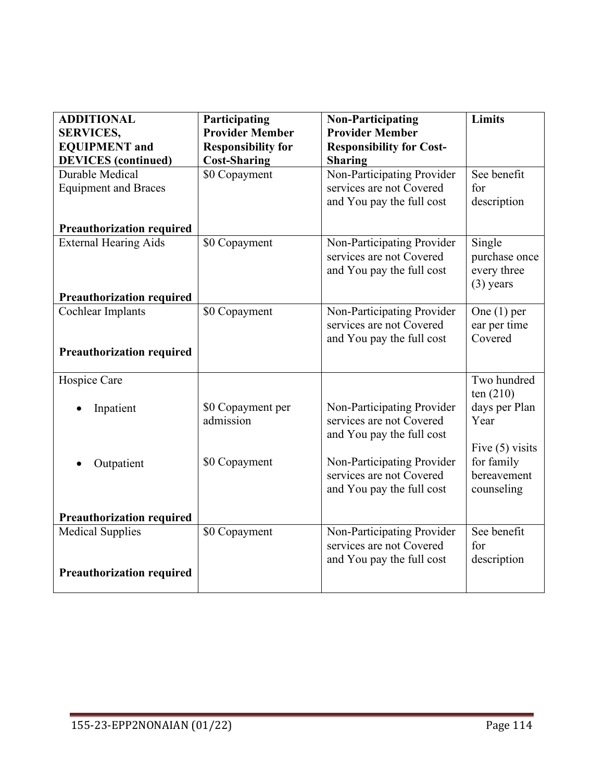| <b>ADDITIONAL</b>                | Participating             | <b>Non-Participating</b>                               | Limits                    |
|----------------------------------|---------------------------|--------------------------------------------------------|---------------------------|
| <b>SERVICES,</b>                 | <b>Provider Member</b>    | <b>Provider Member</b>                                 |                           |
| <b>EQUIPMENT</b> and             | <b>Responsibility for</b> | <b>Responsibility for Cost-</b>                        |                           |
| <b>DEVICES</b> (continued)       | <b>Cost-Sharing</b>       | <b>Sharing</b>                                         |                           |
| Durable Medical                  | \$0 Copayment             | Non-Participating Provider                             | See benefit               |
| <b>Equipment and Braces</b>      |                           | services are not Covered                               | for                       |
|                                  |                           | and You pay the full cost                              | description               |
| <b>Preauthorization required</b> |                           |                                                        |                           |
| <b>External Hearing Aids</b>     | \$0 Copayment             | Non-Participating Provider                             | Single                    |
|                                  |                           | services are not Covered                               | purchase once             |
|                                  |                           | and You pay the full cost                              | every three               |
|                                  |                           |                                                        | $(3)$ years               |
| <b>Preauthorization required</b> |                           |                                                        |                           |
| Cochlear Implants                | \$0 Copayment             | Non-Participating Provider                             | One $(1)$ per             |
|                                  |                           | services are not Covered                               | ear per time<br>Covered   |
|                                  |                           | and You pay the full cost                              |                           |
| <b>Preauthorization required</b> |                           |                                                        |                           |
| Hospice Care                     |                           |                                                        | Two hundred               |
|                                  |                           |                                                        | ten $(210)$               |
| Inpatient                        | \$0 Copayment per         | Non-Participating Provider                             | days per Plan             |
|                                  | admission                 | services are not Covered                               | Year                      |
|                                  |                           | and You pay the full cost                              |                           |
|                                  |                           |                                                        | Five $(5)$ visits         |
| Outpatient                       | \$0 Copayment             | Non-Participating Provider<br>services are not Covered | for family<br>bereavement |
|                                  |                           | and You pay the full cost                              | counseling                |
|                                  |                           |                                                        |                           |
| <b>Preauthorization required</b> |                           |                                                        |                           |
| <b>Medical Supplies</b>          | \$0 Copayment             | Non-Participating Provider                             | See benefit               |
|                                  |                           | services are not Covered                               | for                       |
|                                  |                           | and You pay the full cost                              | description               |
| <b>Preauthorization required</b> |                           |                                                        |                           |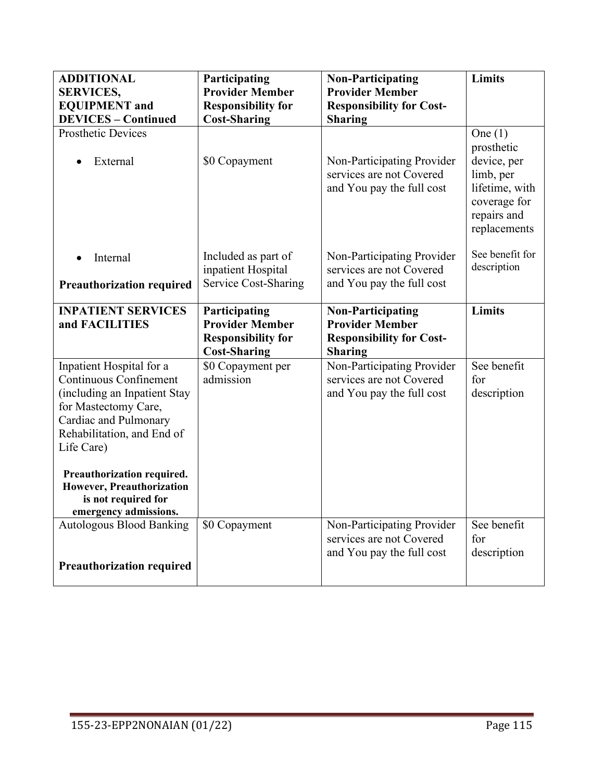| <b>ADDITIONAL</b><br><b>SERVICES,</b>                                                                                                                                           | Participating<br><b>Provider Member</b>                                                     | <b>Non-Participating</b><br><b>Provider Member</b>                                                      | Limits                                                                                                               |
|---------------------------------------------------------------------------------------------------------------------------------------------------------------------------------|---------------------------------------------------------------------------------------------|---------------------------------------------------------------------------------------------------------|----------------------------------------------------------------------------------------------------------------------|
| <b>EQUIPMENT</b> and<br><b>DEVICES - Continued</b>                                                                                                                              | <b>Responsibility for</b><br><b>Cost-Sharing</b>                                            | <b>Responsibility for Cost-</b><br><b>Sharing</b>                                                       |                                                                                                                      |
| <b>Prosthetic Devices</b><br>External                                                                                                                                           | \$0 Copayment                                                                               | Non-Participating Provider<br>services are not Covered<br>and You pay the full cost                     | One $(1)$<br>prosthetic<br>device, per<br>limb, per<br>lifetime, with<br>coverage for<br>repairs and<br>replacements |
| Internal<br><b>Preauthorization required</b>                                                                                                                                    | Included as part of<br>inpatient Hospital<br><b>Service Cost-Sharing</b>                    | Non-Participating Provider<br>services are not Covered<br>and You pay the full cost                     | See benefit for<br>description                                                                                       |
| <b>INPATIENT SERVICES</b><br>and FACILITIES                                                                                                                                     | Participating<br><b>Provider Member</b><br><b>Responsibility for</b><br><b>Cost-Sharing</b> | <b>Non-Participating</b><br><b>Provider Member</b><br><b>Responsibility for Cost-</b><br><b>Sharing</b> | Limits                                                                                                               |
| Inpatient Hospital for a<br>Continuous Confinement<br>(including an Inpatient Stay<br>for Mastectomy Care,<br>Cardiac and Pulmonary<br>Rehabilitation, and End of<br>Life Care) | \$0 Copayment per<br>admission                                                              | Non-Participating Provider<br>services are not Covered<br>and You pay the full cost                     | See benefit<br>for<br>description                                                                                    |
| Preauthorization required.<br>However, Preauthorization<br>is not required for<br>emergency admissions.                                                                         |                                                                                             |                                                                                                         |                                                                                                                      |
| <b>Autologous Blood Banking</b><br><b>Preauthorization required</b>                                                                                                             | \$0 Copayment                                                                               | Non-Participating Provider<br>services are not Covered<br>and You pay the full cost                     | See benefit<br>for<br>description                                                                                    |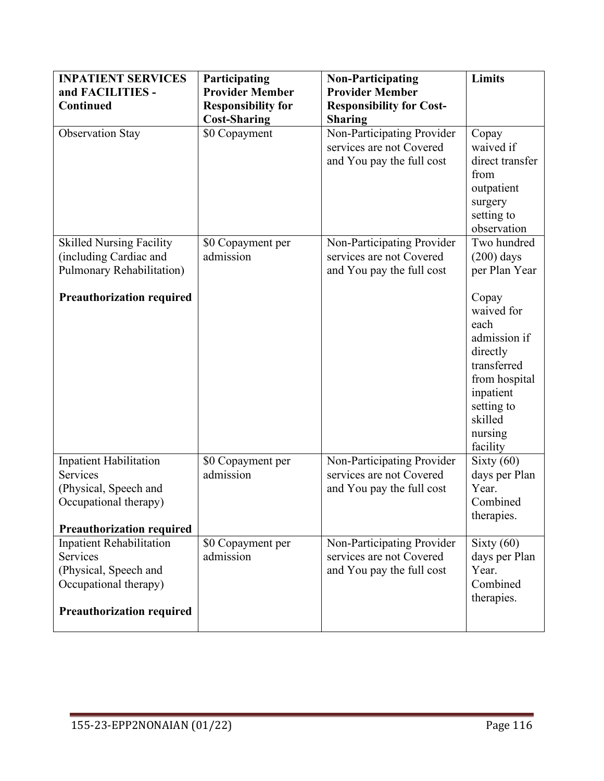| <b>INPATIENT SERVICES</b>        | Participating             | <b>Non-Participating</b>        | Limits                     |
|----------------------------------|---------------------------|---------------------------------|----------------------------|
| and FACILITIES -                 | <b>Provider Member</b>    | <b>Provider Member</b>          |                            |
| <b>Continued</b>                 | <b>Responsibility for</b> | <b>Responsibility for Cost-</b> |                            |
|                                  | <b>Cost-Sharing</b>       | <b>Sharing</b>                  |                            |
| <b>Observation Stay</b>          | \$0 Copayment             | Non-Participating Provider      | Copay                      |
|                                  |                           | services are not Covered        | waived if                  |
|                                  |                           | and You pay the full cost       | direct transfer            |
|                                  |                           |                                 | from                       |
|                                  |                           |                                 | outpatient                 |
|                                  |                           |                                 | surgery                    |
|                                  |                           |                                 | setting to                 |
|                                  |                           |                                 | observation                |
| <b>Skilled Nursing Facility</b>  | \$0 Copayment per         | Non-Participating Provider      | Two hundred                |
| (including Cardiac and           | admission                 | services are not Covered        | $(200)$ days               |
| Pulmonary Rehabilitation)        |                           | and You pay the full cost       | per Plan Year              |
|                                  |                           |                                 |                            |
| <b>Preauthorization required</b> |                           |                                 | Copay                      |
|                                  |                           |                                 | waived for                 |
|                                  |                           |                                 | each                       |
|                                  |                           |                                 | admission if               |
|                                  |                           |                                 | directly<br>transferred    |
|                                  |                           |                                 |                            |
|                                  |                           |                                 | from hospital<br>inpatient |
|                                  |                           |                                 | setting to                 |
|                                  |                           |                                 | skilled                    |
|                                  |                           |                                 | nursing                    |
|                                  |                           |                                 | facility                   |
| Inpatient Habilitation           | \$0 Copayment per         | Non-Participating Provider      | Sixty $(60)$               |
| Services                         | admission                 | services are not Covered        | days per Plan              |
| (Physical, Speech and            |                           | and You pay the full cost       | Year.                      |
| Occupational therapy)            |                           |                                 | Combined                   |
|                                  |                           |                                 | therapies.                 |
| <b>Preauthorization required</b> |                           |                                 |                            |
| <b>Inpatient Rehabilitation</b>  | \$0 Copayment per         | Non-Participating Provider      | Sixty $(60)$               |
| Services                         | admission                 | services are not Covered        | days per Plan              |
| (Physical, Speech and            |                           | and You pay the full cost       | Year.                      |
| Occupational therapy)            |                           |                                 | Combined                   |
| <b>Preauthorization required</b> |                           |                                 | therapies.                 |
|                                  |                           |                                 |                            |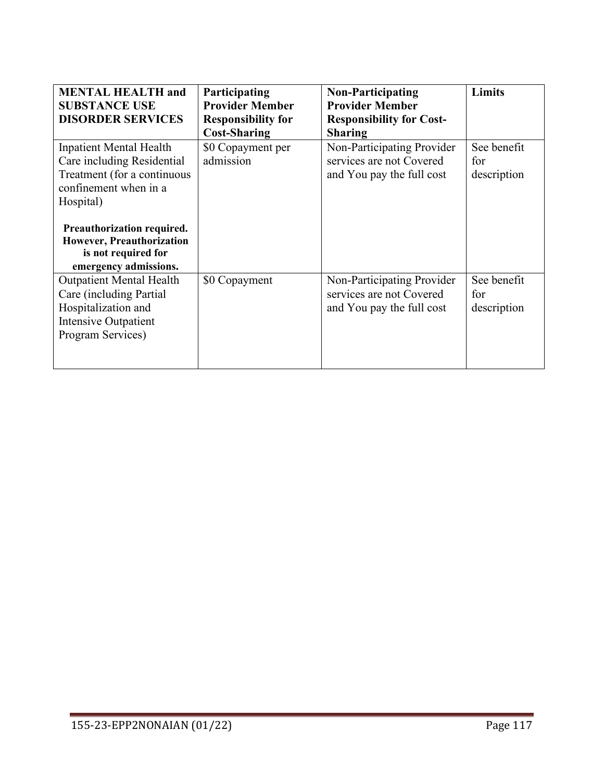| <b>MENTAL HEALTH and</b><br><b>SUBSTANCE USE</b><br><b>DISORDER SERVICES</b>                                                                                                                                                          | Participating<br><b>Provider Member</b><br><b>Responsibility for</b><br><b>Cost-Sharing</b> | <b>Non-Participating</b><br><b>Provider Member</b><br><b>Responsibility for Cost-</b><br><b>Sharing</b> | Limits                            |
|---------------------------------------------------------------------------------------------------------------------------------------------------------------------------------------------------------------------------------------|---------------------------------------------------------------------------------------------|---------------------------------------------------------------------------------------------------------|-----------------------------------|
| Inpatient Mental Health<br>Care including Residential<br>Treatment (for a continuous<br>confinement when in a<br>Hospital)<br>Preauthorization required.<br>However, Preauthorization<br>is not required for<br>emergency admissions. | \$0 Copayment per<br>admission                                                              | Non-Participating Provider<br>services are not Covered<br>and You pay the full cost                     | See benefit<br>for<br>description |
| <b>Outpatient Mental Health</b><br>Care (including Partial<br>Hospitalization and<br>Intensive Outpatient<br>Program Services)                                                                                                        | \$0 Copayment                                                                               | Non-Participating Provider<br>services are not Covered<br>and You pay the full cost                     | See benefit<br>for<br>description |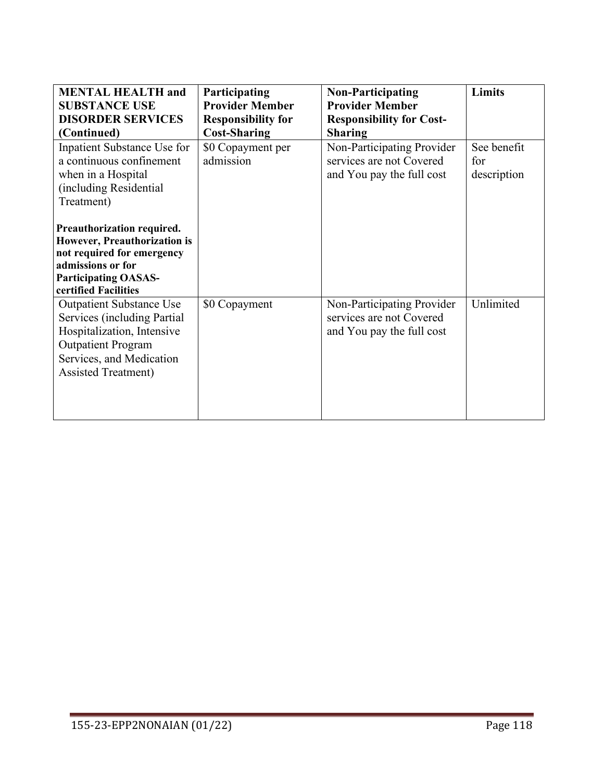| <b>MENTAL HEALTH and</b><br><b>SUBSTANCE USE</b><br><b>DISORDER SERVICES</b><br>(Continued)                                                                                                                       | Participating<br><b>Provider Member</b><br><b>Responsibility for</b><br><b>Cost-Sharing</b> | <b>Non-Participating</b><br><b>Provider Member</b><br><b>Responsibility for Cost-</b><br><b>Sharing</b> | Limits                            |
|-------------------------------------------------------------------------------------------------------------------------------------------------------------------------------------------------------------------|---------------------------------------------------------------------------------------------|---------------------------------------------------------------------------------------------------------|-----------------------------------|
| Inpatient Substance Use for<br>a continuous confinement<br>when in a Hospital<br>(including Residential<br>Treatment)<br>Preauthorization required.<br>However, Preauthorization is<br>not required for emergency | \$0 Copayment per<br>admission                                                              | Non-Participating Provider<br>services are not Covered<br>and You pay the full cost                     | See benefit<br>for<br>description |
| admissions or for<br><b>Participating OASAS-</b><br>certified Facilities                                                                                                                                          |                                                                                             |                                                                                                         |                                   |
| <b>Outpatient Substance Use</b><br>Services (including Partial<br>Hospitalization, Intensive<br><b>Outpatient Program</b><br>Services, and Medication<br><b>Assisted Treatment)</b>                               | \$0 Copayment                                                                               | Non-Participating Provider<br>services are not Covered<br>and You pay the full cost                     | Unlimited                         |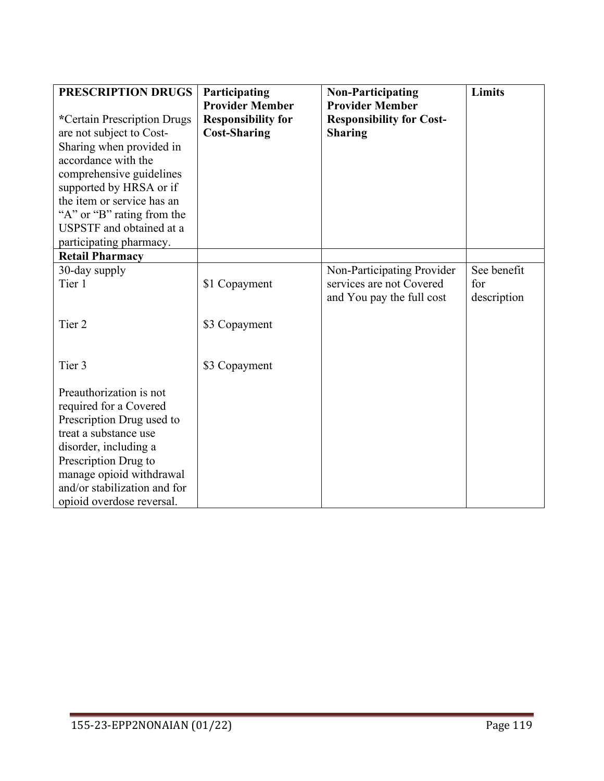| PRESCRIPTION DRUGS                                            | Participating             | <b>Non-Participating</b>        | Limits      |
|---------------------------------------------------------------|---------------------------|---------------------------------|-------------|
|                                                               | <b>Provider Member</b>    | <b>Provider Member</b>          |             |
| *Certain Prescription Drugs                                   | <b>Responsibility for</b> | <b>Responsibility for Cost-</b> |             |
| are not subject to Cost-                                      | <b>Cost-Sharing</b>       | <b>Sharing</b>                  |             |
| Sharing when provided in                                      |                           |                                 |             |
| accordance with the                                           |                           |                                 |             |
| comprehensive guidelines                                      |                           |                                 |             |
| supported by HRSA or if<br>the item or service has an         |                           |                                 |             |
|                                                               |                           |                                 |             |
| "A" or "B" rating from the<br><b>USPSTF</b> and obtained at a |                           |                                 |             |
|                                                               |                           |                                 |             |
| participating pharmacy.<br><b>Retail Pharmacy</b>             |                           |                                 |             |
| 30-day supply                                                 |                           | Non-Participating Provider      | See benefit |
| Tier 1                                                        | \$1 Copayment             | services are not Covered        | for         |
|                                                               |                           | and You pay the full cost       | description |
|                                                               |                           |                                 |             |
| Tier <sub>2</sub>                                             | \$3 Copayment             |                                 |             |
|                                                               |                           |                                 |             |
|                                                               |                           |                                 |             |
| Tier 3                                                        | \$3 Copayment             |                                 |             |
|                                                               |                           |                                 |             |
| Preauthorization is not                                       |                           |                                 |             |
| required for a Covered                                        |                           |                                 |             |
| Prescription Drug used to                                     |                           |                                 |             |
| treat a substance use                                         |                           |                                 |             |
| disorder, including a                                         |                           |                                 |             |
| Prescription Drug to                                          |                           |                                 |             |
| manage opioid withdrawal                                      |                           |                                 |             |
| and/or stabilization and for                                  |                           |                                 |             |
| opioid overdose reversal.                                     |                           |                                 |             |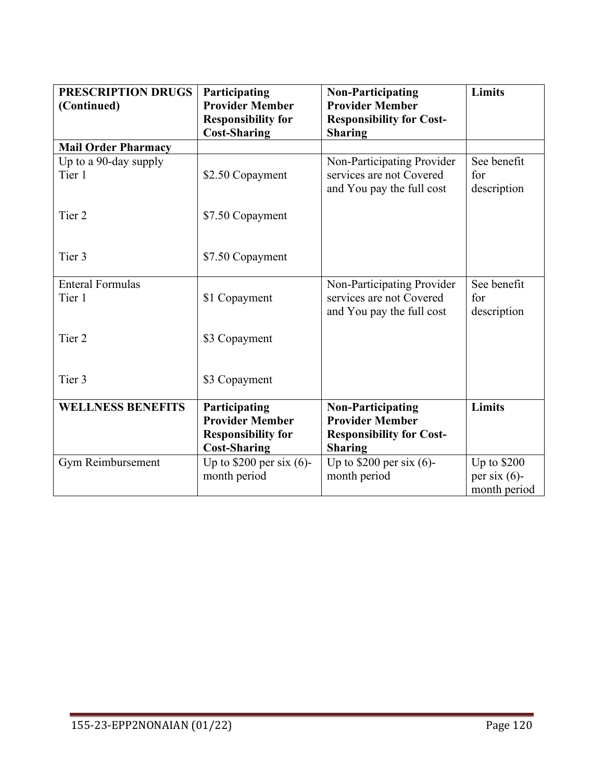| PRESCRIPTION DRUGS<br>(Continued) | Participating<br><b>Provider Member</b>          | <b>Non-Participating</b><br><b>Provider Member</b>     | Limits             |
|-----------------------------------|--------------------------------------------------|--------------------------------------------------------|--------------------|
|                                   | <b>Responsibility for</b><br><b>Cost-Sharing</b> | <b>Responsibility for Cost-</b><br><b>Sharing</b>      |                    |
| <b>Mail Order Pharmacy</b>        |                                                  |                                                        |                    |
| Up to a 90-day supply<br>Tier 1   | \$2.50 Copayment                                 | Non-Participating Provider<br>services are not Covered | See benefit<br>for |
|                                   |                                                  | and You pay the full cost                              | description        |
| Tier <sub>2</sub>                 | \$7.50 Copayment                                 |                                                        |                    |
| Tier 3                            | \$7.50 Copayment                                 |                                                        |                    |
| <b>Enteral Formulas</b>           |                                                  | Non-Participating Provider<br>services are not Covered | See benefit        |
| Tier 1                            | \$1 Copayment                                    | and You pay the full cost                              | for<br>description |
| Tier <sub>2</sub>                 | \$3 Copayment                                    |                                                        |                    |
| Tier 3                            | \$3 Copayment                                    |                                                        |                    |
| <b>WELLNESS BENEFITS</b>          | Participating                                    | <b>Non-Participating</b>                               | <b>Limits</b>      |
|                                   | <b>Provider Member</b>                           | <b>Provider Member</b>                                 |                    |
|                                   | <b>Responsibility for</b><br><b>Cost-Sharing</b> | <b>Responsibility for Cost-</b><br><b>Sharing</b>      |                    |
| Gym Reimbursement                 | Up to $$200$ per six (6)-                        | Up to $$200$ per six (6)-                              | Up to \$200        |
|                                   | month period                                     | month period                                           | per six $(6)$ -    |
|                                   |                                                  |                                                        | month period       |